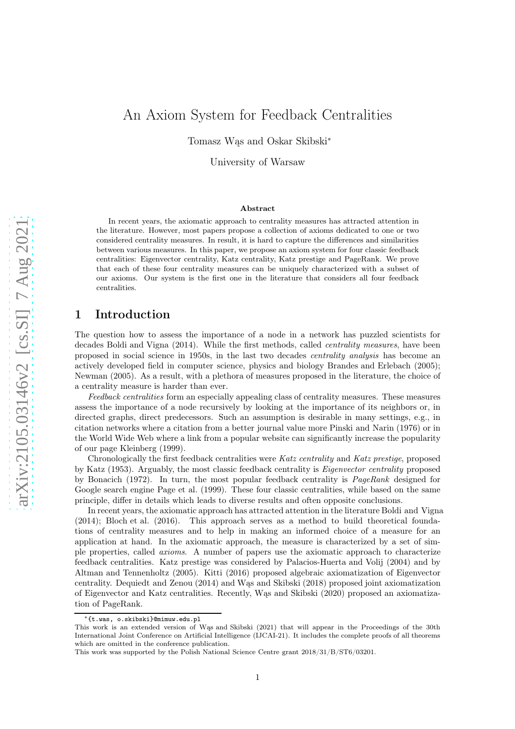# An Axiom System for Feedback Centralities

Tomasz Wąs and Oskar Skibski<sup>∗</sup>

University of Warsaw

#### Abstract

In recent years, the axiomatic approach to centrality measures has attracted attention in the literature. However, most papers propose a collection of axioms dedicated to one or two considered centrality measures. In result, it is hard to capture the differences and similarities between various measures. In this paper, we propose an axiom system for four classic feedback centralities: Eigenvector centrality, Katz centrality, Katz prestige and PageRank. We prove that each of these four centrality measures can be uniquely characterized with a subset of our axioms. Our system is the first one in the literature that considers all four feedback centralities.

## 1 Introduction

The question how to assess the importance of a node in a network has puzzled scientists for decades [Boldi and Vigna \(2014\)](#page-37-0). While the first methods, called *centrality measures*, have been proposed in social science in 1950s, in the last two decades centrality analysis has become an actively developed field in computer science, physics and biology [Brandes and Erlebach \(2005](#page-37-1)); [Newman \(2005](#page-37-2)). As a result, with a plethora of measures proposed in the literature, the choice of a centrality measure is harder than ever.

Feedback centralities form an especially appealing class of centrality measures. These measures assess the importance of a node recursively by looking at the importance of its neighbors or, in directed graphs, direct predecessors. Such an assumption is desirable in many settings, e.g., in citation networks where a citation from a better journal value more [Pinski and Narin \(1976\)](#page-37-3) or in the World Wide Web where a link from a popular website can significantly increase the popularity of our page [Kleinberg \(1999\)](#page-37-4).

Chronologically the first feedback centralities were Katz centrality and Katz prestige, proposed by [Katz \(1953](#page-37-5)). Arguably, the most classic feedback centrality is Eigenvector centrality proposed by [Bonacich](#page-37-6) [\(1972\)](#page-37-6). In turn, the most popular feedback centrality is PageRank designed for Google search engine [Page et al. \(1999\)](#page-37-7). These four classic centralities, while based on the same principle, differ in details which leads to diverse results and often opposite conclusions.

In recent years, the axiomatic approach has attracted attention in the literature [Boldi and Vigna](#page-37-0) [\(2014](#page-37-0)); [Bloch et al. \(2016\)](#page-37-8). This approach serves as a method to build theoretical foundations of centrality measures and to help in making an informed choice of a measure for an application at hand. In the axiomatic approach, the measure is characterized by a set of simple properties, called axioms. A number of papers use the axiomatic approach to characterize feedback centralities. Katz prestige was considered by [Palacios-Huerta and Volij \(2004\)](#page-37-9) and by [Altman and Tennenholtz \(2005](#page-37-10)). [Kitti \(2016\)](#page-37-11) proposed algebraic axiomatization of Eigenvector centrality. [Dequiedt and Zenou \(2014\)](#page-37-12) and [Wąs and Skibski](#page-37-13) [\(2018\)](#page-37-13) proposed joint axiomatization of Eigenvector and Katz centralities. Recently, [Wąs and Skibski \(2020\)](#page-37-14) proposed an axiomatization of PageRank.

<sup>∗</sup>{t.was, o.skibski}@mimuw.edu.pl

This work is an extended version of [Wąs and Skibski \(2021](#page-37-15)) that will appear in the Proceedings of the 30th International Joint Conference on Artificial Intelligence (IJCAI-21). It includes the complete proofs of all theorems which are omitted in the conference publication.

This work was supported by the Polish National Science Centre grant 2018/31/B/ST6/03201.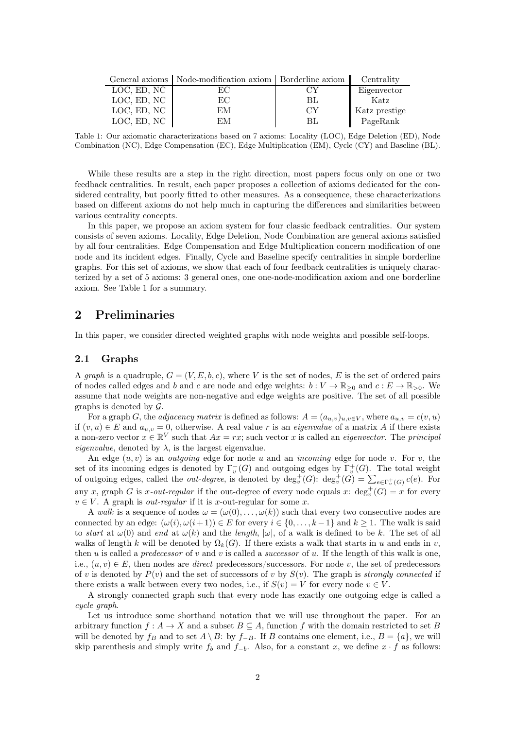<span id="page-1-0"></span>

|             | General axioms   Node-modification axiom   Borderline axiom |                | Centrality    |
|-------------|-------------------------------------------------------------|----------------|---------------|
| LOC, ED, NC | EС                                                          |                | Eigenvector   |
| LOC, ED, NC | EС                                                          | BL             | Katz          |
| LOC, ED, NC | EМ                                                          | CY <sub></sub> | Katz prestige |
| LOC, ED, NC | ЕM                                                          | ВI             | PageRank      |

Table 1: Our axiomatic characterizations based on 7 axioms: Locality (LOC), Edge Deletion (ED), Node Combination (NC), Edge Compensation (EC), Edge Multiplication (EM), Cycle (CY) and Baseline (BL).

While these results are a step in the right direction, most papers focus only on one or two feedback centralities. In result, each paper proposes a collection of axioms dedicated for the considered centrality, but poorly fitted to other measures. As a consequence, these characterizations based on different axioms do not help much in capturing the differences and similarities between various centrality concepts.

In this paper, we propose an axiom system for four classic feedback centralities. Our system consists of seven axioms. Locality, Edge Deletion, Node Combination are general axioms satisfied by all four centralities. Edge Compensation and Edge Multiplication concern modification of one node and its incident edges. Finally, Cycle and Baseline specify centralities in simple borderline graphs. For this set of axioms, we show that each of four feedback centralities is uniquely characterized by a set of 5 axioms: 3 general ones, one one-node-modification axiom and one borderline axiom. See Table [1](#page-1-0) for a summary.

# 2 Preliminaries

In this paper, we consider directed weighted graphs with node weights and possible self-loops.

#### 2.1 Graphs

A graph is a quadruple,  $G = (V, E, b, c)$ , where V is the set of nodes, E is the set of ordered pairs of nodes called edges and b and c are node and edge weights:  $b: V \to \mathbb{R}_{\geq 0}$  and  $c: E \to \mathbb{R}_{\geq 0}$ . We assume that node weights are non-negative and edge weights are positive. The set of all possible graphs is denoted by  $\mathcal{G}$ .

For a graph G, the *adjacency matrix* is defined as follows:  $A = (a_{u,v})_{u,v \in V}$ , where  $a_{u,v} = c(v, u)$ if  $(v, u) \in E$  and  $a_{u,v} = 0$ , otherwise. A real value r is an *eigenvalue* of a matrix A if there exists a non-zero vector  $x \in \mathbb{R}^V$  such that  $Ax = rx$ ; such vector x is called an *eigenvector*. The *principal eigenvalue*, denoted by  $\lambda$ , is the largest eigenvalue.

An edge  $(u, v)$  is an *outgoing* edge for node u and an *incoming* edge for node v. For v, the set of its incoming edges is denoted by  $\Gamma_v^-(G)$  and outgoing edges by  $\Gamma_v^+(G)$ . The total weight of outgoing edges, called the *out-degree*, is denoted by  $\deg_v^+(G)$ :  $\deg_v^+(G) = \sum_{e \in \Gamma_v^+(G)} c(e)$ . For any x, graph G is x-out-regular if the out-degree of every node equals x:  $\deg_v^+(G) = x$  for every  $v \in V$ . A graph is *out-regular* if it is x-out-regular for some x.

A walk is a sequence of nodes  $\omega = (\omega(0), \ldots, \omega(k))$  such that every two consecutive nodes are connected by an edge:  $(\omega(i), \omega(i+1)) \in E$  for every  $i \in \{0, \ldots, k-1\}$  and  $k \geq 1$ . The walk is said to start at  $\omega(0)$  and end at  $\omega(k)$  and the length,  $|\omega|$ , of a walk is defined to be k. The set of all walks of length k will be denoted by  $\Omega_k(G)$ . If there exists a walk that starts in u and ends in v, then u is called a *predecessor* of v and v is called a *successor* of u. If the length of this walk is one, i.e.,  $(u, v) \in E$ , then nodes are *direct* predecessors/successors. For node v, the set of predecessors of v is denoted by  $P(v)$  and the set of successors of v by  $S(v)$ . The graph is *strongly connected* if there exists a walk between every two nodes, i.e., if  $S(v) = V$  for every node  $v \in V$ .

A strongly connected graph such that every node has exactly one outgoing edge is called a cycle graph.

Let us introduce some shorthand notation that we will use throughout the paper. For an arbitrary function  $f : A \to X$  and a subset  $B \subseteq A$ , function f with the domain restricted to set B will be denoted by  $f_B$  and to set  $A \setminus B$ : by  $f_{-B}$ . If B contains one element, i.e.,  $B = \{a\}$ , we will skip parenthesis and simply write  $f_b$  and  $f_{-b}$ . Also, for a constant x, we define  $x \cdot f$  as follows: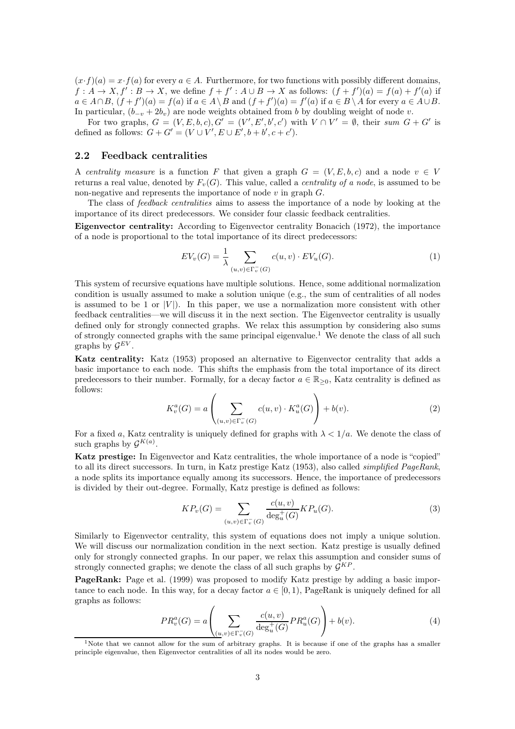$(x \cdot f)(a) = x \cdot f(a)$  for every  $a \in A$ . Furthermore, for two functions with possibly different domains,  $f: A \to X, f': B \to X$ , we define  $f + f': A \cup B \to X$  as follows:  $(f + f')(a) = f(a) + f'(a)$  if  $a \in A \cap B$ ,  $(f + f')(a) = f(a)$  if  $a \in A \setminus B$  and  $(f + f')(a) = f'(a)$  if  $a \in B \setminus A$  for every  $a \in A \cup B$ . In particular,  $(b_{-v} + 2b_v)$  are node weights obtained from b by doubling weight of node v.

For two graphs,  $G = (V, E, b, c), G' = (V', E', b', c')$  with  $V \cap V' = \emptyset$ , their sum  $G + G'$  is defined as follows:  $G + G' = (V \cup V', E \cup E', b + b', c + c').$ 

#### 2.2 Feedback centralities

A centrality measure is a function F that given a graph  $G = (V, E, b, c)$  and a node  $v \in V$ returns a real value, denoted by  $F_v(G)$ . This value, called a *centrality of a node*, is assumed to be non-negative and represents the importance of node  $v$  in graph  $G$ .

The class of feedback centralities aims to assess the importance of a node by looking at the importance of its direct predecessors. We consider four classic feedback centralities.

Eigenvector centrality: According to Eigenvector centrality [Bonacich \(1972\)](#page-37-6), the importance of a node is proportional to the total importance of its direct predecessors:

<span id="page-2-1"></span>
$$
EV_v(G) = \frac{1}{\lambda} \sum_{(u,v) \in \Gamma_v^-(G)} c(u,v) \cdot EV_u(G). \tag{1}
$$

This system of recursive equations have multiple solutions. Hence, some additional normalization condition is usually assumed to make a solution unique (e.g., the sum of centralities of all nodes is assumed to be 1 or  $|V|$ . In this paper, we use a normalization more consistent with other feedback centralities—we will discuss it in the next section. The Eigenvector centrality is usually defined only for strongly connected graphs. We relax this assumption by considering also sums of strongly connected graphs with the same principal eigenvalue.<sup>[1](#page-2-0)</sup> We denote the class of all such graphs by  $\mathcal{G}^{EV}$ .

<span id="page-2-4"></span>Katz centrality: [Katz \(1953](#page-37-5)) proposed an alternative to Eigenvector centrality that adds a basic importance to each node. This shifts the emphasis from the total importance of its direct predecessors to their number. Formally, for a decay factor  $a \in \mathbb{R}_{\geq 0}$ , Katz centrality is defined as follows:

$$
K_v^a(G) = a\left(\sum_{(u,v)\in\Gamma_v^-(G)} c(u,v) \cdot K_u^a(G)\right) + b(v). \tag{2}
$$

For a fixed a, Katz centrality is uniquely defined for graphs with  $\lambda < 1/a$ . We denote the class of such graphs by  $\mathcal{G}^{K(a)}$ .

Katz prestige: In Eigenvector and Katz centralities, the whole importance of a node is "copied" to all its direct successors. In turn, in Katz prestige [Katz](#page-37-5) [\(1953\)](#page-37-5), also called simplified PageRank, a node splits its importance equally among its successors. Hence, the importance of predecessors is divided by their out-degree. Formally, Katz prestige is defined as follows:

<span id="page-2-3"></span>
$$
KP_v(G) = \sum_{(u,v)\in\Gamma_v^-(G)} \frac{c(u,v)}{\deg_u^+(G)} KP_u(G). \tag{3}
$$

Similarly to Eigenvector centrality, this system of equations does not imply a unique solution. We will discuss our normalization condition in the next section. Katz prestige is usually defined only for strongly connected graphs. In our paper, we relax this assumption and consider sums of strongly connected graphs; we denote the class of all such graphs by  $\mathcal{G}^{KP}$ .

PageRank: [Page et al. \(1999\)](#page-37-7) was proposed to modify Katz prestige by adding a basic importance to each node. In this way, for a decay factor  $a \in [0, 1)$ , PageRank is uniquely defined for all graphs as follows:

<span id="page-2-2"></span>
$$
PR_v^a(G) = a \left( \sum_{(u,v) \in \Gamma_v^-(G)} \frac{c(u,v)}{\deg_u^+(G)} PR_u^a(G) \right) + b(v). \tag{4}
$$

<span id="page-2-0"></span><sup>&</sup>lt;sup>1</sup>Note that we cannot allow for the sum of arbitrary graphs. It is because if one of the graphs has a smaller principle eigenvalue, then Eigenvector centralities of all its nodes would be zero.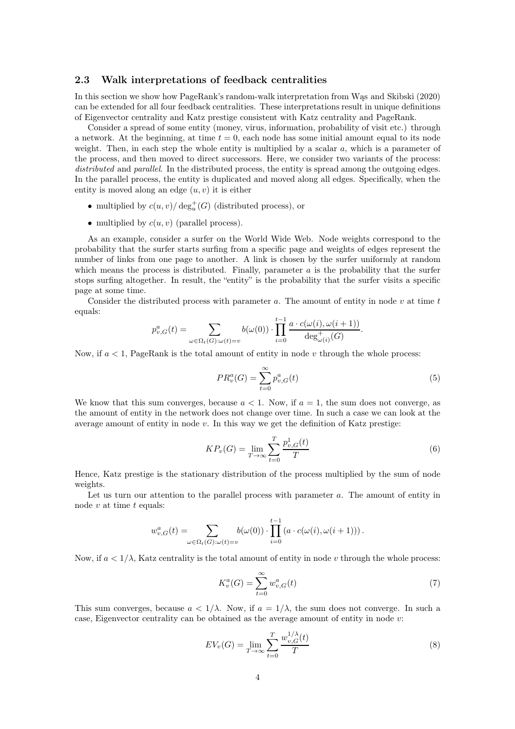#### 2.3 Walk interpretations of feedback centralities

In this section we show how PageRank's random-walk interpretation from [Wąs and Skibski \(2020\)](#page-37-14) can be extended for all four feedback centralities. These interpretations result in unique definitions of Eigenvector centrality and Katz prestige consistent with Katz centrality and PageRank.

Consider a spread of some entity (money, virus, information, probability of visit etc.) through a network. At the beginning, at time  $t = 0$ , each node has some initial amount equal to its node weight. Then, in each step the whole entity is multiplied by a scalar  $a$ , which is a parameter of the process, and then moved to direct successors. Here, we consider two variants of the process: distributed and parallel. In the distributed process, the entity is spread among the outgoing edges. In the parallel process, the entity is duplicated and moved along all edges. Specifically, when the entity is moved along an edge  $(u, v)$  it is either

- multiplied by  $c(u, v) / \deg_u^+(G)$  (distributed process), or
- multiplied by  $c(u, v)$  (parallel process).

As an example, consider a surfer on the World Wide Web. Node weights correspond to the probability that the surfer starts surfing from a specific page and weights of edges represent the number of links from one page to another. A link is chosen by the surfer uniformly at random which means the process is distributed. Finally, parameter  $a$  is the probability that the surfer stops surfing altogether. In result, the "entity" is the probability that the surfer visits a specific page at some time.

Consider the distributed process with parameter  $a$ . The amount of entity in node  $v$  at time  $t$ equals:

$$
p_{v,G}^a(t) = \sum_{\omega \in \Omega_t(G): \omega(t) = v} b(\omega(0)) \cdot \prod_{i=0}^{t-1} \frac{a \cdot c(\omega(i), \omega(i+1))}{\deg_{\omega(i)}^+(G)}.
$$

Now, if  $a < 1$ , PageRank is the total amount of entity in node v through the whole process:

<span id="page-3-2"></span><span id="page-3-0"></span>
$$
PR_v^a(G) = \sum_{t=0}^{\infty} p_{v,G}^a(t)
$$
\n(5)

We know that this sum converges, because  $a < 1$ . Now, if  $a = 1$ , the sum does not converge, as the amount of entity in the network does not change over time. In such a case we can look at the average amount of entity in node  $v$ . In this way we get the definition of Katz prestige:

$$
KP_v(G) = \lim_{T \to \infty} \sum_{t=0}^{T} \frac{p_{v,G}^1(t)}{T}
$$
 (6)

Hence, Katz prestige is the stationary distribution of the process multiplied by the sum of node weights.

Let us turn our attention to the parallel process with parameter a. The amount of entity in node  $v$  at time  $t$  equals:

$$
w_{v,G}^a(t) = \sum_{\omega \in \Omega_t(G): \omega(t) = v} b(\omega(0)) \cdot \prod_{i=0}^{t-1} \left( a \cdot c(\omega(i), \omega(i+1)) \right).
$$

Now, if  $a < 1/\lambda$ , Katz centrality is the total amount of entity in node v through the whole process:

<span id="page-3-3"></span><span id="page-3-1"></span>
$$
K_v^a(G) = \sum_{t=0}^{\infty} w_{v,G}^a(t)
$$
\n(7)

This sum converges, because  $a < 1/\lambda$ . Now, if  $a = 1/\lambda$ , the sum does not converge. In such a case, Eigenvector centrality can be obtained as the average amount of entity in node v:

$$
EV_v(G) = \lim_{T \to \infty} \sum_{t=0}^T \frac{w_{v,G}^{1/\lambda}(t)}{T}
$$
\n(8)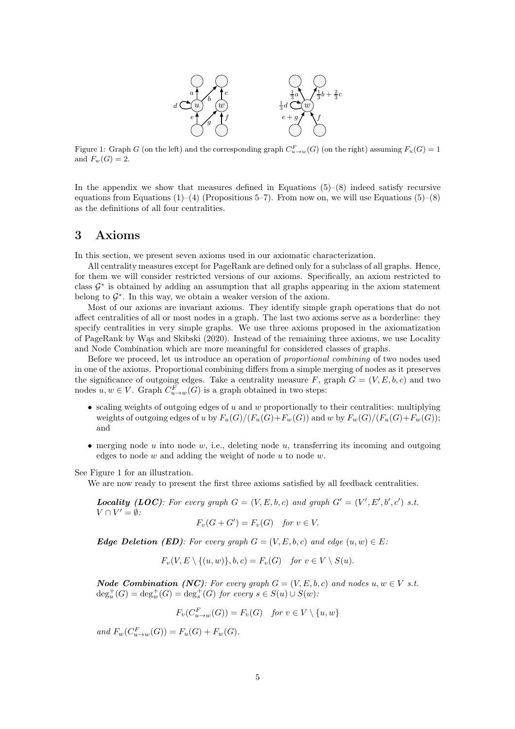

<span id="page-4-0"></span>Figure 1: Graph G (on the left) and the corresponding graph  $C_{u\to w}^F(G)$  (on the right) assuming  $F_u(G) = 1$ and  $F_w(G) = 2$ .

In the appendix we show that measures defined in Equations  $(5)-(8)$  $(5)-(8)$  indeed satisfy recursive equations from Equations  $(1)$ – $(4)$  (Propositions [5](#page-10-0)[–7\)](#page-11-0). From now on, we will use Equations  $(5)$ – $(8)$ as the definitions of all four centralities.

## 3 Axioms

In this section, we present seven axioms used in our axiomatic characterization.

All centrality measures except for PageRank are defined only for a subclass of all graphs. Hence, for them we will consider restricted versions of our axioms. Specifically, an axiom restricted to class  $\mathcal{G}^*$  is obtained by adding an assumption that all graphs appearing in the axiom statement belong to  $\mathcal{G}^*$ . In this way, we obtain a weaker version of the axiom.

Most of our axioms are invariant axioms. They identify simple graph operations that do not affect centralities of all or most nodes in a graph. The last two axioms serve as a borderline: they specify centralities in very simple graphs. We use three axioms proposed in the axiomatization of PageRank by [Wąs and Skibski \(2020\)](#page-37-14). Instead of the remaining three axioms, we use Locality and Node Combination which are more meaningful for considered classes of graphs.

Before we proceed, let us introduce an operation of proportional combining of two nodes used in one of the axioms. Proportional combining differs from a simple merging of nodes as it preserves the significance of outgoing edges. Take a centrality measure F, graph  $G = (V, E, b, c)$  and two nodes  $u, w \in V$ . Graph  $C_{u \to w}^F(G)$  is a graph obtained in two steps:

- scaling weights of outgoing edges of u and w proportionally to their centralities: multiplying weights of outgoing edges of u by  $F_u(G)/(F_u(G)+F_w(G))$  and w by  $F_w(G)/(F_u(G)+F_w(G));$ and
- merging node  $u$  into node  $w$ , i.e., deleting node  $u$ , transferring its incoming and outgoing edges to node  $w$  and adding the weight of node  $u$  to node  $w$ .

See Figure [1](#page-4-0) for an illustration.

We are now ready to present the first three axioms satisfied by all feedback centralities.

**Locality** (LOC): For every graph  $G = (V, E, b, c)$  and graph  $G' = (V', E', b', c')$  s.t.  $V \cap V' = \emptyset$ :

$$
F_v(G+G') = F_v(G) \quad \text{for } v \in V.
$$

**Edge Deletion (ED):** For every graph  $G = (V, E, b, c)$  and edge  $(u, w) \in E$ :

$$
F_v(V, E \setminus \{(u, w)\}, b, c) = F_v(G) \quad \text{for } v \in V \setminus S(u).
$$

**Node Combination (NC):** For every graph  $G = (V, E, b, c)$  and nodes  $u, w \in V$  s.t.  $\deg_u^+(G) = \deg_w^+(G) = \deg_s^+(G)$  for every  $s \in S(u) \cup S(w)$ :

$$
F_v(C_{u\to w}^F(G)) = F_v(G) \quad \text{for } v \in V \setminus \{u, w\}
$$

and  $F_w(C_{u \to w}^F(G)) = F_u(G) + F_w(G)$ .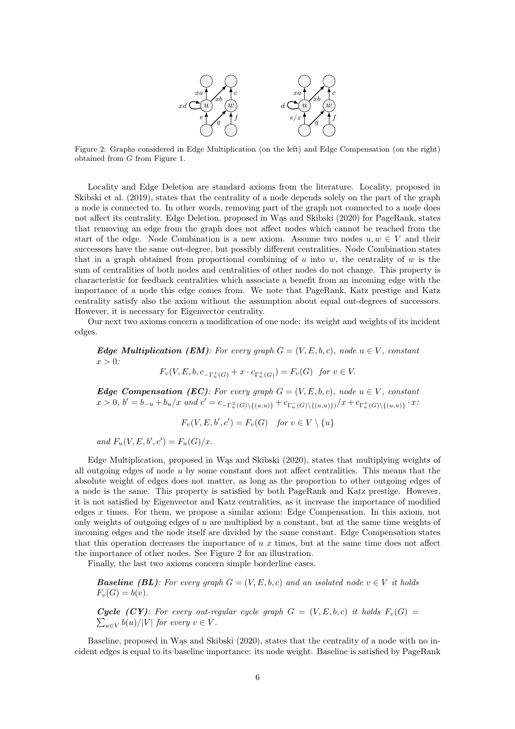

<span id="page-5-0"></span>Figure 2: Graphs considered in Edge Multiplication (on the left) and Edge Compensation (on the right) obtained from G from Figure [1.](#page-4-0)

Locality and Edge Deletion are standard axioms from the literature. Locality, proposed in [Skibski et al. \(2019](#page-37-16)), states that the centrality of a node depends solely on the part of the graph a node is connected to. In other words, removing part of the graph not connected to a node does not affect its centrality. Edge Deletion, proposed in [Wąs and](#page-37-14) Skibski [\(2020](#page-37-14)) for PageRank, states that removing an edge from the graph does not affect nodes which cannot be reached from the start of the edge. Node Combination is a new axiom. Assume two nodes  $u, w \in V$  and their successors have the same out-degree, but possibly different centralities. Node Combination states that in a graph obtained from proportional combining of  $u$  into  $w$ , the centrality of  $w$  is the sum of centralities of both nodes and centralities of other nodes do not change. This property is characteristic for feedback centralities which associate a benefit from an incoming edge with the importance of a node this edge comes from. We note that PageRank, Katz prestige and Katz centrality satisfy also the axiom without the assumption about equal out-degrees of successors. However, it is necessary for Eigenvector centrality.

Our next two axioms concern a modification of one node: its weight and weights of its incident edges.

**Edge Multiplication (EM):** For every graph  $G = (V, E, b, c)$ , node  $u \in V$ , constant  $x > 0$ :

$$
F_v(V, E, b, c_{-\Gamma_u^+(G)} + x \cdot c_{\Gamma_u^+(G)}) = F_v(G)
$$
 for  $v \in V$ .

**Edge Compensation (EC):** For every graph  $G = (V, E, b, c)$ , node  $u \in V$ , constant  $x > 0, b' = b_{-u} + b_u/x$  and  $c' = c_{-\Gamma_u^{\pm}(G) \setminus \{(u,u)\}} + c_{\Gamma_u^-(G) \setminus \{(u,u)\}}/x + c_{\Gamma_u^+(G) \setminus \{(u,u)\}} \cdot x$ .

$$
F_v(V, E, b', c') = F_v(G) \quad \text{for } v \in V \setminus \{u\}
$$

and  $F_u(V, E, b', c') = F_u(G)/x$ .

Edge Multiplication, proposed in [Wąs and Skibski \(2020\)](#page-37-14), states that multiplying weights of all outgoing edges of node  $u$  by some constant does not affect centralities. This means that the absolute weight of edges does not matter, as long as the proportion to other outgoing edges of a node is the same. This property is satisfied by both PageRank and Katz prestige. However, it is not satisfied by Eigenvector and Katz centralities, as it increase the importance of modified edges  $x$  times. For them, we propose a similar axiom: Edge Compensation. In this axiom, not only weights of outgoing edges of u are multiplied by a constant, but at the same time weights of incoming edges and the node itself are divided by the same constant. Edge Compensation states that this operation decreases the importance of u x times, but at the same time does not affect the importance of other nodes. See Figure [2](#page-5-0) for an illustration.

Finally, the last two axioms concern simple borderline cases.

**Baseline (BL):** For every graph  $G = (V, E, b, c)$  and an isolated node  $v \in V$  it holds  $F_v(G) = b(v)$ .

 $\sum$ **Cycle (CY):** For every out-regular cycle graph  $G = (V, E, b, c)$  it holds  $F_v(G)$  $_{u\in V}b(u)/|V|$  for every  $v\in V$ .

Baseline, proposed in [Wąs and Skibski \(2020\)](#page-37-14), states that the centrality of a node with no incident edges is equal to its baseline importance: its node weight. Baseline is satisfied by PageRank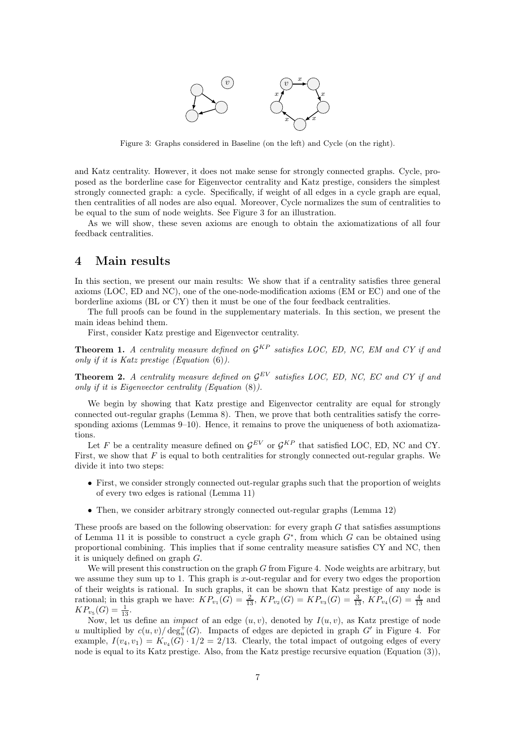

<span id="page-6-0"></span>Figure 3: Graphs considered in Baseline (on the left) and Cycle (on the right).

and Katz centrality. However, it does not make sense for strongly connected graphs. Cycle, proposed as the borderline case for Eigenvector centrality and Katz prestige, considers the simplest strongly connected graph: a cycle. Specifically, if weight of all edges in a cycle graph are equal, then centralities of all nodes are also equal. Moreover, Cycle normalizes the sum of centralities to be equal to the sum of node weights. See Figure [3](#page-6-0) for an illustration.

As we will show, these seven axioms are enough to obtain the axiomatizations of all four feedback centralities.

# 4 Main results

In this section, we present our main results: We show that if a centrality satisfies three general axioms (LOC, ED and NC), one of the one-node-modification axioms (EM or EC) and one of the borderline axioms (BL or CY) then it must be one of the four feedback centralities.

The full proofs can be found in the supplementary materials. In this section, we present the main ideas behind them.

First, consider Katz prestige and Eigenvector centrality.

<span id="page-6-1"></span>**Theorem 1.** A centrality measure defined on  $\mathcal{G}^{KP}$  satisfies LOC, ED, NC, EM and CY if and only if it is Katz prestige (Equation [\(6\)](#page-3-2)).

<span id="page-6-2"></span>**Theorem 2.** A centrality measure defined on  $\mathcal{G}^{EV}$  satisfies LOC, ED, NC, EC and CY if and only if it is Eigenvector centrality (Equation [\(8\)](#page-3-1)).

We begin by showing that Katz prestige and Eigenvector centrality are equal for strongly connected out-regular graphs (Lemma [8\)](#page-12-0). Then, we prove that both centralities satisfy the corre-sponding axioms (Lemmas [9–](#page-12-1)[10\)](#page-14-0). Hence, it remains to prove the uniqueness of both axiomatizations.

Let F be a centrality measure defined on  $\mathcal{G}^{EV}$  or  $\mathcal{G}^{KP}$  that satisfied LOC, ED, NC and CY. First, we show that  $F$  is equal to both centralities for strongly connected out-regular graphs. We divide it into two steps:

- First, we consider strongly connected out-regular graphs such that the proportion of weights of every two edges is rational (Lemma [11\)](#page-14-1)
- Then, we consider arbitrary strongly connected out-regular graphs (Lemma [12\)](#page-17-0)

These proofs are based on the following observation: for every graph  $G$  that satisfies assumptions of Lemma [11](#page-14-1) it is possible to construct a cycle graph  $G^*$ , from which G can be obtained using proportional combining. This implies that if some centrality measure satisfies CY and NC, then it is uniquely defined on graph G.

We will present this construction on the graph  $G$  from Figure [4.](#page-7-0) Node weights are arbitrary, but we assume they sum up to 1. This graph is x-out-regular and for every two edges the proportion of their weights is rational. In such graphs, it can be shown that Katz prestige of any node is rational; in this graph we have:  $KP_{v_1}(G) = \frac{2}{13}$ ,  $KP_{v_2}(G) = KP_{v_3}(G) = \frac{3}{13}$ ,  $KP_{v_4}(G) = \frac{4}{13}$  and  $KP_{v_5}(G) = \frac{1}{13}.$ 

Now, let us define an *impact* of an edge  $(u, v)$ , denoted by  $I(u, v)$ , as Katz prestige of node u multiplied by  $c(u, v) / \deg_u^+(G)$ . Impacts of edges are depicted in graph G' in Figure [4.](#page-7-0) For example,  $I(v_4, v_1) = K_{v_4}(G) \cdot 1/2 = 2/13$ . Clearly, the total impact of outgoing edges of every node is equal to its Katz prestige. Also, from the Katz prestige recursive equation (Equation [\(3\)](#page-2-3)),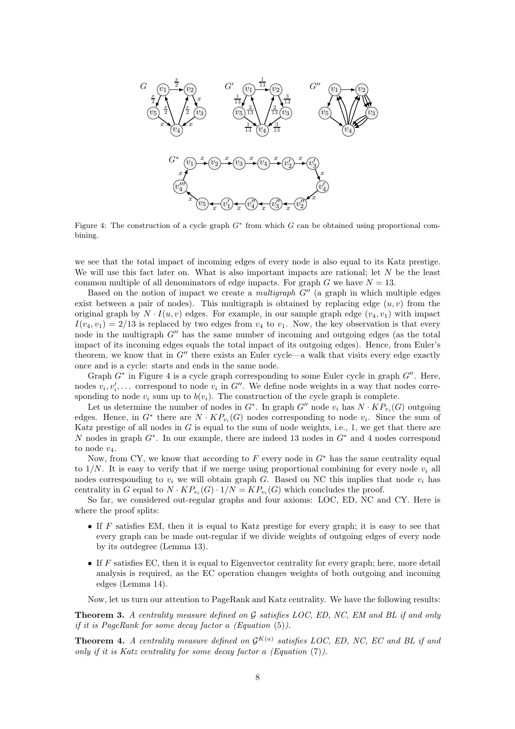<span id="page-7-0"></span>

Figure 4: The construction of a cycle graph  $G^*$  from which G can be obtained using proportional combining.

we see that the total impact of incoming edges of every node is also equal to its Katz prestige. We will use this fact later on. What is also important impacts are rational; let  $N$  be the least common multiple of all denominators of edge impacts. For graph G we have  $N = 13$ .

Based on the notion of impact we create a *multigraph*  $G''$  (a graph in which multiple edges exist between a pair of nodes). This multigraph is obtained by replacing edge  $(u, v)$  from the original graph by  $N \cdot I(u, v)$  edges. For example, in our sample graph edge  $(v_4, v_1)$  with impact  $I(v_4, v_1) = 2/13$  is replaced by two edges from  $v_4$  to  $v_1$ . Now, the key observation is that every node in the multigraph  $G''$  has the same number of incoming and outgoing edges (as the total impact of its incoming edges equals the total impact of its outgoing edges). Hence, from Euler's theorem, we know that in  $G''$  there exists an Euler cycle—a walk that visits every edge exactly once and is a cycle: starts and ends in the same node.

Graph  $G^*$  in Figure [4](#page-7-0) is a cycle graph corresponding to some Euler cycle in graph  $G''$ . Here, nodes  $v_i, v'_i, \ldots$  correspond to node  $v_i$  in  $G''$ . We define node weights in a way that nodes corresponding to node  $v_i$  sum up to  $b(v_i)$ . The construction of the cycle graph is complete.

Let us determine the number of nodes in  $G^*$ . In graph  $G''$  node  $v_i$  has  $N \cdot KP_{v_i}(G)$  outgoing edges. Hence, in  $G^*$  there are  $N \cdot KP_{v_i}(G)$  nodes corresponding to node  $v_i$ . Since the sum of Katz prestige of all nodes in  $G$  is equal to the sum of node weights, i.e., 1, we get that there are N nodes in graph  $G^*$ . In our example, there are indeed 13 nodes in  $G^*$  and 4 nodes correspond to node  $v_4$ .

Now, from CY, we know that according to  $F$  every node in  $G^*$  has the same centrality equal to  $1/N$ . It is easy to verify that if we merge using proportional combining for every node  $v_i$  all nodes corresponding to  $v_i$  we will obtain graph G. Based on NC this implies that node  $v_i$  has centrality in G equal to  $N \cdot KP_{v_i}(G) \cdot 1/N = KP_{v_i}(G)$  which concludes the proof.

So far, we considered out-regular graphs and four axioms: LOC, ED, NC and CY. Here is where the proof splits:

- If  $F$  satisfies EM, then it is equal to Katz prestige for every graph; it is easy to see that every graph can be made out-regular if we divide weights of outgoing edges of every node by its outdegree (Lemma [13\)](#page-20-0).
- If  $F$  satisfies EC, then it is equal to Eigenvector centrality for every graph; here, more detail analysis is required, as the EC operation changes weights of both outgoing and incoming edges (Lemma [14\)](#page-20-1).

Now, let us turn our attention to PageRank and Katz centrality. We have the following results:

<span id="page-7-1"></span>**Theorem 3.** A centrality measure defined on  $\mathcal G$  satisfies LOC, ED, NC, EM and BL if and only if it is PageRank for some decay factor a (Equation [\(5\)](#page-3-0)).

<span id="page-7-2"></span>**Theorem 4.** A centrality measure defined on  $\mathcal{G}^{K(a)}$  satisfies LOC, ED, NC, EC and BL if and only if it is Katz centrality for some decay factor a (Equation [\(7\)](#page-3-3)).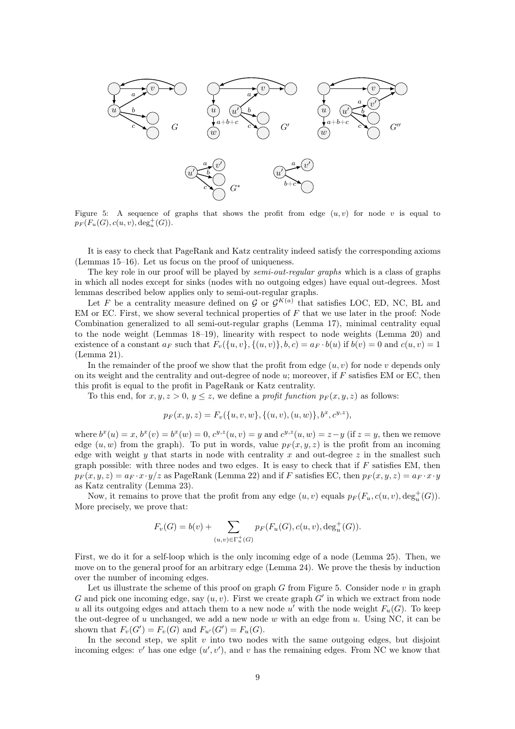<span id="page-8-0"></span>

Figure 5: A sequence of graphs that shows the profit from edge  $(u, v)$  for node v is equal to  $p_F(F_u(G), c(u, v), deg_u^+(G)).$ 

It is easy to check that PageRank and Katz centrality indeed satisfy the corresponding axioms (Lemmas [15–](#page-21-0)[16\)](#page-23-0). Let us focus on the proof of uniqueness.

The key role in our proof will be played by *semi-out-regular graphs* which is a class of graphs in which all nodes except for sinks (nodes with no outgoing edges) have equal out-degrees. Most lemmas described below applies only to semi-out-regular graphs.

Let F be a centrality measure defined on G or  $\mathcal{G}^{K(a)}$  that satisfies LOC, ED, NC, BL and EM or EC. First, we show several technical properties of  $F$  that we use later in the proof: Node Combination generalized to all semi-out-regular graphs (Lemma [17\)](#page-23-1), minimal centrality equal to the node weight (Lemmas [18](#page-24-0)[–19\)](#page-24-1), linearity with respect to node weights (Lemma [20\)](#page-24-2) and existence of a constant  $a_F$  such that  $F_v({u, v}, {u, v}), b, c = a_F \cdot b(u)$  if  $b(v) = 0$  and  $c(u, v) = 1$ (Lemma [21\)](#page-25-0).

In the remainder of the proof we show that the profit from edge  $(u, v)$  for node v depends only on its weight and the centrality and out-degree of node  $u$ ; moreover, if  $F$  satisfies EM or EC, then this profit is equal to the profit in PageRank or Katz centrality.

To this end, for  $x, y, z > 0, y \leq z$ , we define a *profit function*  $p_F(x, y, z)$  as follows:

$$
p_F(x, y, z) = F_v({u, v, w}, {(u, v), (u, w)}, b^x, c^{y, z}),
$$

where  $b^x(u) = x$ ,  $b^x(v) = b^x(w) = 0$ ,  $c^{y,z}(u, v) = y$  and  $c^{y,z}(u, w) = z - y$  (if  $z = y$ , then we remove edge  $(u, w)$  from the graph). To put in words, value  $p_F(x, y, z)$  is the profit from an incoming edge with weight y that starts in node with centrality x and out-degree  $z$  in the smallest such graph possible: with three nodes and two edges. It is easy to check that if  $F$  satisfies EM, then  $p_F(x, y, z) = a_F \cdot x \cdot y/z$  as PageRank (Lemma [22\)](#page-25-1) and if F satisfies EC, then  $p_F(x, y, z) = a_F \cdot x \cdot y$ as Katz centrality (Lemma [23\)](#page-26-0).

Now, it remains to prove that the profit from any edge  $(u, v)$  equals  $p_F(F_u, c(u, v), \deg_u^+(G))$ . More precisely, we prove that:

$$
F_v(G) = b(v) + \sum_{(u,v) \in \Gamma_u^+(G)} p_F(F_u(G), c(u,v), \deg_u^+(G)).
$$

First, we do it for a self-loop which is the only incoming edge of a node (Lemma [25\)](#page-28-0). Then, we move on to the general proof for an arbitrary edge (Lemma [24\)](#page-26-1). We prove the thesis by induction over the number of incoming edges.

Let us illustrate the scheme of this proof on graph G from Figure [5.](#page-8-0) Consider node  $v$  in graph G and pick one incoming edge, say  $(u, v)$ . First we create graph  $G'$  in which we extract from node u all its outgoing edges and attach them to a new node u' with the node weight  $F_u(G)$ . To keep the out-degree of u unchanged, we add a new node w with an edge from u. Using NC, it can be shown that  $F_v(G') = F_v(G)$  and  $F_{u'}(G') = F_u(G)$ .

In the second step, we split  $v$  into two nodes with the same outgoing edges, but disjoint incoming edges:  $v'$  has one edge  $(u', v')$ , and v has the remaining edges. From NC we know that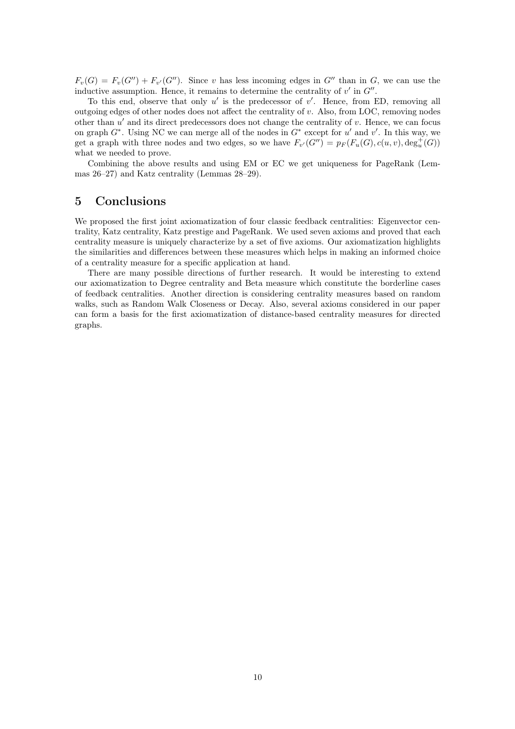$F_v(G) = F_v(G'') + F_{v'}(G'')$ . Since v has less incoming edges in G'' than in G, we can use the inductive assumption. Hence, it remains to determine the centrality of  $v'$  in  $G''$ .

To this end, observe that only  $u'$  is the predecessor of  $v'$ . Hence, from ED, removing all outgoing edges of other nodes does not affect the centrality of  $v$ . Also, from LOC, removing nodes other than  $u'$  and its direct predecessors does not change the centrality of  $v$ . Hence, we can focus on graph  $G^*$ . Using NC we can merge all of the nodes in  $G^*$  except for u' and v'. In this way, we get a graph with three nodes and two edges, so we have  $F_{v'}(G'') = p_F(F_u(G), c(u, v), deg_u^+(G))$ what we needed to prove.

Combining the above results and using EM or EC we get uniqueness for PageRank (Lemmas [26–](#page-32-0)[27\)](#page-32-1) and Katz centrality (Lemmas [28–](#page-32-2)[29\)](#page-32-3).

# 5 Conclusions

We proposed the first joint axiomatization of four classic feedback centralities: Eigenvector centrality, Katz centrality, Katz prestige and PageRank. We used seven axioms and proved that each centrality measure is uniquely characterize by a set of five axioms. Our axiomatization highlights the similarities and differences between these measures which helps in making an informed choice of a centrality measure for a specific application at hand.

There are many possible directions of further research. It would be interesting to extend our axiomatization to Degree centrality and Beta measure which constitute the borderline cases of feedback centralities. Another direction is considering centrality measures based on random walks, such as Random Walk Closeness or Decay. Also, several axioms considered in our paper can form a basis for the first axiomatization of distance-based centrality measures for directed graphs.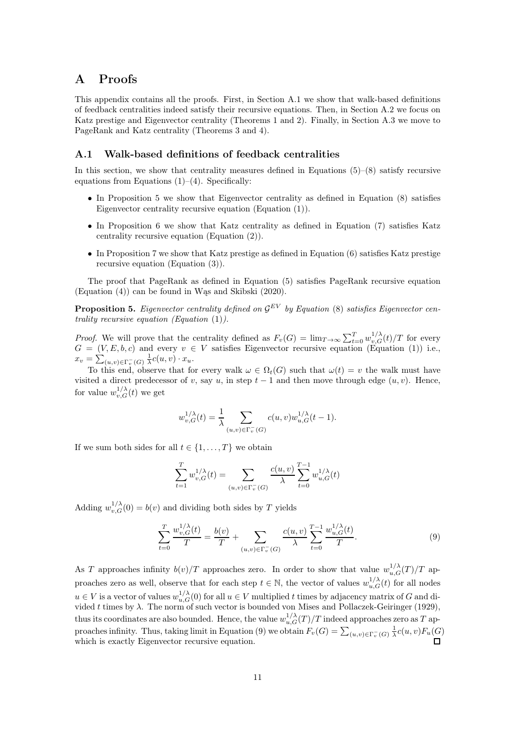# A Proofs

This appendix contains all the proofs. First, in Section [A.1](#page-10-1) we show that walk-based definitions of feedback centralities indeed satisfy their recursive equations. Then, in Section [A.2](#page-12-2) we focus on Katz prestige and Eigenvector centrality (Theorems [1](#page-6-1) and [2\)](#page-6-2). Finally, in Section [A.3](#page-21-1) we move to PageRank and Katz centrality (Theorems [3](#page-7-1) and [4\)](#page-7-2).

#### <span id="page-10-1"></span>A.1 Walk-based definitions of feedback centralities

In this section, we show that centrality measures defined in Equations  $(5)-(8)$  $(5)-(8)$  satisfy recursive equations from Equations  $(1)$ – $(4)$ . Specifically:

- In Proposition [5](#page-10-0) we show that Eigenvector centrality as defined in Equation [\(8\)](#page-3-1) satisfies Eigenvector centrality recursive equation (Equation [\(1\)](#page-2-1)).
- In Proposition [6](#page-11-1) we show that Katz centrality as defined in Equation [\(7\)](#page-3-3) satisfies Katz centrality recursive equation (Equation [\(2\)](#page-2-4)).
- In Proposition [7](#page-11-0) we show that Katz prestige as defined in Equation [\(6\)](#page-3-2) satisfies Katz prestige recursive equation (Equation [\(3\)](#page-2-3)).

The proof that PageRank as defined in Equation [\(5\)](#page-3-0) satisfies PageRank recursive equation  $(Equation (4))$  $(Equation (4))$  $(Equation (4))$  can be found in Was and Skibski  $(2020)$ .

<span id="page-10-0"></span>**Proposition 5.** Eigenvector centrality defined on  $\mathcal{G}^{EV}$  by Equation [\(8\)](#page-3-1) satisfies Eigenvector centrality recursive equation (Equation  $(1)$ ).

*Proof.* We will prove that the centrality defined as  $F_v(G) = \lim_{T \to \infty} \sum_{t=0}^T w_{v,G}^{1/\lambda}(t)/T$  for every  $G = (V, E, b, c)$  and every  $v \in V$  satisfies Eigenvector recursive equation (Equation [\(1\)](#page-2-1)) i.e.,  $x_v = \sum_{(u,v)\in\Gamma_v^-(G)} \frac{1}{\lambda}c(u,v) \cdot x_u.$ 

To this end, observe that for every walk  $\omega \in \Omega_t(G)$  such that  $\omega(t) = v$  the walk must have visited a direct predecessor of v, say u, in step  $t-1$  and then move through edge  $(u, v)$ . Hence, for value  $w_{v,G}^{1/\lambda}(t)$  we get

$$
w_{v,G}^{1/\lambda}(t) = \frac{1}{\lambda} \sum_{(u,v) \in \Gamma_v^{-}(G)} c(u,v) w_{u,G}^{1/\lambda}(t-1).
$$

If we sum both sides for all  $t \in \{1, \ldots, T\}$  we obtain

<span id="page-10-2"></span>
$$
\sum_{t=1}^{T} w_{v,G}^{1/\lambda}(t) = \sum_{(u,v) \in \Gamma_v^-(G)} \frac{c(u,v)}{\lambda} \sum_{t=0}^{T-1} w_{u,G}^{1/\lambda}(t)
$$

Adding  $w_{v,G}^{1/\lambda}(0) = b(v)$  and dividing both sides by T yields

$$
\sum_{t=0}^{T} \frac{w_{v,G}^{1/\lambda}(t)}{T} = \frac{b(v)}{T} + \sum_{(u,v)\in\Gamma_v^-(G)} \frac{c(u,v)}{\lambda} \sum_{t=0}^{T-1} \frac{w_{u,G}^{1/\lambda}(t)}{T}.
$$
\n(9)

As T approaches infinity  $b(v)/T$  approaches zero. In order to show that value  $w_{u,G}^{1/\lambda}(T)/T$  approaches zero as well, observe that for each step  $t \in \mathbb{N}$ , the vector of values  $w_{u,G}^{1/\lambda}(t)$  for all nodes  $u \in V$  is a vector of values  $w_{u,G}^{1/\lambda}(0)$  for all  $u \in V$  multiplied t times by adjacency matrix of G and divided t times by  $\lambda$ . The norm of such vector is bounded [von Mises and Pollaczek-Geiringer \(1929](#page-37-17)), thus its coordinates are also bounded. Hence, the value  $w_{u,G}^{1/\lambda}(T)/T$  indeed approaches zero as T ap-proaches infinity. Thus, taking limit in Equation [\(9\)](#page-10-2) we obtain  $F_v(G) = \sum_{(u,v)\in\Gamma_v^-(G)} \frac{1}{\lambda}c(u,v)F_u(G)$ which is exactly Eigenvector recursive equation.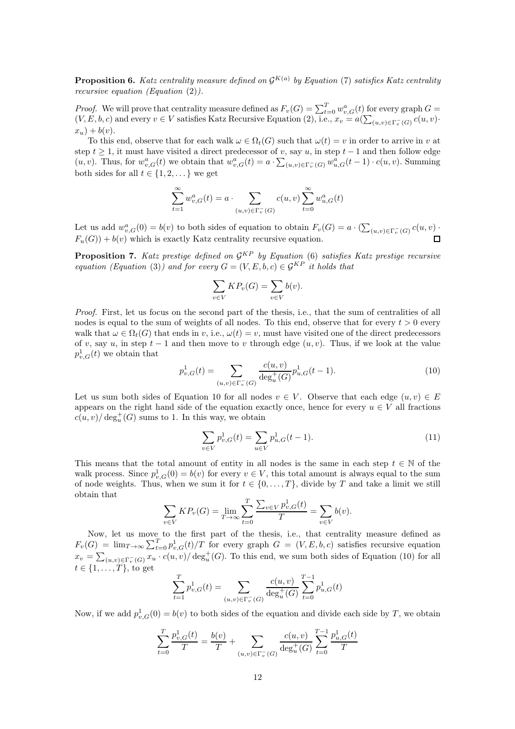<span id="page-11-1"></span>**Proposition 6.** Katz centrality measure defined on  $\mathcal{G}^{K(a)}$  by Equation [\(7\)](#page-3-3) satisfies Katz centrality recursive equation (Equation [\(2\)](#page-2-4)).

*Proof.* We will prove that centrality measure defined as  $F_v(G) = \sum_{t=0}^{T} w_{v,G}^a(t)$  for every graph  $G =$  $(V, E, b, c)$  and every  $v \in V$  satisfies Katz Recursive Equation [\(2\)](#page-2-4), i.e.,  $x_v = a(\sum_{(u,v) \in \Gamma_v^-(G)} c(u,v)$ .  $x_u$ ) +  $b(v)$ .

To this end, observe that for each walk  $\omega \in \Omega_t(G)$  such that  $\omega(t) = v$  in order to arrive in v at step  $t \geq 1$ , it must have visited a direct predecessor of v, say u, in step  $t-1$  and then follow edge  $(u, v)$ . Thus, for  $w_{v,G}^a(t)$  we obtain that  $w_{v,G}^a(t) = a \cdot \sum_{(u,v) \in \Gamma_v^-(G)} w_{u,G}^a(t-1) \cdot c(u, v)$ . Summing both sides for all  $t \in \{1, 2, \dots\}$  we get

$$
\sum_{t=1}^{\infty}w_{v,G}^a(t)=a\cdot\sum_{(u,v)\in\Gamma_v^-(G)}c(u,v)\sum_{t=0}^{\infty}w_{u,G}^a(t)
$$

Let us add  $w_{v,G}^a(0) = b(v)$  to both sides of equation to obtain  $F_v(G) = a \cdot (\sum_{(u,v) \in \Gamma_v^-(G)} c(u,v) \cdot$  $F_u(G) + b(v)$  which is exactly Katz centrality recursive equation. П

<span id="page-11-0"></span>**Proposition 7.** Katz prestige defined on  $\mathcal{G}^{KP}$  by Equation [\(6\)](#page-3-2) satisfies Katz prestige recursive equation (Equation [\(3\)](#page-2-3)) and for every  $G = (V, E, b, c) \in \mathcal{G}^{KP}$  it holds that

$$
\sum_{v \in V} KP_v(G) = \sum_{v \in V} b(v).
$$

Proof. First, let us focus on the second part of the thesis, i.e., that the sum of centralities of all nodes is equal to the sum of weights of all nodes. To this end, observe that for every  $t > 0$  every walk that  $\omega \in \Omega_t(G)$  that ends in v, i.e.,  $\omega(t) = v$ , must have visited one of the direct predecessors of v, say u, in step  $t-1$  and then move to v through edge  $(u, v)$ . Thus, if we look at the value  $p_{v,G}^1(t)$  we obtain that

<span id="page-11-2"></span>
$$
p_{v,G}^1(t) = \sum_{(u,v)\in\Gamma_v^-(G)} \frac{c(u,v)}{\deg_u^+(G)} p_{u,G}^1(t-1). \tag{10}
$$

Let us sum both sides of Equation [10](#page-11-2) for all nodes  $v \in V$ . Observe that each edge  $(u, v) \in E$ appears on the right hand side of the equation exactly once, hence for every  $u \in V$  all fractions  $c(u, v) / \deg_u^+(G)$  sums to 1. In this way, we obtain

<span id="page-11-3"></span>
$$
\sum_{v \in V} p_{v,G}^1(t) = \sum_{u \in V} p_{u,G}^1(t-1).
$$
\n(11)

This means that the total amount of entity in all nodes is the same in each step  $t \in \mathbb{N}$  of the walk process. Since  $p_{v,G}^1(0) = b(v)$  for every  $v \in V$ , this total amount is always equal to the sum of node weights. Thus, when we sum it for  $t \in \{0, \ldots, T\}$ , divide by T and take a limit we still obtain that

$$
\sum_{v \in V} K P_v(G) = \lim_{T \to \infty} \sum_{t=0}^{T} \frac{\sum_{v \in V} p_{v,G}^1(t)}{T} = \sum_{v \in V} b(v).
$$

Now, let us move to the first part of the thesis, i.e., that centrality measure defined as  $F_v(G) = \lim_{T \to \infty} \sum_{t=0}^T p_{v,G}^1(t)/T$  for every graph  $G = (V, E, b, c)$  satisfies recursive equation  $x_v = \sum_{(u,v)\in\Gamma_v^-(G)} x_u \cdot c(u,v) / \deg_u^+(G)$ . To this end, we sum both sides of Equation [\(10\)](#page-11-2) for all  $t \in \{1, \ldots, T\}$ , to get

$$
\sum_{t=1}^{T} p_{v,G}^1(t) = \sum_{(u,v)\in\Gamma_v^-(G)} \frac{c(u,v)}{\deg_u^+(G)} \sum_{t=0}^{T-1} p_{u,G}^1(t)
$$

Now, if we add  $p_{v,G}^1(0) = b(v)$  to both sides of the equation and divide each side by T, we obtain

$$
\sum_{t=0}^{T} \frac{p_{v,G}^1(t)}{T} = \frac{b(v)}{T} + \sum_{(u,v)\in\Gamma_v^-(G)} \frac{c(u,v)}{\deg_u^+(G)} \sum_{t=0}^{T-1} \frac{p_{u,G}^1(t)}{T}
$$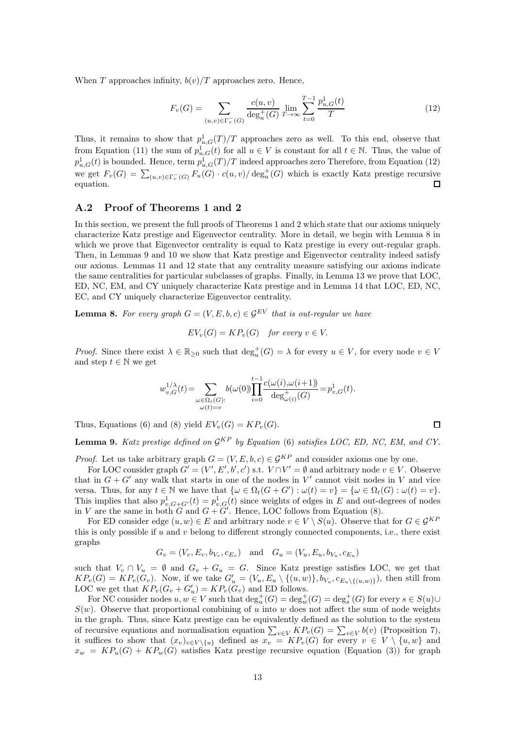When T approaches infinity,  $b(v)/T$  approaches zero. Hence,

<span id="page-12-3"></span>
$$
F_v(G) = \sum_{(u,v)\in\Gamma_v^-(G)} \frac{c(u,v)}{\deg_u^+(G)} \lim_{T \to \infty} \sum_{t=0}^{T-1} \frac{p_{u,G}^1(t)}{T}
$$
(12)

Thus, it remains to show that  $p_{u,G}^1(T)/T$  approaches zero as well. To this end, observe that from Equation [\(11\)](#page-11-3) the sum of  $p_{u,G}^1(t)$  for all  $u \in V$  is constant for all  $t \in \mathbb{N}$ . Thus, the value of  $p_{u,G}^1(t)$  is bounded. Hence, term  $p_{u,G}^1(T)/T$  indeed approaches zero Therefore, from Equation [\(12\)](#page-12-3) we get  $F_v(G) = \sum_{(u,v)\in\Gamma_v^-(G)} F_u(G) \cdot c(u,v) / \deg_u^+(G)$  which is exactly Katz prestige recursive equation.  $\Box$ 

#### <span id="page-12-2"></span>A.2 Proof of Theorems [1](#page-6-1) and [2](#page-6-2)

In this section, we present the full proofs of Theorems [1](#page-6-1) and [2](#page-6-2) which state that our axioms uniquely characterize Katz prestige and Eigenvector centrality. More in detail, we begin with Lemma [8](#page-12-0) in which we prove that Eigenvector centrality is equal to Katz prestige in every out-regular graph. Then, in Lemmas [9](#page-12-1) and [10](#page-14-0) we show that Katz prestige and Eigenvector centrality indeed satisfy our axioms. Lemmas [11](#page-14-1) and [12](#page-17-0) state that any centrality measure satisfying our axioms indicate the same centralities for particular subclasses of graphs. Finally, in Lemma [13](#page-20-0) we prove that LOC, ED, NC, EM, and CY uniquely characterize Katz prestige and in Lemma [14](#page-20-1) that LOC, ED, NC, EC, and CY uniquely characterize Eigenvector centrality.

<span id="page-12-0"></span>**Lemma 8.** For every graph  $G = (V, E, b, c) \in \mathcal{G}^{EV}$  that is out-regular we have

 $EV_n(G) = KP_n(G)$  for every  $v \in V$ .

*Proof.* Since there exist  $\lambda \in \mathbb{R}_{\geq 0}$  such that  $\deg_u^+(G) = \lambda$  for every  $u \in V$ , for every node  $v \in V$ and step  $t \in \mathbb{N}$  we get

$$
w_{v,G}^{1/\lambda}(t) = \sum_{\substack{\omega \in \Omega_t(G): \\ \omega(t) = v}} b(\omega(0)) \prod_{i=0}^{t-1} \frac{c(\omega(i), \omega(i+1))}{\deg_{\omega(i)}^+(G)} = p_{v,G}^1(t).
$$

Thus, Equations [\(6\)](#page-3-2) and [\(8\)](#page-3-1) yield  $EV_n(G) = KP_n(G)$ .

<span id="page-12-1"></span>**Lemma 9.** Katz prestige defined on  $\mathcal{G}^{KP}$  by Equation [\(6\)](#page-3-2) satisfies LOC, ED, NC, EM, and CY.

*Proof.* Let us take arbitrary graph  $G = (V, E, b, c) \in \mathcal{G}^{KP}$  and consider axioms one by one.

For LOC consider graph  $G' = (V', E', b', c')$  s.t.  $V \cap V' = \emptyset$  and arbitrary node  $v \in V$ . Observe that in  $G + G'$  any walk that starts in one of the nodes in V' cannot visit nodes in V and vice versa. Thus, for any  $t \in \mathbb{N}$  we have that  $\{\omega \in \Omega_t(G+G') : \omega(t)=v\} = \{\omega \in \Omega_t(G) : \omega(t)=v\}.$ This implies that also  $p_{v,G+G'}^1(t) = p_{v,G}^1(t)$  since weights of edges in E and out-degrees of nodes in V are the same in both  $G$  and  $G + G'$ . Hence, LOC follows from Equation [\(8\)](#page-3-1).

For ED consider edge  $(u, w) \in E$  and arbitrary node  $v \in V \setminus S(u)$ . Observe that for  $G \in \mathcal{G}^{KP}$ this is only possible if  $u$  and  $v$  belong to different strongly connected components, i.e., there exist graphs

$$
G_v = (V_v, E_v, b_{V_v}, c_{E_v})
$$
 and  $G_u = (V_u, E_u, b_{V_u}, c_{E_u})$ 

such that  $V_v \cap V_u = \emptyset$  and  $G_v + G_u = G$ . Since Katz prestige satisfies LOC, we get that  $KP_v(G) = KP_v(G_v)$ . Now, if we take  $G'_u = (V_u, E_u \setminus \{(u, w)\}, b_{V_u}, c_{E_u \setminus \{(u, w)\}})$ , then still from LOC we get that  $KP_v(G_v+G'_u)=KP_v(G_v)$  and ED follows.

For NC consider nodes  $u, w \in V$  such that  $\deg_u^+(G) = \deg_v^+(G) = \deg_s^+(G)$  for every  $s \in S(u) \cup$  $S(w)$ . Observe that proportional combining of u into w does not affect the sum of node weights in the graph. Thus, since Katz prestige can be equivalently defined as the solution to the system of recursive equations and normalisation equation  $\sum_{v \in V} KP_v(G) = \sum_{v \in V} b(v)$  (Proposition [7\)](#page-11-0), it suffices to show that  $(x_v)_{v\in V\setminus\{u\}}$  defined as  $x_v = KP_v(G)$  for every  $v \in V\setminus\{u, w\}$  and  $x_w = KP_u(G) + KP_w(G)$  satisfies Katz prestige recursive equation (Equation [\(3\)](#page-2-3)) for graph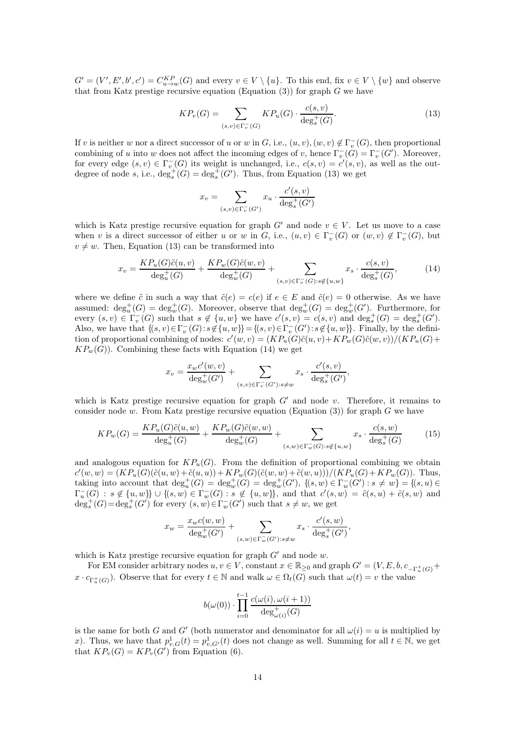$G' = (V', E', b', c') = C_{u \to w}^{KP}(G)$  and every  $v \in V \setminus \{u\}$ . To this end, fix  $v \in V \setminus \{w\}$  and observe that from Katz prestige recursive equation (Equation  $(3)$ ) for graph G we have

<span id="page-13-0"></span>
$$
KP_v(G) = \sum_{(s,v)\in\Gamma_v^-(G)} KP_u(G) \cdot \frac{c(s,v)}{\deg^+(G)}.
$$
\n
$$
(13)
$$

If v is neither w nor a direct successor of u or w in G, i.e.,  $(u, v), (w, v) \notin \Gamma_v^-(G)$ , then proportional combining of u into w does not affect the incoming edges of v, hence  $\Gamma_v^-(G) = \Gamma_v^-(G')$ . Moreover, for every edge  $(s, v) \in \Gamma_v^-(G)$  its weight is unchanged, i.e.,  $c(s, v) = c'(s, v)$ , as well as the outdegree of node s, i.e.,  $\deg_s^+(G) = \deg_s^+(G')$ . Thus, from Equation [\(13\)](#page-13-0) we get

<span id="page-13-1"></span>
$$
x_v = \sum_{(s,v) \in \Gamma_v^-(G')} x_u \cdot \frac{c'(s,v)}{\deg^+_s(G')}
$$

which is Katz prestige recursive equation for graph G' and node  $v \in V$ . Let us move to a case when v is a direct successor of either u or w in G, i.e.,  $(u, v) \in \Gamma_v^-(G)$  or  $(w, v) \notin \Gamma_v^-(G)$ , but  $v \neq w$ . Then, Equation [\(13\)](#page-13-0) can be transformed into

$$
x_v = \frac{KP_u(G)\tilde{c}(u,v)}{\deg_u^+(G)} + \frac{KP_w(G)\tilde{c}(w,v)}{\deg_w^+(G)} + \sum_{(s,v)\in\Gamma_v^-(G):s\not\in\{u,w\}} x_s \cdot \frac{c(s,v)}{\deg_s^+(G)},\tag{14}
$$

where we define  $\tilde{c}$  in such a way that  $\tilde{c}(e) = c(e)$  if  $e \in E$  and  $\tilde{c}(e) = 0$  otherwise. As we have assumed:  $\deg_u^+(G) = \deg_w^+(G)$ . Moreover, observe that  $\deg_w^+(G) = \deg_w^+(G')$ . Furthermore, for every  $(s, v) \in \Gamma_v^-(G)$  such that  $s \notin \{u, w\}$  we have  $c'(s, v) = c(s, v)$  and  $\deg_s^+(G) = \deg_s^+(G')$ . Also, we have that  $\{(s, v) \in \Gamma_v^-(G) : s \notin \{u, w\}\} = \{(s, v) \in \Gamma_v^-(G') : s \notin \{u, w\}\}\.$  Finally, by the definition of proportional combining of nodes:  $c'(w, v) = (KP_u(G)\tilde{c}(u, v) + KP_w(G)\tilde{c}(w, v))/(KP_u(G) +$  $KP_w(G)$ . Combining these facts with Equation [\(14\)](#page-13-1) we get

$$
x_v = \frac{x_w c'(w, v)}{\deg_w^+(G')} + \sum_{(s, v) \in \Gamma_v^-(G') : s \neq w} x_s \cdot \frac{c'(s, v)}{\deg_s^+(G')},
$$

which is Katz prestige recursive equation for graph  $G'$  and node v. Therefore, it remains to consider node w. From Katz prestige recursive equation (Equation  $(3)$ ) for graph G we have

$$
KP_w(G) = \frac{KP_u(G)\tilde{c}(u,w)}{\deg_u^+(G)} + \frac{KP_w(G)\tilde{c}(w,w)}{\deg_w^+(G)} + \sum_{(s,w)\in\Gamma_w^-(G):s\not\in\{u,w\}} x_s \cdot \frac{c(s,w)}{\deg_s^+(G)}\tag{15}
$$

and analogous equation for  $KP_u(G)$ . From the definition of proportional combining we obtain  $c'(w, w) = (KP_u(G)(\tilde{c}(u, w) + \tilde{c}(u, u)) + KP_w(G)(\tilde{c}(w, w) + \tilde{c}(w, u)))/(KP_u(G) + KP_w(G)).$  Thus, taking into account that  $\deg_u^+(G) = \deg_w^+(G) = \deg_w^+(G')$ ,  $\{(s, w) \in \Gamma_w^-(G') : s \neq w\} = \{(s, u) \in$  $\Gamma_u^-(G) : s \notin \{u, w\} \cup \{ (s, w) \in \Gamma_w^-(G) : s \notin \{u, w\} \},$  and that  $c'(s, w) = \tilde{c}(s, u) + \tilde{c}(s, w)$  and  $deg_s^+(G) = deg_s^+(G')$  for every  $(s, w) \in \Gamma_w^-(G')$  such that  $s \neq w$ , we get

$$
x_w = \frac{x_w c(w, w)}{\deg_w^+(G')} + \sum_{(s, w) \in \Gamma_w^-(G') : s \neq w} x_s \cdot \frac{c'(s, w)}{\deg_s^+(G')},
$$

which is Katz prestige recursive equation for graph  $G'$  and node  $w$ .

For EM consider arbitrary nodes  $u, v \in V$ , constant  $x \in \mathbb{R}_{\geq 0}$  and graph  $G' = (V, E, b, c_{-\Gamma_u^+(G)} +$  $x \cdot c_{\Gamma_u^+(G)}$ ). Observe that for every  $t \in \mathbb{N}$  and walk  $\omega \in \Omega_t(G)$  such that  $\omega(t) = v$  the value

$$
b(\omega(0)) \cdot \prod_{i=0}^{t-1} \frac{c(\omega(i), \omega(i+1))}{\deg_{\omega(i)}^+(G)}
$$

is the same for both G and G' (both numerator and denominator for all  $\omega(i) = u$  is multiplied by x). Thus, we have that  $p_{v,G}^1(t) = p_{v,G'}^1(t)$  does not change as well. Summing for all  $t \in \mathbb{N}$ , we get that  $KP_v(G) = KP_v(G')$  from Equation [\(6\)](#page-3-2).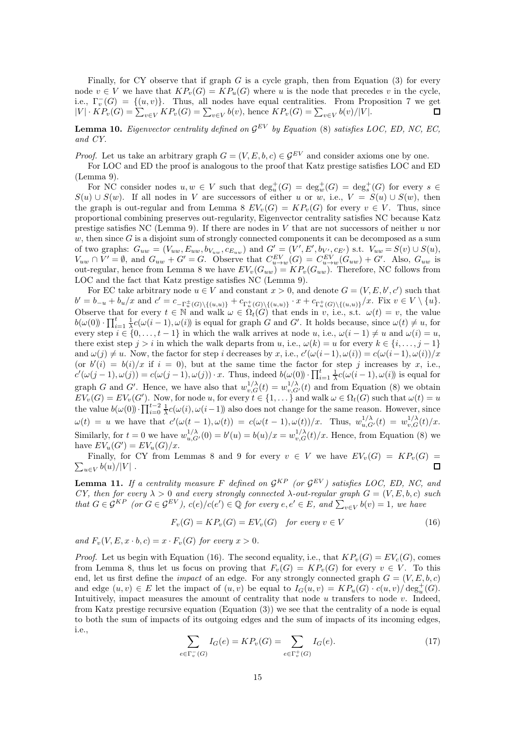Finally, for CY observe that if graph  $G$  is a cycle graph, then from Equation [\(3\)](#page-2-3) for every node  $v \in V$  we have that  $KP_v(G) = KP_u(G)$  where u is the node that precedes v in the cycle, i.e.,  $\Gamma_v^-(G) = \{(u, v)\}.$  Thus, all nodes have equal centralities. From Proposition [7](#page-11-0) we get  $|V| \cdot KP_v(G) = \sum_{v \in V} KP_v(G) = \sum_{v \in V} b(v)$ , hence  $KP_v(G) = \sum_{v \in V} b(v)/|V|$ .  $\blacksquare$ 

<span id="page-14-0"></span>**Lemma 10.** Eigenvector centrality defined on  $\mathcal{G}^{EV}$  by Equation [\(8\)](#page-3-1) satisfies LOC, ED, NC, EC, and CY.

*Proof.* Let us take an arbitrary graph  $G = (V, E, b, c) \in \mathcal{G}^{EV}$  and consider axioms one by one.

For LOC and ED the proof is analogous to the proof that Katz prestige satisfies LOC and ED (Lemma [9\)](#page-12-1).

For NC consider nodes  $u, w \in V$  such that  $\deg_u^+(G) = \deg_w^+(G) = \deg_s^+(G)$  for every  $s \in$  $S(u) \cup S(w)$ . If all nodes in V are successors of either u or w, i.e.,  $V = S(u) \cup S(w)$ , then the graph is out-regular and from Lemma [8](#page-12-0)  $EV_v(G) = KP_v(G)$  for every  $v \in V$ . Thus, since proportional combining preserves out-regularity, Eigenvector centrality satisfies NC because Katz prestige satisfies NC (Lemma [9\)](#page-12-1). If there are nodes in  $V$  that are not successors of neither  $u$  nor  $w$ , then since  $G$  is a disjoint sum of strongly connected components it can be decomposed as a sum of two graphs:  $G_{uw} = (V_{uw}, E_{uw}, b_{V_{uw}}, c_{E_{uw}})$  and  $G' = (V', E', b_{V'}, c_{E'})$  s.t.  $V_{uw} = S(v) \cup S(u)$ ,  $V_{uw} \cap V' = \emptyset$ , and  $G_{uw} + G' = G$ . Observe that  $C_{u \to w}^{EV}(G) = C_{u \to w}^{EV}(G_{uw}) + G'$ . Also,  $G_{uw}$  is out-regular, hence from Lemma [8](#page-12-0) we have  $EV_v(G_{uw}) = KP_v(G_{uw})$ . Therefore, NC follows from LOC and the fact that Katz prestige satisfies NC (Lemma [9\)](#page-12-1).

For EC take arbitrary node  $u \in V$  and constant  $x > 0$ , and denote  $G = (V, E, b', c')$  such that  $b' = b_{-u} + b_u/x$  and  $c' = c_{-\Gamma_u^{\pm}(G) \setminus \{(u,u)\}} + c_{\Gamma_u^{\pm}(G) \setminus \{(u,u)\}} \cdot x + c_{\Gamma_u^{\pm}(G) \setminus \{(u,u)\}}/x$ . Fix  $v \in V \setminus \{u\}$ . Observe that for every  $t \in \mathbb{N}$  and walk  $\omega \in \Omega_t(G)$  that ends in v, i.e., s.t.  $\omega(t) = v$ , the value  $b(\omega(0)) \cdot \prod_{i=1}^{t} \frac{1}{\lambda} c(\omega(i-1), \omega(i))$  is equal for graph G and G'. It holds because, since  $\omega(t) \neq u$ , for every step  $i \in \{0, \ldots, t-1\}$  in which the walk arrives at node u, i.e.,  $\omega(i-1) \neq u$  and  $\omega(i) = u$ , there exist step  $j > i$  in which the walk departs from u, i.e.,  $\omega(k) = u$  for every  $k \in \{i, \ldots, j-1\}$ and  $\omega(j) \neq u$ . Now, the factor for step i decreases by x, i.e.,  $c'(\omega(i-1), \omega(i)) = c(\omega(i-1), \omega(i))/x$ (or  $b'(i) = b(i)/x$  if  $i = 0$ ), but at the same time the factor for step j increases by x, i.e.,  $c'(\omega(j-1), \omega(j)) = c(\omega(j-1), \omega(j)) \cdot x$ . Thus, indeed  $b(\omega(0)) \cdot \prod_{i=1}^{t} \frac{1}{\lambda} c(\omega(i-1), \omega(i))$  is equal for graph G and G'. Hence, we have also that  $w_{v,G}^{1/\lambda}(t) = w_{v,G}^{1/\lambda}(t)$  and from Equation [\(8\)](#page-3-1) we obtain  $EV_v(G) = EV_v(G')$ . Now, for node u, for every  $t \in \{1, \dots\}$  and walk  $\omega \in \Omega_t(G)$  such that  $\omega(t) = u$ the value  $b(\omega(0)) \cdot \prod_{i=0}^{t-2} \frac{1}{\lambda}c(\omega(i), \omega(i-1))$  also does not change for the same reason. However, since  $\omega(t) = u$  we have that  $c'(\omega(t-1), \omega(t)) = c(\omega(t-1), \omega(t))/x$ . Thus,  $w_{u,G'}^{1/\lambda}(t) = w_{v,G}^{1/\lambda}(t)/x$ . Similarly, for  $t = 0$  we have  $w_{u,G'}^{1/\lambda}(0) = b'(u) = b(u)/x = w_{v,G}^{1/\lambda}(t)/x$ . Hence, from Equation [\(8\)](#page-3-1) we have  $EV_u(G') = EV_u(G)/x$ .

Finally, for CY from Lemmas [8](#page-12-0) and [9](#page-12-1) for every  $v \in V$  we have  $EV_v(G) = KP_v(G)$  $\sum_{u\in V}b(u)/|V|$ .  $\Box$ 

<span id="page-14-1"></span>**Lemma 11.** If a centrality measure F defined on  $\mathcal{G}^{KP}$  (or  $\mathcal{G}^{EV}$ ) satisfies LOC, ED, NC, and CY, then for every  $\lambda > 0$  and every strongly connected  $\lambda$ -out-regular graph  $G = (V, E, b, c)$  such that  $G \in \mathcal{G}^{KP}$  (or  $G \in \mathcal{G}^{EV}$ ),  $c(e)/c(e') \in \mathbb{Q}$  for every  $e, e' \in E$ , and  $\sum_{v \in V} b(v) = 1$ , we have

<span id="page-14-2"></span>
$$
F_v(G) = KP_v(G) = EV_v(G) \quad \text{for every } v \in V
$$
\n
$$
(16)
$$

and  $F_v(V, E, x \cdot b, c) = x \cdot F_v(G)$  for every  $x > 0$ .

<span id="page-14-3"></span>*Proof.* Let us begin with Equation [\(16\)](#page-14-2). The second equality, i.e., that  $KP_v(G) = EV_c(G)$ , comes from Lemma [8,](#page-12-0) thus let us focus on proving that  $F_v(G) = KP_v(G)$  for every  $v \in V$ . To this end, let us first define the *impact* of an edge. For any strongly connected graph  $G = (V, E, b, c)$ and edge  $(u, v) \in E$  let the impact of  $(u, v)$  be equal to  $I_G(u, v) = KP_u(G) \cdot c(u, v) / deg_u^+(G)$ . Intuitively, impact measures the amount of centrality that node  $u$  transfers to node  $v$ . Indeed, from Katz prestige recursive equation (Equation [\(3\)](#page-2-3)) we see that the centrality of a node is equal to both the sum of impacts of its outgoing edges and the sum of impacts of its incoming edges, i.e.,

$$
\sum_{e \in \Gamma_v^-(G)} I_G(e) = KP_v(G) = \sum_{e \in \Gamma_v^+(G)} I_G(e). \tag{17}
$$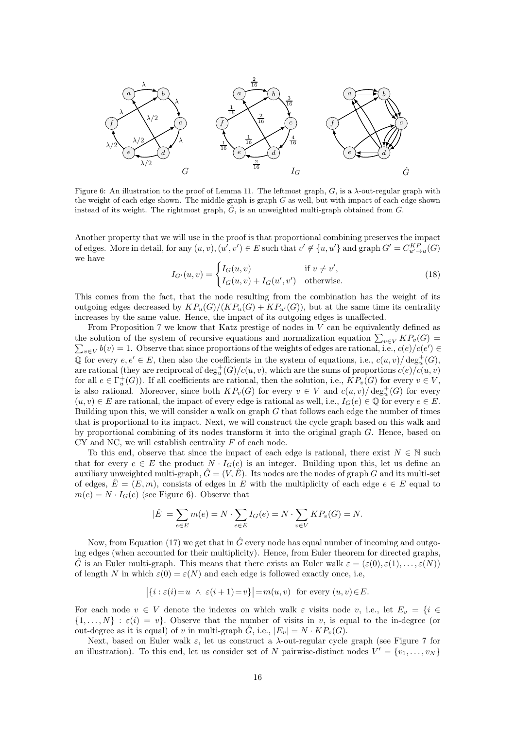<span id="page-15-0"></span>

Figure 6: An illustration to the proof of Lemma [11.](#page-14-1) The leftmost graph,  $G$ , is a  $\lambda$ -out-regular graph with the weight of each edge shown. The middle graph is graph  $G$  as well, but with impact of each edge shown instead of its weight. The rightmost graph,  $\hat{G}$ , is an unweighted multi-graph obtained from  $G$ .

<span id="page-15-1"></span>Another property that we will use in the proof is that proportional combining preserves the impact of edges. More in detail, for any  $(u, v), (u', v') \in E$  such that  $v' \notin \{u, u'\}$  and graph  $G' = C_{u' \to u}^{KP}(G)$ we have

$$
I_{G'}(u,v) = \begin{cases} I_G(u,v) & \text{if } v \neq v', \\ I_G(u,v) + I_G(u',v') & \text{otherwise.} \end{cases}
$$
(18)

This comes from the fact, that the node resulting from the combination has the weight of its outgoing edges decreased by  $KP_u(G)/(KP_u(G) + KP_{u'}(G))$ , but at the same time its centrality increases by the same value. Hence, the impact of its outgoing edges is unaffected.

From Proposition [7](#page-11-0) we know that Katz prestige of nodes in  $V$  can be equivalently defined as the solution of the system of recursive equations and normalization equation  $\sum_{v\in V} KP_v(G)$ the solution of the system of recursive equations and normalization equation  $\sum_{v \in V} KP_v(G) = \sum_{v \in V} b(v) = 1$ . Observe that since proportions of the weights of edges are rational, i.e.,  $c(e)/c(e') \in$  $\mathbb Q$  for every  $e, e' \in E$ , then also the coefficients in the system of equations, i.e.,  $c(u, v)/ \deg_u^+(G)$ , are rational (they are reciprocal of  $\deg_u^+(G)/c(u,v)$ , which are the sums of proportions  $c(e)/c(u,v)$ for all  $e \in \Gamma_u^+(G)$ ). If all coefficients are rational, then the solution, i.e.,  $KP_v(G)$  for every  $v \in V$ , is also rational. Moreover, since both  $KP_v(G)$  for every  $v \in V$  and  $c(u, v)/\deg_u^+(G)$  for every  $(u, v) \in E$  are rational, the impact of every edge is rational as well, i.e.,  $I_G(e) \in \mathbb{Q}$  for every  $e \in E$ . Building upon this, we will consider a walk on graph  $G$  that follows each edge the number of times that is proportional to its impact. Next, we will construct the cycle graph based on this walk and by proportional combining of its nodes transform it into the original graph  $G$ . Hence, based on CY and NC, we will establish centrality F of each node.

To this end, observe that since the impact of each edge is rational, there exist  $N \in \mathbb{N}$  such that for every  $e \in E$  the product  $N \cdot I_G(e)$  is an integer. Building upon this, let us define an auxiliary unweighted multi-graph,  $\hat{G} = (V, \hat{E})$ . Its nodes are the nodes of graph G and its multi-set of edges,  $\hat{E} = (E, m)$ , consists of edges in E with the multiplicity of each edge  $e \in E$  equal to  $m(e) = N \cdot I_G(e)$  (see Figure [6\)](#page-15-0). Observe that

$$
|\hat{E}| = \sum_{e \in E} m(e) = N \cdot \sum_{e \in E} I_G(e) = N \cdot \sum_{v \in V} K P_v(G) = N.
$$

Now, from Equation [\(17\)](#page-14-3) we get that in  $\hat{G}$  every node has equal number of incoming and outgoing edges (when accounted for their multiplicity). Hence, from Euler theorem for directed graphs,  $\hat{G}$  is an Euler multi-graph. This means that there exists an Euler walk  $\varepsilon = (\varepsilon(0), \varepsilon(1), \ldots, \varepsilon(N))$ of length N in which  $\varepsilon(0) = \varepsilon(N)$  and each edge is followed exactly once, i.e,

$$
\left| \{ i : \varepsilon(i) = u \ \land \ \varepsilon(i+1) = v \} \right| = m(u, v) \text{ for every } (u, v) \in E.
$$

For each node  $v \in V$  denote the indexes on which walk  $\varepsilon$  visits node v, i.e., let  $E_v = \{i \in$  $\{1,\ldots,N\} : \varepsilon(i) = v\}$ . Observe that the number of visits in v, is equal to the in-degree (or out-degree as it is equal) of v in multi-graph  $\hat{G}$ , i.e.,  $|E_v| = N \cdot KP_v(G)$ .

Next, based on Euler walk  $\varepsilon$ , let us construct a  $\lambda$ -out-regular cycle graph (see Figure [7](#page-16-0) for an illustration). To this end, let us consider set of N pairwise-distinct nodes  $V' = \{v_1, \ldots, v_N\}$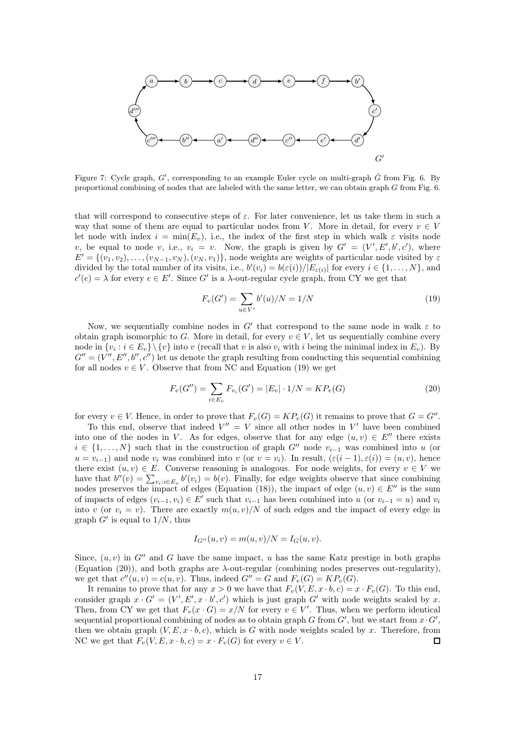<span id="page-16-0"></span>

Figure 7: Cycle graph,  $G'$ , corresponding to an example Euler cycle on multi-graph  $\hat{G}$  from Fig. [6.](#page-15-0) By proportional combining of nodes that are labeled with the same letter, we can obtain graph G from Fig. [6.](#page-15-0)

that will correspond to consecutive steps of  $\varepsilon$ . For later convenience, let us take them in such a way that some of them are equal to particular nodes from V. More in detail, for every  $v \in V$ let node with index  $i = \min(E_v)$ , i.e., the index of the first step in which walk  $\varepsilon$  visits node v, be equal to node v, i.e.,  $v_i = v$ . Now, the graph is given by  $G' = (V', E', b', c')$ , where  $E' = \{(v_1, v_2), \ldots, (v_{N-1}, v_N), (v_N, v_1)\}\$ , node weights are weights of particular node visited by  $\varepsilon$ divided by the total number of its visits, i.e.,  $b'(v_i) = b(\varepsilon(i))/|E_{\varepsilon(i)}|$  for every  $i \in \{1, ..., N\}$ , and  $c'(e) = \lambda$  for every  $e \in E'$ . Since G' is a  $\lambda$ -out-regular cycle graph, from CY we get that

<span id="page-16-2"></span><span id="page-16-1"></span>
$$
F_v(G') = \sum_{u \in V'} b'(u)/N = 1/N
$$
\n(19)

Now, we sequentially combine nodes in  $G'$  that correspond to the same node in walk  $\varepsilon$  to obtain graph isomorphic to G. More in detail, for every  $v \in V$ , let us sequentially combine every node in  $\{v_i : i \in E_v\} \setminus \{v\}$  into v (recall that v is also  $v_i$  with i being the minimal index in  $E_v$ ). By  $G'' = (V'', E'', b'', c'')$  let us denote the graph resulting from conducting this sequential combining for all nodes  $v \in V$ . Observe that from NC and Equation [\(19\)](#page-16-1) we get

$$
F_v(G'') = \sum_{i \in E_v} F_{v_i}(G') = |E_v| \cdot 1/N = KP_v(G)
$$
\n(20)

for every  $v \in V$ . Hence, in order to prove that  $F_v(G) = KP_v(G)$  it remains to prove that  $G = G''$ .

To this end, observe that indeed  $V'' = V$  since all other nodes in  $V'$  have been combined into one of the nodes in V. As for edges, observe that for any edge  $(u, v) \in E''$  there exists  $i \in \{1, \ldots, N\}$  such that in the construction of graph G'' node  $v_{i-1}$  was combined into u (or  $u = v_{i-1}$ ) and node  $v_i$  was combined into v (or  $v = v_i$ ). In result,  $(\varepsilon(i-1), \varepsilon(i)) = (u, v)$ , hence there exist  $(u, v) \in E$ . Converse reasoning is analogous. For node weights, for every  $v \in V$  we have that  $b''(v) = \sum_{v_i:i\in E_v} b'(v_i) = b(v)$ . Finally, for edge weights observe that since combining nodes preserves the impact of edges (Equation [\(18\)](#page-15-1)), the impact of edge  $(u, v) \in E''$  is the sum of impacts of edges  $(v_{i-1}, v_i) \in E'$  such that  $v_{i-1}$  has been combined into u (or  $v_{i-1} = u$ ) and  $v_i$ into v (or  $v_i = v$ ). There are exactly  $m(u, v)/N$  of such edges and the impact of every edge in graph  $G'$  is equal to  $1/N$ , thus

$$
I_{G''}(u, v) = m(u, v)/N = I_G(u, v).
$$

Since,  $(u, v)$  in G'' and G have the same impact, u has the same Katz prestige in both graphs (Equation [\(20\)](#page-16-2)), and both graphs are  $\lambda$ -out-regular (combining nodes preserves out-regularity), we get that  $c''(u, v) = c(u, v)$ . Thus, indeed  $G'' = G$  and  $F_v(G) = KP_v(G)$ .

It remains to prove that for any  $x > 0$  we have that  $F_v(V, E, x \cdot b, c) = x \cdot F_v(G)$ . To this end, consider graph  $x \cdot G' = (V', E', x \cdot b', c')$  which is just graph G' with node weights scaled by x. Then, from CY we get that  $F_v(x \cdot G) = x/N$  for every  $v \in V'$ . Thus, when we perform identical sequential proportional combining of nodes as to obtain graph G from  $G'$ , but we start from  $x \cdot G'$ , then we obtain graph  $(V, E, x \cdot b, c)$ , which is G with node weights scaled by x. Therefore, from NC we get that  $F_v(V, E, x \cdot b, c) = x \cdot F_v(G)$  for every  $v \in V$ .  $\Box$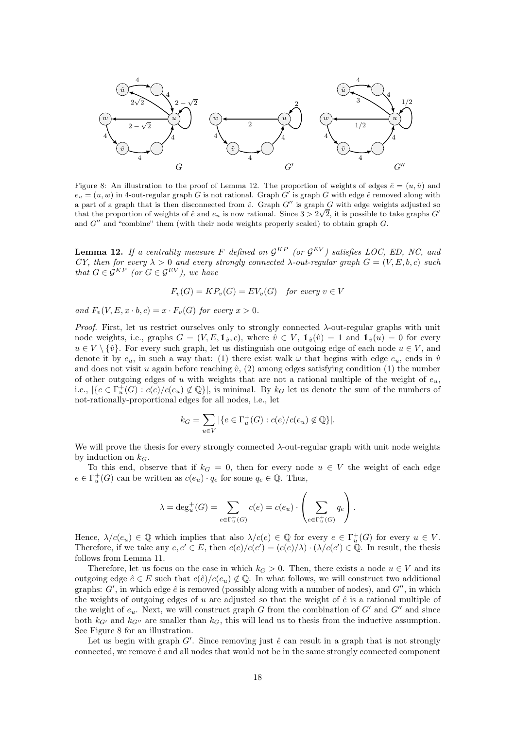<span id="page-17-1"></span>

Figure 8: An illustration to the proof of Lemma [12.](#page-17-0) The proportion of weights of edges  $\hat{e} = (u, \hat{u})$  and  $e_u = (u, w)$  in 4-out-regular graph G is not rational. Graph G' is graph G with edge  $\hat{e}$  removed along with a part of a graph that is then disconnected from  $\hat{v}$ . Graph G'' is graph G with edge weights adjusted so that the proportion of weights of  $\hat{e}$  and  $e_u$  is now rational. Since  $3 > 2\sqrt{2}$ , it is possible to take graphs  $G'$ and  $G''$  and "combine" them (with their node weights properly scaled) to obtain graph  $G$ .

<span id="page-17-0"></span>**Lemma 12.** If a centrality measure F defined on  $\mathcal{G}^{KP}$  (or  $\mathcal{G}^{EV}$ ) satisfies LOC, ED, NC, and CY, then for every  $\lambda > 0$  and every strongly connected  $\lambda$ -out-regular graph  $G = (V, E, b, c)$  such that  $G \in \mathcal{G}^{KP}$  (or  $G \in \mathcal{G}^{EV}$ ), we have

$$
F_v(G) = KP_v(G) = EV_v(G) \quad for\ every\ v \in V
$$

and  $F_v(V, E, x \cdot b, c) = x \cdot F_v(G)$  for every  $x > 0$ .

*Proof.* First, let us restrict ourselves only to strongly connected  $\lambda$ -out-regular graphs with unit node weights, i.e., graphs  $G = (V, E, \mathbb{1}_{\hat{v}}, c)$ , where  $\hat{v} \in V$ ,  $\mathbb{1}_{\hat{v}}(\hat{v}) = 1$  and  $\mathbb{1}_{\hat{v}}(u) = 0$  for every  $u \in V \setminus \{\hat{v}\}.$  For every such graph, let us distinguish one outgoing edge of each node  $u \in V$ , and denote it by  $e_u$ , in such a way that: (1) there exist walk  $\omega$  that begins with edge  $e_u$ , ends in  $\hat{v}$ and does not visit u again before reaching  $\hat{v}$ , (2) among edges satisfying condition (1) the number of other outgoing edges of u with weights that are not a rational multiple of the weight of  $e_u$ , i.e.,  $|\{e \in \Gamma_u^+(G) : c(e)/c(e_u) \notin \mathbb{Q}\}|$ , is minimal. By  $k_G$  let us denote the sum of the numbers of not-rationally-proportional edges for all nodes, i.e., let

$$
k_G = \sum_{u \in V} |\{e \in \Gamma_u^+(G) : c(e)/c(e_u) \notin \mathbb{Q}\}|.
$$

We will prove the thesis for every strongly connected λ-out-regular graph with unit node weights by induction on  $k_G$ .

To this end, observe that if  $k_G = 0$ , then for every node  $u \in V$  the weight of each edge  $e \in \Gamma_u^+(G)$  can be written as  $c(e_u) \cdot q_e$  for some  $q_e \in \mathbb{Q}$ . Thus,

$$
\lambda = \deg_u^+(G) = \sum_{e \in \Gamma_u^+(G)} c(e) = c(e_u) \cdot \left( \sum_{e \in \Gamma_u^+(G)} q_e \right).
$$

Hence,  $\lambda/c(e_u) \in \mathbb{Q}$  which implies that also  $\lambda/c(e) \in \mathbb{Q}$  for every  $e \in \Gamma_u^+(G)$  for every  $u \in V$ . Therefore, if we take any  $e, e' \in E$ , then  $c(e)/c(e') = (c(e)/\lambda) \cdot (\lambda/c(e') \in \mathbb{Q}$ . In result, the thesis follows from Lemma [11.](#page-14-1)

Therefore, let us focus on the case in which  $k_G > 0$ . Then, there exists a node  $u \in V$  and its outgoing edge  $\hat{e} \in E$  such that  $c(\hat{e})/c(e_u) \notin \mathbb{Q}$ . In what follows, we will construct two additional graphs:  $G'$ , in which edge  $\hat{e}$  is removed (possibly along with a number of nodes), and  $G''$ , in which the weights of outgoing edges of u are adjusted so that the weight of  $\hat{e}$  is a rational multiple of the weight of  $e_u$ . Next, we will construct graph G from the combination of G' and G'' and since both  $k_{G'}$  and  $k_{G''}$  are smaller than  $k_G$ , this will lead us to thesis from the inductive assumption. See Figure [8](#page-17-1) for an illustration.

Let us begin with graph  $G'$ . Since removing just  $\hat{e}$  can result in a graph that is not strongly connected, we remove  $\hat{e}$  and all nodes that would not be in the same strongly connected component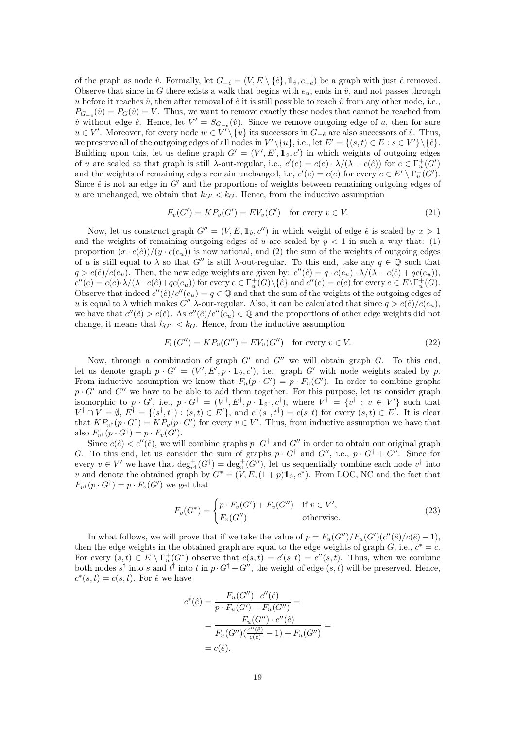of the graph as node  $\hat{v}$ . Formally, let  $G_{-\hat{e}} = (V, E \setminus \{\hat{e}\}, \mathbb{1}_{\hat{v}}, c_{-\hat{e}})$  be a graph with just  $\hat{e}$  removed. Observe that since in G there exists a walk that begins with  $e_u$ , ends in  $\hat{v}$ , and not passes through u before it reaches  $\hat{v}$ , then after removal of  $\hat{e}$  it is still possible to reach  $\hat{v}$  from any other node, i.e.,  $P_{G_{-\hat{e}}}(\hat{v}) = P_G(\hat{v}) = V$ . Thus, we want to remove exactly these nodes that cannot be reached from  $\hat{v}$  without edge  $\hat{e}$ . Hence, let  $V' = S_{G_{-\hat{e}}}(\hat{v})$ . Since we remove outgoing edge of u, then for sure  $u \in V'$ . Moreover, for every node  $w \in V' \setminus \{u\}$  its successors in  $G_{-\hat{e}}$  are also successors of  $\hat{v}$ . Thus, we preserve all of the outgoing edges of all nodes in  $V'\setminus\{u\}$ , i.e., let  $E' = \{(s, t) \in E : s \in V'\}\setminus\{\hat{e}\}.$ Building upon this, let us define graph  $G' = (V', E', \mathbb{1}_v, c')$  in which weights of outgoing edges of u are scaled so that graph is still  $\lambda$ -out-regular, i.e.,  $c'(e) = c(e) \cdot \lambda/(\lambda - c(\hat{e}))$  for  $e \in \Gamma_u^+(G')$ and the weights of remaining edges remain unchanged, i.e,  $c'(e) = c(e)$  for every  $e \in E' \setminus \Gamma_u^+(G')$ . Since  $\hat{e}$  is not an edge in  $G'$  and the proportions of weights between remaining outgoing edges of u are unchanged, we obtain that  $k_{G'} < k_G$ . Hence, from the inductive assumption

<span id="page-18-1"></span>
$$
F_v(G') = KP_v(G') = EV_v(G') \quad \text{for every } v \in V. \tag{21}
$$

Now, let us construct graph  $G'' = (V, E, \mathbb{1}_{\hat{v}}, c'')$  in which weight of edge  $\hat{e}$  is scaled by  $x > 1$ and the weights of remaining outgoing edges of u are scaled by  $y < 1$  in such a way that: (1) proportion  $(x \cdot c(\hat{e}))/(y \cdot c(e_u))$  is now rational, and (2) the sum of the weights of outgoing edges of u is still equal to  $\lambda$  so that G'' is still  $\lambda$ -out-regular. To this end, take any  $q \in \mathbb{Q}$  such that  $q > c(\hat{e})/c(e_u)$ . Then, the new edge weights are given by:  $c''(\hat{e}) = q \cdot c(e_u) \cdot \lambda/(\lambda - c(\hat{e}) + qc(e_u)),$  $c''(e) = c(e) \cdot \lambda/(\lambda - c(\hat{e}) + qc(e_u))$  for every  $e \in \Gamma_u^+(G) \setminus {\hat{e}}$  and  $c''(e) = c(e)$  for every  $e \in E \setminus \Gamma_u^+(G)$ . Observe that indeed  $c''(\hat{e})/c''(e_u) = q \in \mathbb{Q}$  and that the sum of the weights of the outgoing edges of u is equal to  $\lambda$  which makes G''  $\lambda$ -our-regular. Also, it can be calculated that since  $q > c(\hat{e})/c(e_u)$ , we have that  $c''(\hat{e}) > c(\hat{e})$ . As  $c''(\hat{e})/c''(e_u) \in \mathbb{Q}$  and the proportions of other edge weights did not change, it means that  $k_{G''} < k_G$ . Hence, from the inductive assumption

<span id="page-18-2"></span>
$$
F_v(G'') = KP_v(G'') = EV_v(G'') \quad \text{for every } v \in V. \tag{22}
$$

Now, through a combination of graph  $G'$  and  $G''$  we will obtain graph  $G$ . To this end, let us denote graph  $p \cdot G' = (V', E', p \cdot 1_{\hat{v}}, c')$ , i.e., graph G' with node weights scaled by p. From inductive assumption we know that  $F_u(p \cdot G') = p \cdot F_u(G')$ . In order to combine graphs  $p \cdot G'$  and  $G''$  we have to be able to add them together. For this purpose, let us consider graph isomorphic to  $p \cdot G'$ , i.e.,  $p \cdot G^{\dagger} = (V^{\dagger}, E^{\dagger}, p \cdot \mathbb{1}_{\hat{v}^{\dagger}}, c^{\dagger})$ , where  $V^{\dagger} = \{v^{\dagger} : v \in V'\}$  such that  $V^{\dagger} \cap V = \emptyset, E^{\dagger} = \{(s^{\dagger}, t^{\dagger}) : (s, t) \in E'\},$  and  $c^{\dagger}(s^{\dagger}, t^{\dagger}) = c(s, t)$  for every  $(s, t) \in E'$ . It is clear that  $KP_{v^{\dagger}}(p \cdot G^{\dagger}) = KP_v(p \cdot G')$  for every  $v \in V'$ . Thus, from inductive assumption we have that also  $F_{v^{\dagger}}(p \cdot G^{\dagger}) = p \cdot F_{v}(G')$ .

Since  $c(\hat{e}) < c''(\hat{e})$ , we will combine graphs  $p \cdot G^{\dagger}$  and  $G''$  in order to obtain our original graph G. To this end, let us consider the sum of graphs  $p \cdot G^{\dagger}$  and  $G''$ , i.e.,  $p \cdot G^{\dagger} + G''$ . Since for every  $v \in V'$  we have that  $\deg_{v^{\dagger}}^+(G^{\dagger}) = \deg_v^+(G'')$ , let us sequentially combine each node  $v^{\dagger}$  into v and denote the obtained graph by  $G^* = (V, E, (1 + p)1_0, c^*)$ . From LOC, NC and the fact that  $F_{v^{\dagger}}(p \cdot G^{\dagger}) = p \cdot F_{v}(G')$  we get that

<span id="page-18-0"></span>
$$
F_v(G^*) = \begin{cases} p \cdot F_v(G') + F_v(G'') & \text{if } v \in V', \\ F_v(G'') & \text{otherwise.} \end{cases}
$$
\n(23)

In what follows, we will prove that if we take the value of  $p = F_u(G'')/F_u(G')(c''(\hat{e})/c(\hat{e}) - 1)$ , then the edge weights in the obtained graph are equal to the edge weights of graph  $G$ , i.e.,  $c^* = c$ . For every  $(s,t) \in E \setminus \Gamma_u^+(G^*)$  observe that  $c(s,t) = c'(s,t) = c''(s,t)$ . Thus, when we combine both nodes  $s^{\dagger}$  into s and  $t^{\dagger}$  into t in  $p \cdot G^{\dagger} + G''$ , the weight of edge  $(s, t)$  will be preserved. Hence,  $c^*(s,t) = c(s,t)$ . For  $\hat{e}$  we have

$$
c^*(\hat{e}) = \frac{F_u(G'') \cdot c''(\hat{e})}{p \cdot F_u(G') + F_u(G'')} =
$$
  
= 
$$
\frac{F_u(G'') \cdot c''(\hat{e})}{F_u(G'')(\frac{c''(\hat{e})}{c(\hat{e})} - 1) + F_u(G'')} =
$$
  
=  $c(\hat{e}).$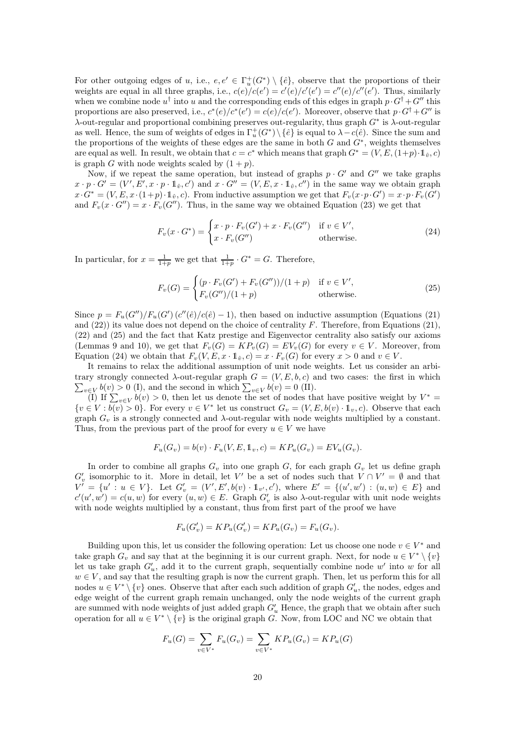For other outgoing edges of u, i.e.,  $e, e' \in \Gamma_u^+(G^*) \setminus {\hat{e}}$ , observe that the proportions of their weights are equal in all three graphs, i.e.,  $c(e)/c(e') = c'(e)/c'(e') = c''(e)/c''(e')$ . Thus, similarly when we combine node  $u^{\dagger}$  into u and the corresponding ends of this edges in graph  $p \cdot G^{\dagger} + G''$  this proportions are also preserved, i.e.,  $c^*(e)/c^*(e') = c(e)/c(e')$ . Moreover, observe that  $p \cdot G^{\dagger} + G''$  is  $\lambda$ -out-regular and proportional combining preserves out-regularity, thus graph  $G^*$  is  $\lambda$ -out-regular as well. Hence, the sum of weights of edges in  $\Gamma_u^+(G^*) \setminus {\hat{e}}$  is equal to  $\lambda - c(\hat{e})$ . Since the sum and the proportions of the weights of these edges are the same in both  $G$  and  $G^*$ , weights themselves are equal as well. In result, we obtain that  $c = c^*$  which means that graph  $G^* = (V, E, (1+p) \cdot 1_{\hat{v}}, c)$ is graph G with node weights scaled by  $(1 + p)$ .

Now, if we repeat the same operation, but instead of graphs  $p \cdot G'$  and  $G''$  we take graphs  $x \cdot p \cdot G' = (V', E', x \cdot p \cdot 1_{\hat{v}}, c')$  and  $x \cdot G'' = (V, E, x \cdot 1_{\hat{v}}, c'')$  in the same way we obtain graph  $x \cdot G^* = (V, E, x \cdot (1+p) \cdot \mathbb{1}_{\hat{v}}, c)$ . From inductive assumption we get that  $F_v(x \cdot p \cdot G') = x \cdot p \cdot F_v(G')$ and  $F_v(x \cdot G'') = x \cdot F_v(G'')$ . Thus, in the same way we obtained Equation [\(23\)](#page-18-0) we get that

<span id="page-19-1"></span>
$$
F_v(x \cdot G^*) = \begin{cases} x \cdot p \cdot F_v(G') + x \cdot F_v(G'') & \text{if } v \in V', \\ x \cdot F_v(G'') & \text{otherwise.} \end{cases}
$$
(24)

In particular, for  $x = \frac{1}{1+p}$  we get that  $\frac{1}{1+p} \cdot G^* = G$ . Therefore,

<span id="page-19-0"></span>
$$
F_v(G) = \begin{cases} (p \cdot F_v(G') + F_v(G''))/(1+p) & \text{if } v \in V', \\ F_v(G'')/(1+p) & \text{otherwise.} \end{cases}
$$
(25)

Since  $p = F_u(G'')/F_u(G')$   $(c''(\hat{e})/c(\hat{e})-1)$ , then based on inductive assumption (Equations [\(21\)](#page-18-1) and  $(22)$ ) its value does not depend on the choice of centrality F. Therefore, from Equations [\(21\)](#page-18-1), [\(22\)](#page-18-2) and [\(25\)](#page-19-0) and the fact that Katz prestige and Eigenvector centrality also satisfy our axioms (Lemmas [9](#page-12-1) and [10\)](#page-14-0), we get that  $F_v(G) = KP_v(G) = EV_v(G)$  for every  $v \in V$ . Moreover, from Equation [\(24\)](#page-19-1) we obtain that  $F_v(V, E, x \cdot 1_{\hat{v}}, c) = x \cdot F_v(G)$  for every  $x > 0$  and  $v \in V$ .

It remains to relax the additional assumption of unit node weights. Let us consider an arbi- $\sum_{v \in V} b(v) > 0$  (I), and the second in which  $\sum_{v \in V} b(v) = 0$  (II). trary strongly connected  $\lambda$ -out-regular graph  $G = (V, E, b, c)$  and two cases: the first in which

(I) If  $\sum_{v \in V} b(v) > 0$ , then let us denote the set of nodes that have positive weight by  $V^* =$  $\{v \in V : b(v) > 0\}$ . For every  $v \in V^*$  let us construct  $G_v = (V, E, b(v) \cdot \mathbb{1}_v, c)$ . Observe that each graph  $G_v$  is a strongly connected and  $\lambda$ -out-regular with node weights multiplied by a constant. Thus, from the previous part of the proof for every  $u \in V$  we have

$$
F_u(G_v) = b(v) \cdot F_u(V, E, \mathbb{1}_v, c) = KP_u(G_v) = EV_u(G_v).
$$

In order to combine all graphs  $G_v$  into one graph G, for each graph  $G_v$  let us define graph  $G'_{v}$  isomorphic to it. More in detail, let V' be a set of nodes such that  $V \cap V' = \emptyset$  and that  $V' = \{u' : u \in V\}$ . Let  $G'_v = (V', E', b(v) \cdot 1_{v'}, c')$ , where  $E' = \{(u', w') : (u, w) \in E\}$  and  $c'(u', w') = c(u, w)$  for every  $(u, w) \in E$ . Graph  $G'_v$  is also  $\lambda$ -out-regular with unit node weights with node weights multiplied by a constant, thus from first part of the proof we have

$$
F_u(G'_v) = KP_u(G'_v) = KP_u(G_v) = F_u(G_v).
$$

Building upon this, let us consider the following operation: Let us choose one node  $v \in V^*$  and take graph  $G_v$  and say that at the beginning it is our current graph. Next, for node  $u \in V^* \setminus \{v\}$ let us take graph  $G'_u$ , add it to the current graph, sequentially combine node w' into w for all  $w \in V$ , and say that the resulting graph is now the current graph. Then, let us perform this for all nodes  $u \in V^* \setminus \{v\}$  ones. Observe that after each such addition of graph  $G'_u$ , the nodes, edges and edge weight of the current graph remain unchanged, only the node weights of the current graph are summed with node weights of just added graph  $G'_{u}$  Hence, the graph that we obtain after such operation for all  $u \in V^* \setminus \{v\}$  is the original graph G. Now, from LOC and NC we obtain that

$$
F_u(G) = \sum_{v \in V^*} F_u(G_v) = \sum_{v \in V^*} KP_u(G_v) = KP_u(G)
$$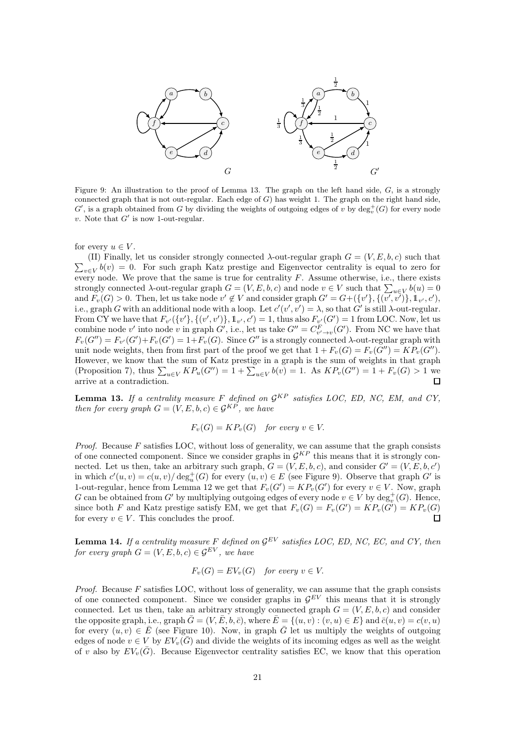<span id="page-20-2"></span>

Figure 9: An illustration to the proof of Lemma [13.](#page-20-0) The graph on the left hand side,  $G$ , is a strongly connected graph that is not out-regular. Each edge of  $G$ ) has weight 1. The graph on the right hand side,  $G'$ , is a graph obtained from G by dividing the weights of outgoing edges of v by  $\deg_v^+(G)$  for every node v. Note that  $G'$  is now 1-out-regular.

for every  $u \in V$ .

 $\sum_{v \in V} b(v) = 0$ . For such graph Katz prestige and Eigenvector centrality is equal to zero for (II) Finally, let us consider strongly connected  $\lambda$ -out-regular graph  $G = (V, E, b, c)$  such that every node. We prove that the same is true for centrality  $F$ . Assume otherwise, i.e., there exists strongly connected  $\lambda$ -out-regular graph  $G = (V, E, b, c)$  and node  $v \in V$  such that  $\sum_{u \in V} b(u) = 0$ and  $F_v(G) > 0$ . Then, let us take node  $v' \notin V$  and consider graph  $G' = G+(\{v'\}, \{(v', v')\}, \mathbb{1}_{v'}, c')$ , i.e., graph G with an additional node with a loop. Let  $c'(v', v') = \lambda$ , so that G' is still  $\lambda$ -out-regular. From CY we have that  $F_{v'}(\{v'\}, \{(v', v')\}, 1_{v'}, c') = 1$ , thus also  $F_{v'}(G') = 1$  from LOC. Now, let us combine node v' into node v in graph G', i.e., let us take  $G'' = C_{v' \to v}^F(G')$ . From NC we have that  $F_v(G'') = F_{v'}(G') + F_v(G') = 1 + F_v(G)$ . Since G'' is a strongly connected  $\lambda$ -out-regular graph with unit node weights, then from first part of the proof we get that  $1 + F_v(G) = F_v(G'') = KP_v(G'')$ . However, we know that the sum of Katz prestige in a graph is the sum of weights in that graph (Proposition [7\)](#page-11-0), thus  $\sum_{u \in V} KP_u(G'') = 1 + \sum_{u \in V} b(v) = 1$ . As  $KP_v(G'') = 1 + F_v(G) > 1$  we arrive at a contradiction.

<span id="page-20-0"></span>**Lemma 13.** If a centrality measure F defined on  $\mathcal{G}^{KP}$  satisfies LOC, ED, NC, EM, and CY, then for every graph  $G = (V, E, b, c) \in \mathcal{G}^{KP}$ , we have

 $F_v(G) = KP_v(G)$  for every  $v \in V$ .

*Proof.* Because  $F$  satisfies LOC, without loss of generality, we can assume that the graph consists of one connected component. Since we consider graphs in  $\mathcal{G}^{KP}$  this means that it is strongly connected. Let us then, take an arbitrary such graph,  $G = (V, E, b, c)$ , and consider  $G' = (V, E, b, c')$ in which  $c'(u, v) = c(u, v) / \deg_u^+(G)$  for every  $(u, v) \in E$  (see Figure [9\)](#page-20-2). Observe that graph G' is 1-out-regular, hence from Lemma [12](#page-17-0) we get that  $F_v(G') = KP_v(G')$  for every  $v \in V$ . Now, graph G can be obtained from G' by multiplying outgoing edges of every node  $v \in V$  by  $\deg_v^+(G)$ . Hence, since both F and Katz prestige satisfy EM, we get that  $F_v(G) = F_v(G') = KP_v(G') = KP_v(G)$ for every  $v \in V$ . This concludes the proof.

<span id="page-20-1"></span>**Lemma 14.** If a centrality measure F defined on  $\mathcal{G}^{EV}$  satisfies LOC, ED, NC, EC, and CY, then for every graph  $G = (V, E, b, c) \in \mathcal{G}^{EV}$ , we have

$$
F_v(G) = EV_v(G) \quad for\ every\ v \in V.
$$

*Proof.* Because  $F$  satisfies LOC, without loss of generality, we can assume that the graph consists of one connected component. Since we consider graphs in  $\mathcal{G}^{EV}$  this means that it is strongly connected. Let us then, take an arbitrary strongly connected graph  $G = (V, E, b, c)$  and consider the opposite graph, i.e., graph  $\bar{G} = (V, \bar{E}, b, \bar{c})$ , where  $\bar{E} = \{(u, v) : (v, u) \in E\}$  and  $\bar{c}(u, v) = c(v, u)$ for every  $(u, v) \in \overline{E}$  (see Figure [10\)](#page-21-2). Now, in graph  $\overline{G}$  let us multiply the weights of outgoing edges of node  $v \in V$  by  $EV_v(\overline{G})$  and divide the weights of its incoming edges as well as the weight of v also by  $EV_v(\bar{G})$ . Because Eigenvector centrality satisfies EC, we know that this operation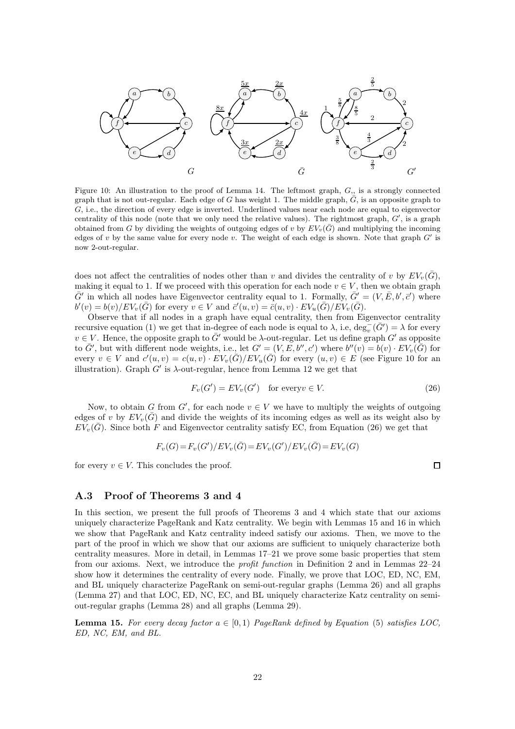<span id="page-21-2"></span>

Figure 10: An illustration to the proof of Lemma [14.](#page-20-1) The leftmost graph,  $G<sub>l</sub>$ , is a strongly connected graph that is not out-regular. Each edge of G has weight 1. The middle graph,  $\bar{G}$ , is an opposite graph to G, i.e., the direction of every edge is inverted. Underlined values near each node are equal to eigenvector centrality of this node (note that we only need the relative values). The rightmost graph,  $G'$ , is a graph obtained from G by dividing the weights of outgoing edges of v by  $EV_v(\bar{G})$  and multiplying the incoming edges of v by the same value for every node v. The weight of each edge is shown. Note that graph  $G'$  is now 2-out-regular.

does not affect the centralities of nodes other than v and divides the centrality of v by  $EV_v(G)$ , making it equal to 1. If we proceed with this operation for each node  $v \in V$ , then we obtain graph  $\bar{G}'$  in which all nodes have Eigenvector centrality equal to 1. Formally,  $\bar{G}' = (V, \bar{E}, b', \bar{c}')$  where  $b'(v) = b(v)/EV_v(\bar{G})$  for every  $v \in V$  and  $\bar{c}'(u, v) = \bar{c}(u, v) \cdot EV_u(\bar{G})/EV_v(\bar{G})$ .

Observe that if all nodes in a graph have equal centrality, then from Eigenvector centrality recursive equation [\(1\)](#page-2-1) we get that in-degree of each node is equal to  $\lambda$ , i.e,  $\deg_{v}^{-}(\bar{G}') = \lambda$  for every  $v \in V$ . Hence, the opposite graph to  $\bar{G}'$  would be  $\lambda$ -out-regular. Let us define graph  $G'$  as opposite to  $\bar{G}'$ , but with different node weights, i.e., let  $G' = (V, E, b'', c')$  where  $b''(v) = b(v) \cdot EV_v(\bar{G})$  for every  $v \in V$  and  $c'(u, v) = c(u, v) \cdot EV_v(\overline{G})/EV_u(\overline{G})$  for every  $(u, v) \in E$  (see Figure [10](#page-21-2) for an illustration). Graph  $G'$  is  $\lambda$ -out-regular, hence from Lemma [12](#page-17-0) we get that

$$
F_v(G') = EV_v(G') \quad \text{for every } v \in V. \tag{26}
$$

<span id="page-21-3"></span> $\Box$ 

Now, to obtain G from G', for each node  $v \in V$  we have to multiply the weights of outgoing edges of v by  $EV_v(G)$  and divide the weights of its incoming edges as well as its weight also by  $EV_v(\bar{G})$ . Since both F and Eigenvector centrality satisfy EC, from Equation [\(26\)](#page-21-3) we get that

$$
F_v(G) = F_v(G')/EV_v(\bar{G}) = EV_v(G')/EV_v(\bar{G}) = EV_v(G)
$$

for every  $v \in V$ . This concludes the proof.

#### <span id="page-21-1"></span>A.3 Proof of Theorems [3](#page-7-1) and [4](#page-7-2)

In this section, we present the full proofs of Theorems [3](#page-7-1) and [4](#page-7-2) which state that our axioms uniquely characterize PageRank and Katz centrality. We begin with Lemmas [15](#page-21-0) and [16](#page-23-0) in which we show that PageRank and Katz centrality indeed satisfy our axioms. Then, we move to the part of the proof in which we show that our axioms are sufficient to uniquely characterize both centrality measures. More in detail, in Lemmas [17–](#page-23-1)[21](#page-25-0) we prove some basic properties that stem from our axioms. Next, we introduce the profit function in Definition [2](#page-25-2) and in Lemmas [22–](#page-25-1)[24](#page-26-1) show how it determines the centrality of every node. Finally, we prove that LOC, ED, NC, EM, and BL uniquely characterize PageRank on semi-out-regular graphs (Lemma [26\)](#page-32-0) and all graphs (Lemma [27\)](#page-32-1) and that LOC, ED, NC, EC, and BL uniquely characterize Katz centrality on semiout-regular graphs (Lemma [28\)](#page-32-2) and all graphs (Lemma [29\)](#page-32-3).

<span id="page-21-0"></span>**Lemma 15.** For every decay factor  $a \in [0, 1)$  PageRank defined by Equation [\(5\)](#page-3-0) satisfies LOC, ED, NC, EM, and BL.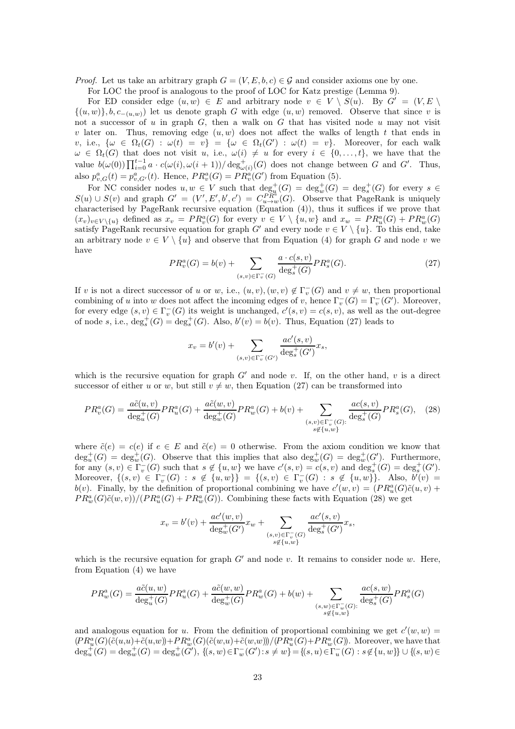*Proof.* Let us take an arbitrary graph  $G = (V, E, b, c) \in \mathcal{G}$  and consider axioms one by one.

For LOC the proof is analogous to the proof of LOC for Katz prestige (Lemma [9\)](#page-12-1).

For ED consider edge  $(u, w) \in E$  and arbitrary node  $v \in V \setminus S(u)$ . By  $G' = (V, E \setminus E)$  $\{(u, w)\}, b, c_{-(u, w)}\}$  let us denote graph G with edge  $(u, w)$  removed. Observe that since v is not a successor of  $u$  in graph  $G$ , then a walk on  $G$  that has visited node  $u$  may not visit v later on. Thus, removing edge  $(u, w)$  does not affect the walks of length t that ends in v, i.e.,  $\{\omega \in \Omega_t(G) : \omega(t) = v\} = \{\omega \in \Omega_t(G') : \omega(t) = v\}.$  Moreover, for each walk  $\omega \in \Omega_t(G)$  that does not visit u, i.e.,  $\omega(i) \neq u$  for every  $i \in \{0, \ldots, t\}$ , we have that the value  $b(\omega(0)) \prod_{i=0}^{t-1} a \cdot c(\omega(i), \omega(i+1)) / \deg_{\omega(i)}^+(G)$  does not change between G and G'. Thus, also  $p_{v,G}^a(t) = p_{v,G'}^a(t)$ . Hence,  $PR_v^a(G) = PR_v^a(G')$  from Equation [\(5\)](#page-3-0).

For NC consider nodes  $u, w \in V$  such that  $\deg_u^+(G) = \deg_w^+(G) = \deg_s^+(G)$  for every  $s \in$  $S(u) \cup S(v)$  and graph  $G' = (V', E', b', c') = C_{u \to w}^{P_{\mathbb{R}^n}}(G)$ . Observe that PageRank is uniquely characterised by PageRank recursive equation (Equation [\(4\)](#page-2-2)), thus it suffices if we prove that  $(x_v)_{v\in V\setminus\{u\}}$  defined as  $x_v = PR_v^a(G)$  for every  $v \in V \setminus \{u, w\}$  and  $x_w = PR_u^a(G) + PR_w^a(G)$ satisfy PageRank recursive equation for graph G' and every node  $v \in V \setminus \{u\}$ . To this end, take an arbitrary node  $v \in V \setminus \{u\}$  and observe that from Equation [\(4\)](#page-2-2) for graph G and node v we have

$$
PR_v^a(G) = b(v) + \sum_{(s,v)\in\Gamma_v^-(G)} \frac{a \cdot c(s,v)}{\deg^+(G)} PR_s^a(G). \tag{27}
$$

<span id="page-22-0"></span>If v is not a direct successor of u or w, i.e.,  $(u, v), (w, v) \notin \Gamma_v^-(G)$  and  $v \neq w$ , then proportional combining of u into w does not affect the incoming edges of v, hence  $\Gamma_v^-(G) = \Gamma_v^-(G')$ . Moreover, for every edge  $(s, v) \in \Gamma_v^-(G)$  its weight is unchanged,  $c'(s, v) = c(s, v)$ , as well as the out-degree of node s, i.e.,  $\deg_s^+(G) = \deg_s^+(G)$ . Also,  $b'(v) = b(v)$ . Thus, Equation [\(27\)](#page-22-0) leads to

<span id="page-22-1"></span>
$$
x_v = b'(v) + \sum_{(s,v) \in \Gamma_v^-(G')} \frac{ac'(s,v)}{\deg^+_s(G')} x_s,
$$

which is the recursive equation for graph  $G'$  and node v. If, on the other hand, v is a direct successor of either u or w, but still  $v \neq w$ , then Equation [\(27\)](#page-22-0) can be transformed into

$$
PR_v^a(G) = \frac{a\tilde{c}(u, v)}{\deg_u^+(G)} PR_u^a(G) + \frac{a\tilde{c}(w, v)}{\deg_w^+(G)} PR_w^a(G) + b(v) + \sum_{\substack{(s, v) \in \Gamma_v^-(G):\\s \notin \{u, w\}}} \frac{ac(s, v)}{\deg_s^+(G)} PR_s^a(G), \quad (28)
$$

where  $\tilde{c}(e) = c(e)$  if  $e \in E$  and  $\tilde{c}(e) = 0$  otherwise. From the axiom condition we know that  $\deg_u^+(G) = \deg_w^+(G)$ . Observe that this implies that also  $\deg_w^+(G) = \deg_w^+(G')$ . Furthermore, for any  $(s, v) \in \Gamma_v^-(G)$  such that  $s \notin \{u, w\}$  we have  $c'(s, v) = c(s, v)$  and  $\deg_s^+(G) = \deg_s^+(G')$ . Moreover,  $\{(s, v) \in \Gamma_v^-(G) : s \notin \{u, w\}\}\ = \{(s, v) \in \Gamma_v^-(G) : s \notin \{u, w\}\}\.$  Also,  $b'(v) =$  $b(v)$ . Finally, by the definition of proportional combining we have  $c'(w, v) = (PR_u^a(G)\tilde{c}(u, v) +$  $PR_w^a(G)\tilde{c}(w, v)/(PR_u^a(G) + PR_w^a(G)).$  Combining these facts with Equation [\(28\)](#page-22-1) we get

$$
x_v = b'(v) + \frac{ac'(w, v)}{\deg_w^+(G')} x_w + \sum_{\substack{(s, v) \in \Gamma_v^-(G) \\ s \not\in \{u, w\}}} \frac{ac'(s, v)}{\deg_s^+(G')} x_s,
$$

which is the recursive equation for graph  $G'$  and node v. It remains to consider node w. Here, from Equation [\(4\)](#page-2-2) we have

$$
PR_w^a(G) = \frac{a\tilde{c}(u, w)}{\deg_u^+(G)} PR_u^a(G) + \frac{a\tilde{c}(w, w)}{\deg_w^+(G)} PR_w^a(G) + b(w) + \sum_{\substack{(s, w) \in \Gamma_w^-(G):\\s \notin \{u, w\}}} \frac{ac(s, w)}{\deg_s^+(G)} PR_s^a(G)
$$

and analogous equation for u. From the definition of proportional combining we get  $c'(w, w) =$  $(PR_u^a(G)(\tilde{c}(u,u)+\tilde{c}(u,w))+PR_w^a(G)(\tilde{c}(w,u)+\tilde{c}(w,w))/(PR_u^a(G)+PR_w^a(G))$ . Moreover, we have that  $\deg_u^+(G) = \deg_w^+(G) = \deg_w^+(G'), \{(s, w) \in \Gamma_w^-(G') : s \neq w\} = \{(s, u) \in \Gamma_u^-(G) : s \notin \{u, w\}\} \cup \{(s, w) \in \Gamma_w^-(G') : s \neq w\}$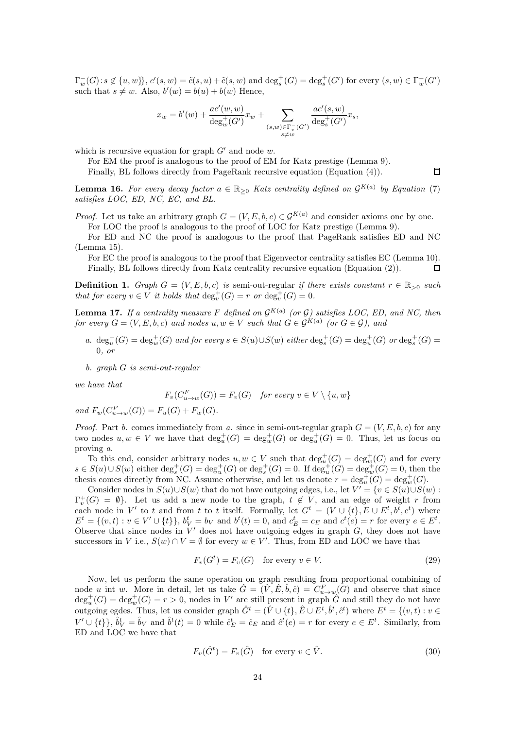$\Gamma_w^-(G)$ :  $s \notin \{u, w\}$ ,  $c'(s, w) = \tilde{c}(s, u) + \tilde{c}(s, w)$  and  $\deg_s^+(G) = \deg_s^+(G')$  for every  $(s, w) \in \Gamma_w^-(G')$ such that  $s \neq w$ . Also,  $b'(w) = b(u) + b(w)$  Hence,

$$
x_w = b'(w) + \frac{ac'(w, w)}{\deg_w^+(G')} x_w + \sum_{\substack{(s, w) \in \Gamma_v^-(G') \\ s \neq w}} \frac{ac'(s, w)}{\deg_s^+(G')} x_s,
$$

which is recursive equation for graph  $G'$  and node w.

For EM the proof is analogous to the proof of EM for Katz prestige (Lemma [9\)](#page-12-1). Finally, BL follows directly from PageRank recursive equation (Equation [\(4\)](#page-2-2)).

<span id="page-23-0"></span>**Lemma 16.** For every decay factor  $a \in \mathbb{R}_{\geq 0}$  Katz centrality defined on  $\mathcal{G}^{K(a)}$  by Equation [\(7\)](#page-3-3) satisfies LOC, ED, NC, EC, and BL.

*Proof.* Let us take an arbitrary graph  $G = (V, E, b, c) \in \mathcal{G}^{K(a)}$  and consider axioms one by one. For LOC the proof is analogous to the proof of LOC for Katz prestige (Lemma [9\)](#page-12-1).

For ED and NC the proof is analogous to the proof that PageRank satisfies ED and NC (Lemma [15\)](#page-21-0).

For EC the proof is analogous to the proof that Eigenvector centrality satisfies EC (Lemma [10\)](#page-14-0). Finally, BL follows directly from Katz centrality recursive equation (Equation [\(2\)](#page-2-4)).  $\Box$ 

**Definition 1.** Graph  $G = (V, E, b, c)$  is semi-out-regular if there exists constant  $r \in \mathbb{R}_{\geq 0}$  such that for every  $v \in V$  it holds that  $\deg_v^+(G) = r$  or  $\deg_v^+(G) = 0$ .

<span id="page-23-1"></span>**Lemma 17.** If a centrality measure F defined on  $\mathcal{G}^{K(a)}$  (or G) satisfies LOC, ED, and NC, then for every  $G = (V, E, b, c)$  and nodes  $u, w \in V$  such that  $G \in \mathcal{G}^{K(a)}$  (or  $G \in \mathcal{G}$ ), and

a.  $\deg_u^+(G) = \deg_w^+(G)$  and for every  $s \in S(u) \cup S(w)$  either  $\deg_s^+(G) = \deg_u^+(G)$  or  $\deg_s^+(G) = \deg_u^+(G)$ 0, or

b. graph G is semi-out-regular

we have that

$$
F_v(C_{u \to w}^F(G)) = F_v(G) \quad \text{for every } v \in V \setminus \{u, w\}
$$

and  $F_w(C_{u \to w}^F(G)) = F_u(G) + F_w(G)$ .

*Proof.* Part b. comes immediately from a. since in semi-out-regular graph  $G = (V, E, b, c)$  for any two nodes  $u, w \in V$  we have that  $\deg_u^+(G) = \deg_w^+(G)$  or  $\deg_u^+(G) = 0$ . Thus, let us focus on proving a.

To this end, consider arbitrary nodes  $u, w \in V$  such that  $\deg_u^+(G) = \deg_v^+(G)$  and for every  $s \in S(u) \cup S(w)$  either  $\deg_s^+(G) = \deg_u^+(G)$  or  $\deg_s^+(G) = 0$ . If  $\deg_u^+(G) = \deg_w^+(G) = 0$ , then the thesis comes directly from NC. Assume otherwise, and let us denote  $r = \deg_u^+(G) = \deg_w^+(G)$ .

Consider nodes in  $S(u) \cup S(w)$  that do not have outgoing edges, i.e., let  $V' = \{v \in S(u) \cup S(w) :$  $\Gamma_v^+(G) = \emptyset$ . Let us add a new node to the graph,  $t \notin V$ , and an edge of weight r from each node in V' to t and from t to t itself. Formally, let  $G^t = (V \cup \{t\}, E \cup E^t, b^t, c^t)$  where  $E^t = \{(v, t) : v \in V' \cup \{t\}\}, b^t_V = b_V \text{ and } b^t(t) = 0, \text{ and } c^t_E = c_E \text{ and } c^t(e) = r \text{ for every } e \in E^t.$ Observe that since nodes in  $\bar{V}'$  does not have outgoing edges in graph  $G$ , they does not have successors in V i.e.,  $S(w) \cap V = \emptyset$  for every  $w \in V'$ . Thus, from ED and LOC we have that

<span id="page-23-2"></span>
$$
F_v(G^t) = F_v(G) \quad \text{for every } v \in V. \tag{29}
$$

Now, let us perform the same operation on graph resulting from proportional combining of node u int w. More in detail, let us take  $\hat{G} = (\hat{V}, \hat{E}, \hat{b}, \hat{c}) = C_{u \to w}^F(G)$  and observe that since  $\deg_u^+(G) = \deg_w^+(G) = r > 0$ , nodes in V' are still present in graph  $\hat{G}$  and still they do not have outgoing egdes. Thus, let us consider graph  $\hat{G}^t = (\hat{V} \cup \{t\}, \hat{E} \cup E^t, \hat{b}^t, \hat{c}^t)$  where  $E^t = \{(v, t) : v \in E^t\}$  $V' \cup \{t\}$ ,  $\hat{b}_V^t = \hat{b}_V$  and  $\hat{b}^t(t) = 0$  while  $\hat{c}_E^t = \hat{c}_E$  and  $\hat{c}^t(e) = r$  for every  $e \in E^t$ . Similarly, from ED and LOC we have that

<span id="page-23-3"></span>
$$
F_v(\hat{G}^t) = F_v(\hat{G}) \quad \text{for every } v \in \hat{V}.
$$
 (30)

 $\Box$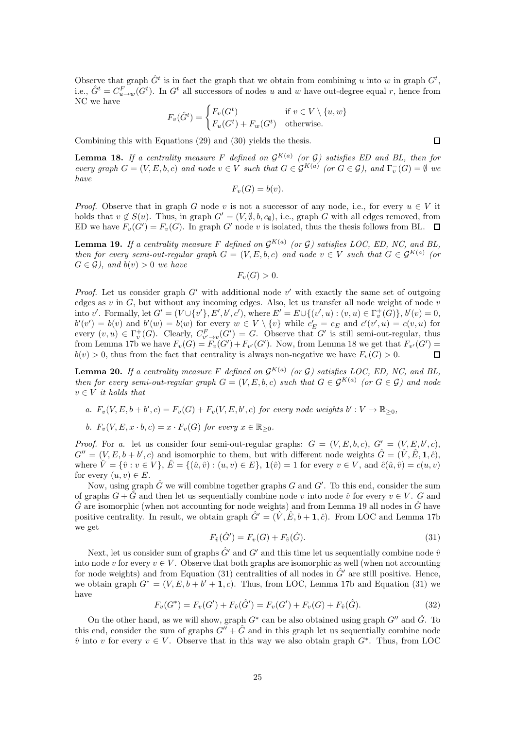Observe that graph  $\hat{G}^t$  is in fact the graph that we obtain from combining u into w in graph  $G^t$ , i.e.,  $\hat{G}^t = C_{u \to w}^F(G^t)$ . In  $G^t$  all successors of nodes u and w have out-degree equal r, hence from NC we have

$$
F_v(\hat{G}^t) = \begin{cases} F_v(G^t) & \text{if } v \in V \setminus \{u, w\} \\ F_u(G^t) + F_w(G^t) & \text{otherwise.} \end{cases}
$$

Combining this with Equations [\(29\)](#page-23-2) and [\(30\)](#page-23-3) yields the thesis.

<span id="page-24-0"></span>**Lemma 18.** If a centrality measure F defined on  $\mathcal{G}^{K(a)}$  (or  $\mathcal{G}$ ) satisfies ED and BL, then for every graph  $G = (V, E, b, c)$  and node  $v \in V$  such that  $G \in \mathcal{G}^{K(a)}$  (or  $G \in \mathcal{G}$ ), and  $\Gamma_v^-(G) = \emptyset$  we have

$$
F_v(G) = b(v).
$$

*Proof.* Observe that in graph G node v is not a successor of any node, i.e., for every  $u \in V$  it holds that  $v \notin S(u)$ . Thus, in graph  $G' = (V, \emptyset, b, c_{\emptyset})$ , i.e., graph G with all edges removed, from ED we have  $F_v(G') = F_v(G)$ . In graph G' node v is isolated, thus the thesis follows from BL.

<span id="page-24-1"></span>**Lemma 19.** If a centrality measure F defined on  $\mathcal{G}^{K(a)}$  (or G) satisfies LOC, ED, NC, and BL, then for every semi-out-regular graph  $G = (V, E, b, c)$  and node  $v \in V$  such that  $G \in \mathcal{G}^{K(a)}$  (or  $G \in \mathcal{G}$ , and  $b(v) > 0$  we have

$$
F_v(G) > 0.
$$

*Proof.* Let us consider graph  $G'$  with additional node  $v'$  with exactly the same set of outgoing edges as  $v$  in  $G$ , but without any incoming edges. Also, let us transfer all node weight of node  $v$ into v'. Formally, let  $G' = (V \cup \{v'\}, E', b', c')$ , where  $E' = E \cup \{(v', u) : (v, u) \in \Gamma_v^+(G)\}, b'(v) = 0$ ,  $b'(v') = b(v)$  and  $b'(w) = b(w)$  for every  $w \in V \setminus \{v\}$  while  $c'_E = c_E$  and  $c'(v', u) = c(v, u)$  for every  $(v, u) \in \Gamma_v^+(G)$ . Clearly,  $C_{v' \to v}^F(G') = G$ . Observe that G' is still semi-out-regular, thus from Lemma [17b](#page-23-1) we have  $F_v(G) = F_v(G') + F_{v'}(G')$ . Now, from Lemma [18](#page-24-0) we get that  $F_{v'}(G') =$  $b(v) > 0$ , thus from the fact that centrality is always non-negative we have  $F_v(G) > 0$ .  $\Box$ 

<span id="page-24-2"></span>**Lemma 20.** If a centrality measure F defined on  $\mathcal{G}^{K(a)}$  (or G) satisfies LOC, ED, NC, and BL, then for every semi-out-regular graph  $G = (V, E, b, c)$  such that  $G \in \mathcal{G}^{K(a)}$  (or  $G \in \mathcal{G}$ ) and node  $v \in V$  it holds that

- a.  $F_v(V, E, b + b', c) = F_v(G) + F_v(V, E, b', c)$  for every node weights  $b' : V \to \mathbb{R}_{\geq 0}$ ,
- b.  $F_v(V, E, x \cdot b, c) = x \cdot F_v(G)$  for every  $x \in \mathbb{R}_{\geq 0}$ .

*Proof.* For a. let us consider four semi-out-regular graphs:  $G = (V, E, b, c), G' = (V, E, b', c),$  $G'' = (V, E, b + b', c)$  and isomorphic to them, but with different node weights  $\hat{G} = (\hat{V}, \hat{E}, \mathbf{1}, \hat{c})$ , where  $\hat{V} = \{\hat{v} : v \in V\}, \hat{E} = \{(\hat{u}, \hat{v}) : (u, v) \in E\}, \mathbf{1}(\hat{v}) = 1$  for every  $v \in V$ , and  $\hat{c}(\hat{u}, \hat{v}) = c(u, v)$ for every  $(u, v) \in E$ .

Now, using graph  $\hat{G}$  we will combine together graphs G and G'. To this end, consider the sum of graphs  $G + \hat{G}$  and then let us sequentially combine node v into node  $\hat{v}$  for every  $v \in V$ . G and  $\hat{G}$  are isomorphic (when not accounting for node weights) and from Lemma [19](#page-24-1) all nodes in  $\hat{G}$  have positive centrality. In result, we obtain graph  $\hat{G}' = (\hat{V}, \hat{E}, b + 1, \hat{c})$ . From LOC and Lemma [17b](#page-23-1) we get

$$
F_{\hat{v}}(\hat{G}') = F_v(G) + F_{\hat{v}}(\hat{G}).
$$
\n(31)

<span id="page-24-3"></span>Next, let us consider sum of graphs  $\hat{G}'$  and  $G'$  and this time let us sequentially combine node  $\hat{v}$ into node v for every  $v \in V$ . Observe that both graphs are isomorphic as well (when not accounting for node weights) and from Equation [\(31\)](#page-24-3) centralities of all nodes in  $\hat{G}'$  are still positive. Hence, we obtain graph  $G^* = (V, E, b + b' + 1, c)$ . Thus, from LOC, Lemma [17b](#page-23-1) and Equation [\(31\)](#page-24-3) we have

$$
F_v(G^*) = F_v(G') + F_{\hat{v}}(\hat{G}') = F_v(G') + F_v(G) + F_{\hat{v}}(\hat{G}).
$$
\n(32)

<span id="page-24-4"></span>On the other hand, as we will show, graph  $G^*$  can be also obtained using graph  $G''$  and  $\hat{G}$ . To this end, consider the sum of graphs  $G'' + \hat{G}$  and in this graph let us sequentially combine node  $\hat{v}$  into v for every  $v \in V$ . Observe that in this way we also obtain graph  $G^*$ . Thus, from LOC

 $\Box$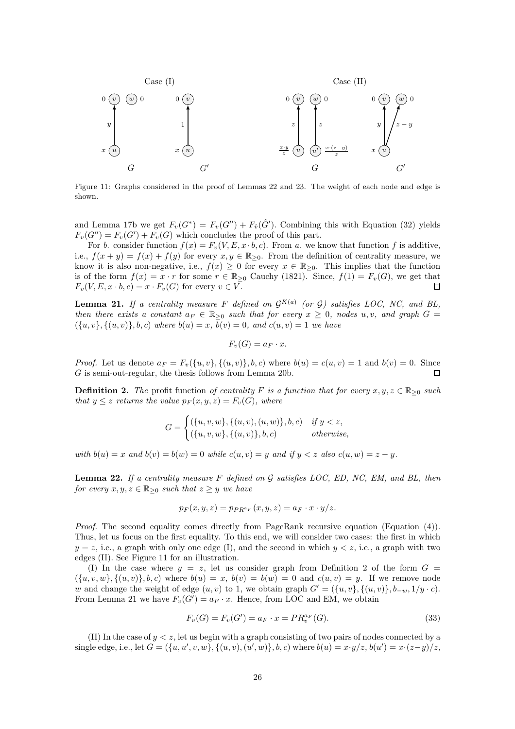<span id="page-25-3"></span>

Figure 11: Graphs considered in the proof of Lemmas [22](#page-25-1) and [23.](#page-26-0) The weight of each node and edge is shown.

and Lemma [17b](#page-23-1) we get  $F_v(G^*) = F_v(G'') + F_{\hat{v}}(\hat{G}')$ . Combining this with Equation [\(32\)](#page-24-4) yields  $F_v(G'') = F_v(G') + F_v(G)$  which concludes the proof of this part.

For b. consider function  $f(x) = F_v(V, E, x \cdot b, c)$ . From a. we know that function f is additive, i.e.,  $f(x + y) = f(x) + f(y)$  for every  $x, y \in \mathbb{R}_{\geq 0}$ . From the definition of centrality measure, we know it is also non-negative, i.e.,  $f(x) \geq 0$  for every  $x \in \mathbb{R}_{\geq 0}$ . This implies that the function is of the form  $f(x) = x \cdot r$  for some  $r \in \mathbb{R}_{\geq 0}$  [Cauchy \(1821\)](#page-37-18). Since,  $f(1) = F_v(G)$ , we get that  $F_v(V, E, x \cdot b, c) = x \cdot F_v(G)$  for every  $v \in V$ .  $\Box$ 

<span id="page-25-0"></span>**Lemma 21.** If a centrality measure F defined on  $\mathcal{G}^{K(a)}$  (or  $\mathcal{G}$ ) satisfies LOC, NC, and BL, then there exists a constant  $a_F \in \mathbb{R}_{\geq 0}$  such that for every  $x \geq 0$ , nodes u, v, and graph  $G =$  $({u, v}, {u, v}, \{(u, v), b, c\}$  where  $b(u) = x$ ,  $b(v) = 0$ , and  $c(u, v) = 1$  we have

$$
F_v(G) = a_F \cdot x.
$$

*Proof.* Let us denote  $a_F = F_v({u, v}, {(u, v)}, b, c)$  where  $b(u) = c(u, v) = 1$  and  $b(v) = 0$ . Since G is semi-out-regular, the thesis follows from Lemma [20b](#page-24-2).  $\mathsf \Pi$ 

<span id="page-25-2"></span>**Definition 2.** The profit function of centrality F is a function that for every  $x, y, z \in \mathbb{R}_{\geq 0}$  such that  $y \leq z$  returns the value  $p_F(x, y, z) = F_v(G)$ , where

$$
G = \begin{cases} (\{u, v, w\}, \{(u, v), (u, w)\}, b, c) & \text{if } y < z, \\ (\{u, v, w\}, \{(u, v)\}, b, c) & \text{otherwise,} \end{cases}
$$

with  $b(u) = x$  and  $b(v) = b(w) = 0$  while  $c(u, v) = y$  and if  $y < z$  also  $c(u, w) = z - y$ .

<span id="page-25-1"></span>**Lemma 22.** If a centrality measure F defined on  $\mathcal G$  satisfies LOC, ED, NC, EM, and BL, then for every  $x, y, z \in \mathbb{R}_{\geq 0}$  such that  $z \geq y$  we have

$$
p_F(x, y, z) = p_{PR^a F}(x, y, z) = a_F \cdot x \cdot y/z.
$$

Proof. The second equality comes directly from PageRank recursive equation (Equation [\(4\)](#page-2-2)). Thus, let us focus on the first equality. To this end, we will consider two cases: the first in which  $y = z$ , i.e., a graph with only one edge (I), and the second in which  $y < z$ , i.e., a graph with two edges (II). See Figure [11](#page-25-3) for an illustration.

(I) In the case where  $y = z$ , let us consider graph from Definition [2](#page-25-2) of the form  $G =$  $(\{u, v, w\}, \{(u, v), b, c)$  where  $b(u) = x$ ,  $b(v) = b(w) = 0$  and  $c(u, v) = y$ . If we remove node w and change the weight of edge  $(u, v)$  to 1, we obtain graph  $G' = (\{u, v\}, \{(u, v)\}, b_{-w}, 1/y \cdot c)$ . From Lemma [21](#page-25-0) we have  $F_v(G') = a_F \cdot x$ . Hence, from LOC and EM, we obtain

<span id="page-25-4"></span>
$$
F_v(G) = F_v(G') = a_F \cdot x = PR_v^{a_F}(G). \tag{33}
$$

(II) In the case of  $y < z$ , let us begin with a graph consisting of two pairs of nodes connected by a single edge, i.e., let  $G = (\{u, u', v, w\}, \{(u, v), (u', w)\}, b, c)$  where  $b(u) = x \cdot y/z$ ,  $b(u') = x \cdot (z-y)/z$ ,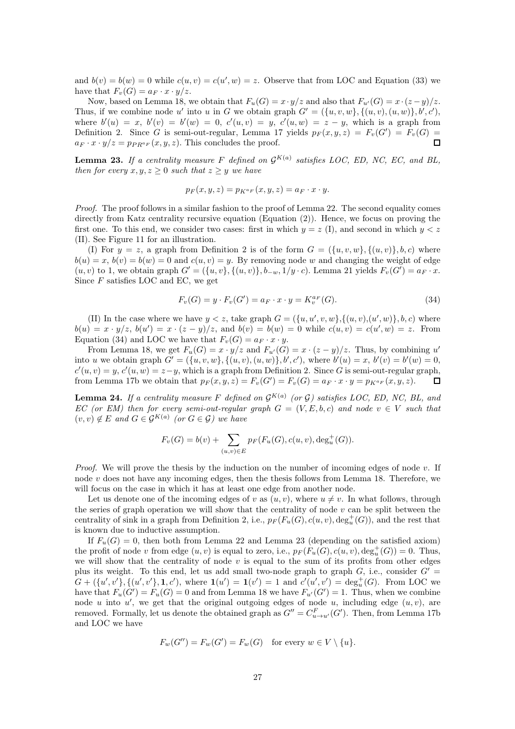and  $b(v) = b(w) = 0$  while  $c(u, v) = c(u', w) = z$ . Observe that from LOC and Equation [\(33\)](#page-25-4) we have that  $F_v(G) = a_F \cdot x \cdot y/z$ .

Now, based on Lemma [18,](#page-24-0) we obtain that  $F_u(G) = x \cdot y/z$  and also that  $F_{u'}(G) = x \cdot (z - y)/z$ . Thus, if we combine node u' into u in G we obtain graph  $G' = (\{u, v, w\}, \{(u, v), (u, w)\}, b', c')$ , where  $b'(u) = x$ ,  $b'(v) = b'(w) = 0$ ,  $c'(u, v) = y$ ,  $c'(u, w) = z - y$ , which is a graph from Definition [2.](#page-25-2) Since G is semi-out-regular, Lemma [17](#page-23-1) yields  $p_F(x,y,z) = F_v(G') = F_v(G)$  $a_F \cdot x \cdot y/z = p_{PR^aF}(x, y, z)$ . This concludes the proof.  $\Box$ 

<span id="page-26-0"></span>**Lemma 23.** If a centrality measure F defined on  $\mathcal{G}^{K(a)}$  satisfies LOC, ED, NC, EC, and BL, then for every  $x, y, z \geq 0$  such that  $z \geq y$  we have

$$
p_F(x, y, z) = p_{K^{a_F}}(x, y, z) = a_F \cdot x \cdot y.
$$

Proof. The proof follows in a similar fashion to the proof of Lemma [22.](#page-25-1) The second equality comes directly from Katz centrality recursive equation (Equation [\(2\)](#page-2-4)). Hence, we focus on proving the first one. To this end, we consider two cases: first in which  $y = z$  (I), and second in which  $y < z$ (II). See Figure [11](#page-25-3) for an illustration.

(I) For  $y = z$ , a graph from Definition [2](#page-25-2) is of the form  $G = (\{u, v, w\}, \{(u, v)\}, b, c)$  where  $b(u) = x, b(v) = b(w) = 0$  and  $c(u, v) = y$ . By removing node w and changing the weight of edge  $(u, v)$  to 1, we obtain graph  $G' = (\{u, v\}, \{(u, v)\}, b_{-w}, 1/y \cdot c)$ . Lemma [21](#page-25-0) yields  $F_v(G') = a_F \cdot x$ . Since  $F$  satisfies LOC and EC, we get

<span id="page-26-2"></span>
$$
F_v(G) = y \cdot F_v(G') = a_F \cdot x \cdot y = K_v^{a_F}(G). \tag{34}
$$

(II) In the case where we have  $y < z$ , take graph  $G = (\{u, u', v, w\}, \{(u, v), (u', w)\}, b, c)$  where  $b(u) = x \cdot y/z, b(u') = x \cdot (z - y)/z$ , and  $b(v) = b(w) = 0$  while  $c(u, v) = c(u', w) = z$ . From Equation [\(34\)](#page-26-2) and LOC we have that  $F_v(G) = a_F \cdot x \cdot y$ .

From Lemma [18,](#page-24-0) we get  $F_u(G) = x \cdot y/z$  and  $F_{u'}(G) = x \cdot (z - y)/z$ . Thus, by combining u' into u we obtain graph  $G' = (\{u, v, w\}, \{(u, v), (u, w)\}, b', c')$ , where  $b'(u) = x, b'(v) = b'(w) = 0$ ,  $c'(u, v) = y, c'(u, w) = z - y$ , which is a graph from Definition [2.](#page-25-2) Since G is semi-out-regular graph, from Lemma [17b](#page-23-1) we obtain that  $p_F(x, y, z) = F_v(G') = F_v(G) = a_F \cdot x \cdot y = p_{K^{a_F}}(x, y, z)$ . П

<span id="page-26-1"></span>**Lemma 24.** If a centrality measure F defined on  $\mathcal{G}^{K(a)}$  (or G) satisfies LOC, ED, NC, BL, and EC (or EM) then for every semi-out-regular graph  $G = (V, E, b, c)$  and node  $v \in V$  such that  $(v, v) \notin E$  and  $G \in \mathcal{G}^{K(a)}$  (or  $G \in \mathcal{G}$ ) we have

$$
F_v(G) = b(v) + \sum_{(u,v)\in E} p_F(F_u(G), c(u,v), \deg_u^+(G)).
$$

*Proof.* We will prove the thesis by the induction on the number of incoming edges of node  $v$ . If node  $v$  does not have any incoming edges, then the thesis follows from Lemma [18.](#page-24-0) Therefore, we will focus on the case in which it has at least one edge from another node.

Let us denote one of the incoming edges of v as  $(u, v)$ , where  $u \neq v$ . In what follows, through the series of graph operation we will show that the centrality of node  $v$  can be split between the centrality of sink in a graph from Definition [2,](#page-25-2) i.e.,  $p_F(F_u(G), c(u, v), deg_u^+(G))$ , and the rest that is known due to inductive assumption.

If  $F_u(G) = 0$ , then both from Lemma [22](#page-25-1) and Lemma [23](#page-26-0) (depending on the satisfied axiom) the profit of node v from edge  $(u, v)$  is equal to zero, i.e.,  $p_F(F_u(G), c(u, v), deg_u^+(G)) = 0$ . Thus, we will show that the centrality of node  $v$  is equal to the sum of its profits from other edges plus its weight. To this end, let us add small two-node graph to graph  $G$ , i.e., consider  $G' =$  $G + (\{u',v'\}, \{(u',v'\}, \mathbf{1}, c')$ , where  $\mathbf{1}(u') = \mathbf{1}(v') = 1$  and  $c'(u',v') = \deg_u^+(G)$ . From LOC we have that  $F_u(G') = F_u(G) = 0$  and from Lemma [18](#page-24-0) we have  $F_{u'}(G') = 1$ . Thus, when we combine node u into  $u'$ , we get that the original outgoing edges of node u, including edge  $(u, v)$ , are removed. Formally, let us denote the obtained graph as  $G'' = C_{u \to u'}^F(G')$ . Then, from Lemma [17b](#page-23-1) and LOC we have

$$
F_w(G'') = F_w(G') = F_w(G) \text{ for every } w \in V \setminus \{u\}.
$$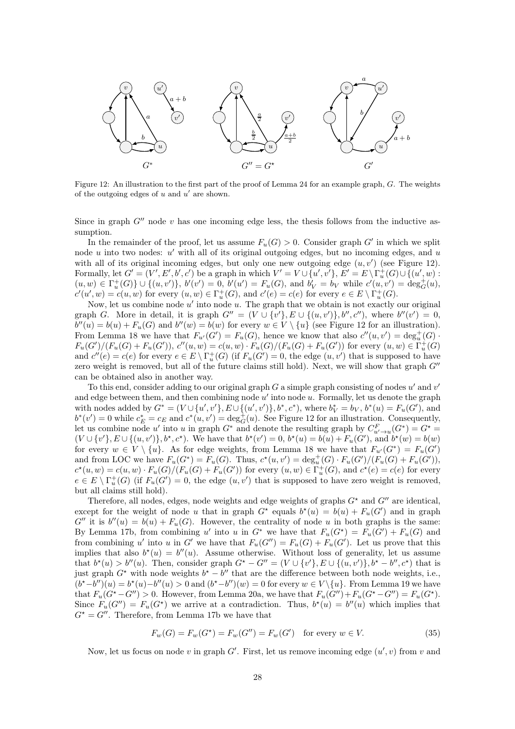<span id="page-27-0"></span>

Figure 12: An illustration to the first part of the proof of Lemma [24](#page-26-1) for an example graph, G. The weights of the outgoing edges of  $u$  and  $u'$  are shown.

Since in graph  $G''$  node v has one incoming edge less, the thesis follows from the inductive assumption.

In the remainder of the proof, let us assume  $F_u(G) > 0$ . Consider graph G' in which we split node  $u$  into two nodes:  $u'$  with all of its original outgoing edges, but no incoming edges, and  $u$ with all of its original incoming edges, but only one new outgoing edge  $(u, v')$  (see Figure [12\)](#page-27-0). Formally, let  $G' = (V', E', b', c')$  be a graph in which  $V' = V \cup \{u', v'\}$ ,  $E' = E \setminus \Gamma_u^+(G) \cup \{(u', w) :$  $(u, w) \in \Gamma_u^+(G) \} \cup \{(u, v')\}, \ b'(v') = 0, \ b'(u') = F_u(G)$ , and  $b_V = b_V$  while  $c'(u, v') = deg_G^+(u)$ ,  $c'(u', w) = c(u, w)$  for every  $(u, w) \in \Gamma_u^+(G)$ , and  $c'(e) = c(e)$  for every  $e \in E \setminus \Gamma_u^+(G)$ .

Now, let us combine node  $u'$  into node  $u$ . The graph that we obtain is not exactly our original graph G. More in detail, it is graph  $G'' = (V \cup \{v'\}, E \cup \{(u, v')\}, b'', c'')$ , where  $b''(v') = 0$ ,  $b''(u) = b(u) + F_u(G)$  and  $b''(w) = b(w)$  for every  $w \in V \setminus \{u\}$  (see Figure [12](#page-27-0) for an illustration). From Lemma [18](#page-24-0) we have that  $F_{u'}(G') = F_u(G)$ , hence we know that also  $c''(u, v') = deg_u^+(G)$ .  $F_u(G')/(F_u(G) + F_u(G'))$ ,  $c''(u, w) = c(u, w) \cdot F_u(G)/(F_u(G) + F_u(G'))$  for every  $(u, w) \in \Gamma_u^+(G)$ and  $c''(e) = c(e)$  for every  $e \in E \setminus \Gamma_u^+(G)$  (if  $F_u(G') = 0$ , the edge  $(u, v')$  that is supposed to have zero weight is removed, but all of the future claims still hold). Next, we will show that graph  $G''$ can be obtained also in another way.

To this end, consider adding to our original graph  $G$  a simple graph consisting of nodes  $u'$  and  $v'$ and edge between them, and then combining node  $u'$  into node  $u$ . Formally, let us denote the graph with nodes added by  $G^* = (V \cup \{u', v'\}, E \cup \{(u', v')\}, b^*, c^*)$ , where  $b_V^* = b_V$ ,  $b^*(u) = F_u(G')$ , and  $b^*(v') = 0$  while  $c_E^* = c_E$  and  $c^*(u, v') = \deg_G^+(u)$ . See Figure [12](#page-27-0) for an illustration. Consequently, let us combine node u' into u in graph  $G^*$  and denote the resulting graph by  $C_{u' \to u}^F(G^*) = G^* =$  $(V \cup \{v'\}, E \cup \{(u, v')\}, b^{\star}, c^{\star})$ . We have that  $b^{\star}(v') = 0$ ,  $b^{\star}(u) = b(u) + F_u(G')$ , and  $b^{\star}(w) = b(w)$ for every  $w \in V \setminus \{u\}$ . As for edge weights, from Lemma [18](#page-24-0) we have that  $F_{u'}(G^*) = F_u(G')$ and from LOC we have  $F_u(G^*) = F_u(G)$ . Thus,  $c^*(u, v') = deg_u^+(G) \cdot F_u(G')/(F_u(G) + F_u(G'))$ ,  $c^*(u, w) = c(u, w) \cdot F_u(G) / (F_u(G) + F_u(G'))$  for every  $(u, w) \in \Gamma_u^+(G)$ , and  $c^*(e) = c(e)$  for every  $e \in E \setminus \Gamma_u^+(G)$  (if  $F_u(G') = 0$ , the edge  $(u, v')$  that is supposed to have zero weight is removed, but all claims still hold).

Therefore, all nodes, edges, node weights and edge weights of graphs  $G^*$  and  $G''$  are identical, except for the weight of node u that in graph  $G^*$  equals  $b^*(u) = b(u) + F_u(G')$  and in graph  $G''$  it is  $b''(u) = b(u) + F_u(G)$ . However, the centrality of node u in both graphs is the same: By Lemma [17b](#page-23-1), from combining u' into u in  $G^*$  we have that  $F_u(G^*) = F_u(G') + F_u(G)$  and from combining u' into u in G' we have that  $F_u(G'') = F_u(G) + F_u(G')$ . Let us prove that this implies that also  $b^*(u) = b''(u)$ . Assume otherwise. Without loss of generality, let us assume that  $b^*(u) > b''(u)$ . Then, consider graph  $G^* - G'' = (V \cup \{v'\}, E \cup \{(u, v')\}, b^* - b'', c^*)$  that is just graph  $G^*$  with node weights  $b^* - b''$  that are the difference between both node weights, i.e.,  $(b^* - b'')(u) = b^*(u) - b''(u) > 0$  and  $(b^* - b'')(w) = 0$  for every  $w \in V \setminus \{u\}$ . From Lemma [19](#page-24-1) we have that  $F_u(G^* - G'') > 0$ . However, from Lemma [20a](#page-24-2), we have that  $F_u(G'') + F_u(G^* - G'') = F_u(G^*)$ . Since  $F_u(G'') = F_u(G^*)$  we arrive at a contradiction. Thus,  $b^*(u) = b''(u)$  which implies that  $G^* = G''$ . Therefore, from Lemma [17b](#page-23-1) we have that

<span id="page-27-1"></span>
$$
F_w(G) = F_w(G^*) = F_w(G'') = F_w(G') \text{ for every } w \in V.
$$
 (35)

Now, let us focus on node v in graph  $G'$ . First, let us remove incoming edge  $(u', v)$  from v and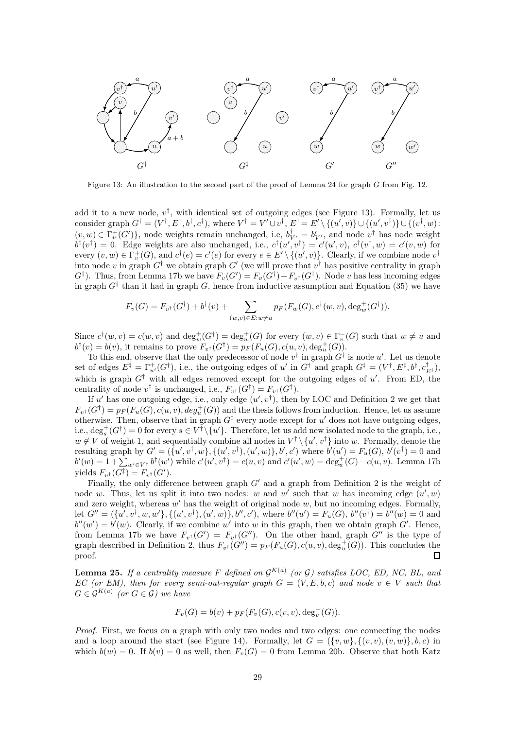<span id="page-28-1"></span>

Figure 13: An illustration to the second part of the proof of Lemma [24](#page-26-1) for graph G from Fig. [12.](#page-27-0)

add it to a new node,  $v^{\dagger}$ , with identical set of outgoing edges (see Figure [13\)](#page-28-1). Formally, let us consider graph  $G^{\dagger} = (V^{\dagger}, E^{\dagger}, b^{\dagger}, c^{\dagger})$ , where  $V^{\dagger} = V' \cup v^{\dagger}$ ,  $E^{\dagger} = E' \setminus \{(u', v)\} \cup \{(u', v^{\dagger})\} \cup \{(v^{\dagger}, w):$  $(v, w) \in \Gamma_v^+(G')\},\$  node weights remain unchanged, i.e,  $b_{V'}^{\dagger} = b_{V'}'$ , and node  $v^{\dagger}$  has node weight  $b^{\dagger}(v^{\dagger}) = 0$ . Edge weights are also unchanged, i.e.,  $c^{\dagger}(u', v^{\dagger}) = c'(u', v)$ ,  $c^{\dagger}(v^{\dagger}, w) = c'(v, w)$  for every  $(v, w) \in \Gamma_v^+(G)$ , and  $c^{\dagger}(e) = c'(e)$  for every  $e \in E' \setminus \{(u', v)\}$ . Clearly, if we combine node  $v^{\dagger}$ into node v in graph  $G^{\dagger}$  we obtain graph  $G'$  (we will prove that  $v^{\dagger}$  has positive centrality in graph  $G^{\dagger}$ ). Thus, from Lemma [17b](#page-23-1) we have  $F_v(G') = F_v(G^{\dagger}) + F_{v^{\dagger}}(G^{\dagger})$ . Node v has less incoming edges in graph  $G^{\dagger}$  than it had in graph G, hence from inductive assumption and Equation [\(35\)](#page-27-1) we have

$$
F_v(G) = F_{v^{\dagger}}(G^{\dagger}) + b^{\dagger}(v) + \sum_{(w,v) \in E:w \neq u} p_F(F_w(G), c^{\dagger}(w, v), \deg_w^+(G^{\dagger})).
$$

Since  $c^{\dagger}(w, v) = c(w, v)$  and  $\deg_w^+(G^{\dagger}) = \deg_w^+(G)$  for every  $(w, v) \in \Gamma_v^-(G)$  such that  $w \neq u$  and  $b^{\dagger}(v) = b(v)$ , it remains to prove  $F_{v^{\dagger}}(G^{\dagger}) = p_F(F_u(G), c(u, v), \deg_u^+(G)).$ 

To this end, observe that the only predecessor of node  $v^{\dagger}$  in graph  $G^{\dagger}$  is node u'. Let us denote set of edges  $E^{\ddagger} = \Gamma_{u'}^+(G^{\dagger})$ , i.e., the outgoing edges of u' in  $G^{\dagger}$  and graph  $G^{\ddagger} = (V^{\dagger}, E^{\ddagger}, b^{\dagger}, c^{\dagger}_{E^{\ddagger}})$ , which is graph  $G^{\dagger}$  with all edges removed except for the outgoing edges of u'. From ED, the centrality of node  $v^{\dagger}$  is unchanged, i.e.,  $F_{v^{\dagger}}(G^{\dagger}) = F_{v^{\dagger}}(G^{\ddagger})$ .

If u' has one outgoing edge, i.e., only edge  $(u', v^{\dagger})$ , then by LOC and Definition [2](#page-25-2) we get that  $F_{v^{\dagger}}(G^{\dagger}) = p_F(F_u(G), c(u, v), deg_u^+(G))$  and the thesis follows from induction. Hence, let us assume otherwise. Then, observe that in graph  $G^{\ddagger}$  every node except for u' does not have outgoing edges, i.e.,  $\deg_s^+(G^{\ddagger}) = 0$  for every  $s \in V^{\dagger} \setminus \{u'\}$ . Therefore, let us add new isolated node to the graph, i.e.,  $w \notin V$  of weight 1, and sequentially combine all nodes in  $V^{\dagger} \setminus \{u', v^{\dagger}\}\$  into w. Formally, denote the resulting graph by  $G' = (\{u', v^{\dagger}, w\}, \{(u', v^{\dagger}), (u', w)\}, b', c')$  where  $b'(u') = F_u(G), b'(v^{\dagger}) = 0$  and  $b'(w) = 1 + \sum_{w' \in V^{\dagger}} b^{\dagger}(w')$  while  $c'(u', v^{\dagger}) = c(u, v)$  and  $c'(u', w) = \deg_u^+(G) - c(u, v)$ . Lemma [17b](#page-23-1) yields  $F_{v^{\dagger}}(G^{\ddagger}) = F_{v^{\dagger}}(G')$ .

Finally, the only difference between graph  $G'$  and a graph from Definition [2](#page-25-2) is the weight of node w. Thus, let us split it into two nodes: w and w' such that w has incoming edge  $(u', w)$ and zero weight, whereas  $w'$  has the weight of original node  $w$ , but no incoming edges. Formally, let  $G'' = (\{u', v^{\dagger}, w, w'\}, \{(u', v^{\dagger}), (u', w)\}, b'', c')$ , where  $b''(u') = F_u(G), b''(v^{\dagger}) = b''(w) = 0$  and  $b''(w') = b'(w)$ . Clearly, if we combine w' into w in this graph, then we obtain graph G'. Hence, from Lemma [17b](#page-23-1) we have  $F_{v^{\dagger}}(G') = F_{v^{\dagger}}(G'')$ . On the other hand, graph  $G''$  is the type of graph described in Definition [2,](#page-25-2) thus  $F_{v^{\dagger}}(G'') = p_F(F_u(G), c(u, v), \deg_u^+(G))$ . This concludes the proof.  $\Box$ 

<span id="page-28-0"></span>**Lemma 25.** If a centrality measure F defined on  $\mathcal{G}^{K(a)}$  (or G) satisfies LOC, ED, NC, BL, and EC (or EM), then for every semi-out-regular graph  $G = (V, E, b, c)$  and node  $v \in V$  such that  $G \in \mathcal{G}^{K(a)}$  (or  $G \in \mathcal{G}$ ) we have

$$
F_v(G) = b(v) + p_F(F_v(G), c(v, v), deg_v^+(G)).
$$

Proof. First, we focus on a graph with only two nodes and two edges: one connecting the nodes and a loop around the start (see Figure [14\)](#page-29-0). Formally, let  $G = (\{v, w\}, \{(v, v), (v, w)\}, b, c)$  in which  $b(w) = 0$ . If  $b(v) = 0$  as well, then  $F_v(G) = 0$  from Lemma [20b](#page-24-2). Observe that both Katz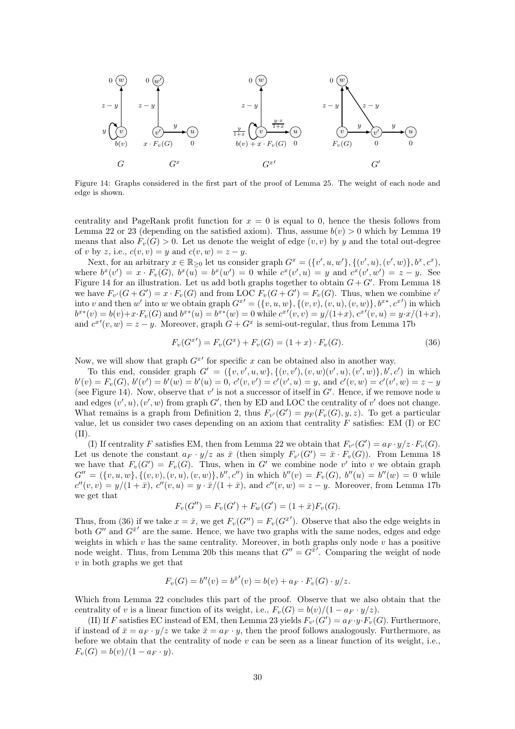<span id="page-29-0"></span>

Figure 14: Graphs considered in the first part of the proof of Lemma [25.](#page-28-0) The weight of each node and edge is shown.

centrality and PageRank profit function for  $x = 0$  is equal to 0, hence the thesis follows from Lemma [22](#page-25-1) or [23](#page-26-0) (depending on the satisfied axiom). Thus, assume  $b(v) > 0$  which by Lemma [19](#page-24-1) means that also  $F_v(G) > 0$ . Let us denote the weight of edge  $(v, v)$  by y and the total out-degree of v by z, i.e.,  $c(v, v) = y$  and  $c(v, w) = z - y$ .

Next, for an arbitrary  $x \in \mathbb{R}_{\geq 0}$  let us consider graph  $G^x = (\{v', u, w'\}, \{(v', u), (v', w)\}, b^x, c^x)$ , where  $b^x(v') = x \cdot F_v(G)$ ,  $b^x(u) = b^x(w') = 0$  while  $c^x(v', u) = y$  and  $c^x(v', w') = z - y$ . See Figure [14](#page-29-0) for an illustration. Let us add both graphs together to obtain  $G + G'$ . From Lemma [18](#page-24-0) we have  $F_{v'}(G+G')=x\cdot F_v(G)$  and from LOC  $F_v(G+G')=F_v(G)$ . Thus, when we combine  $v'$ into v and then w' into w we obtain graph  $G^{x'} = (\{v, u, w\}, \{(v, v), (v, u), (v, w)\}, b^{x*}, c^{x'})$  in which  $b^{x*}(v) = b(v) + x \cdot F_v(G)$  and  $b^{x*}(u) = b^{x*}(w) = 0$  while  $c^{x'}(v, v) = y/(1+x)$ ,  $c^{x'}(v, u) = y \cdot x/(1+x)$ , and  $c^{x'}(v, w) = z - y$ . Moreover, graph  $G + G^x$  is semi-out-regular, thus from Lemma [17b](#page-23-1)

<span id="page-29-1"></span>
$$
F_v(G^{x}) = F_v(G^x) + F_v(G) = (1+x) \cdot F_v(G). \tag{36}
$$

Now, we will show that graph  $G^{x'}$  for specific x can be obtained also in another way.

To this end, consider graph  $G' = (\{v, v', u, w\}, \{(v, v'), (v, w)(v', u), (v', w)\}, b', c')$  in which  $b'(v) = F_v(G)$ ,  $b'(v') = b'(w) = b'(u) = 0$ ,  $c'(v, v') = c'(v', u) = y$ , and  $c'(v, w) = c'(v', w) = z - y$ (see Figure [14\)](#page-29-0). Now, observe that  $v'$  is not a successor of itself in  $G'$ . Hence, if we remove node u and edges  $(v', u), (v', w)$  from graph G', then by ED and LOC the centrality of v' does not change. What remains is a graph from Definition [2,](#page-25-2) thus  $F_{v'}(G') = p_F(F_v(G), y, z)$ . To get a particular value, let us consider two cases depending on an axiom that centrality  $F$  satisfies: EM (I) or EC (II).

(I) If centrality F satisfies EM, then from Lemma [22](#page-25-1) we obtain that  $F_{v'}(G') = a_F \cdot y/z \cdot F_v(G)$ . Let us denote the constant  $a_F \cdot y/z$  as  $\bar{x}$  (then simply  $F_{v'}(G') = \bar{x} \cdot F_v(G)$ ). From Lemma [18](#page-24-0) we have that  $F_v(G') = F_v(G)$ . Thus, when in G' we combine node v' into v we obtain graph  $G'' = (\{v, u, w\}, \{(v, v), (v, u), (v, w)\}, b'', c'')$  in which  $b''(v) = F_v(G), b''(u) = b''(w) = 0$  while  $c''(v,v) = y/(1+\bar{x}), c''(v,u) = y \cdot \bar{x}/(1+\bar{x}), \text{ and } c''(v,w) = z - y.$  Moreover, from Lemma [17b](#page-23-1) we get that

$$
F_v(G'') = F_v(G') + F_w(G') = (1 + \bar{x})F_v(G).
$$

Thus, from [\(36\)](#page-29-1) if we take  $x = \bar{x}$ , we get  $F_v(G'') = F_v(G^{\bar{x}'})$ . Observe that also the edge weights in both  $G''$  and  $G^{\bar{x}'}$  are the same. Hence, we have two graphs with the same nodes, edges and edge weights in which  $v$  has the same centrality. Moreover, in both graphs only node  $v$  has a positive node weight. Thus, from Lemma [20b](#page-24-2) this means that  $G'' = G^{\bar{x}'}$ . Comparing the weight of node  $v$  in both graphs we get that

$$
F_v(G) = b''(v) = b^{\bar{x}'}(v) = b(v) + a_F \cdot F_v(G) \cdot y/z.
$$

Which from Lemma [22](#page-25-1) concludes this part of the proof. Observe that we also obtain that the centrality of v is a linear function of its weight, i.e.,  $F_v(G) = \frac{b(v)}{(1 - a_F \cdot y/z)}$ .

(II) If F satisfies EC instead of EM, then Lemma [23](#page-26-0) yields  $F_{v'}(G') = a_F \cdot y \cdot F_v(G)$ . Furthermore, if instead of  $\bar{x} = a_F \cdot y/z$  we take  $\bar{x} = a_F \cdot y$ , then the proof follows analogously. Furthermore, as before we obtain that the centrality of node  $v$  can be seen as a linear function of its weight, i.e.,  $F_v(G) = b(v)/(1 - a_F \cdot y).$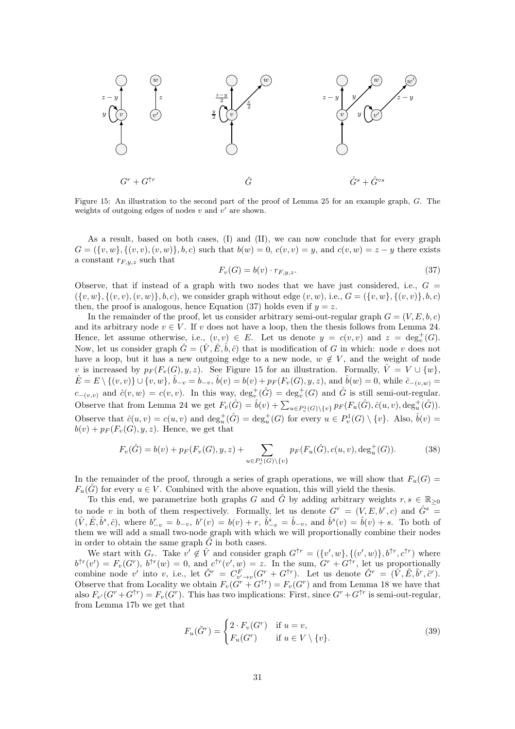<span id="page-30-1"></span>

Figure 15: An illustration to the second part of the proof of Lemma [25](#page-28-0) for an example graph, G. The weights of outgoing edges of nodes  $v$  and  $v'$  are shown.

As a result, based on both cases, (I) and (II), we can now conclude that for every graph  $G = (\{v, w\}, \{(v, v), (v, w)\}, b, c)$  such that  $b(w) = 0$ ,  $c(v, v) = y$ , and  $c(v, w) = z - y$  there exists a constant  $r_{F,y,z}$  such that

<span id="page-30-0"></span>
$$
F_v(G) = b(v) \cdot r_{F,y,z}.\tag{37}
$$

Observe, that if instead of a graph with two nodes that we have just considered, i.e.,  $G =$  $({v, w}, {v, v}, (v, w), b, c)$ , we consider graph without edge  $(v, w)$ , i.e.,  $G = ({v, w}, {v, v}, (v, v), b, c)$ then, the proof is analogous, hence Equation [\(37\)](#page-30-0) holds even if  $y = z$ .

In the remainder of the proof, let us consider arbitrary semi-out-regular graph  $G = (V, E, b, c)$ and its arbitrary node  $v \in V$ . If v does not have a loop, then the thesis follows from Lemma [24.](#page-26-1) Hence, let assume otherwise, i.e.,  $(v, v) \in E$ . Let us denote  $y = c(v, v)$  and  $z = deg_v^+(G)$ . Now, let us consider graph  $\hat{G} = (\hat{V}, \hat{E}, \hat{b}, \hat{c})$  that is modification of G in which: node v does not have a loop, but it has a new outgoing edge to a new node,  $w \notin V$ , and the weight of node v is increased by  $p_F(F_v(G), y, z)$ . See Figure [15](#page-30-1) for an illustration. Formally,  $\hat{V} = V \cup \{w\}$ ,  $\hat{E} = E \setminus \{(v, v)\} \cup \{v, w\}, \hat{b}_{-v} = b_{-v}, \hat{b}(v) = b(v) + p_F(F_v(G), y, z), \text{ and } \hat{b}(w) = 0, \text{ while } \hat{c}_{-(v, w)} = 0$  $c_{-(v,v)}$  and  $\hat{c}(v,w) = c(v,v)$ . In this way,  $\deg_v^+(\hat{G}) = \deg_v^+(G)$  and  $\hat{G}$  is still semi-out-regular. Observe that from Lemma [24](#page-26-1) we get  $F_v(\hat{G}) = \hat{b}(v) + \sum_{u \in P_v^1(G) \setminus \{v\}} p_F(F_u(\hat{G}), \hat{c}(u, v), \deg_u^+(\hat{G})).$ Observe that  $\hat{c}(u, v) = c(u, v)$  and  $\deg_u^+(\hat{G}) = \deg_u^+(G)$  for every  $u \in P_v^1(G) \setminus \{v\}$ . Also,  $\hat{b}(v) = c(u, v)$  $b(v) + p_F(F_v(G), y, z)$ . Hence, we get that

<span id="page-30-3"></span>
$$
F_v(\hat{G}) = b(v) + p_F(F_v(G), y, z) + \sum_{u \in P_v^1(G) \setminus \{v\}} p_F(F_u(\hat{G}), c(u, v), \deg_u^+(G)).
$$
 (38)

In the remainder of the proof, through a series of graph operations, we will show that  $F_u(G)$  $F_u(\hat{G})$  for every  $u \in V$ . Combined with the above equation, this will yield the thesis.

To this end, we parametrize both graphs G and  $\hat{G}$  by adding arbitrary weights  $r, s \in \mathbb{R}_{\geq 0}$ to node v in both of them respectively. Formally, let us denote  $G^r = (V, E, b^r, c)$  and  $\hat{G}^s =$  $(\hat{V}, \hat{E}, \hat{b}^s, \hat{c})$ , where  $b_{-v}^r = b_{-v}$ ,  $b^r(v) = b(v) + r$ ,  $\hat{b}_{-v}^s = \hat{b}_{-v}$ , and  $\hat{b}^s(v) = \hat{b}(v) + s$ . To both of them we will add a small two-node graph with which we will proportionally combine their nodes in order to obtain the same graph  $G$  in both cases.

We start with  $G_r$ . Take  $v' \notin \hat{V}$  and consider graph  $G^{\uparrow r} = (\{v', w\}, \{(v', w)\}, b^{\uparrow r}, c^{\uparrow r})$  where  $b^{\uparrow r}(v') = F_v(G^r), b^{\uparrow r}(w) = 0$ , and  $c^{\uparrow r}(v', w) = z$ . In the sum,  $G^r + G^{\uparrow r}$ , let us proportionally combine node v' into v, i.e., let  $\tilde{G}^r = C_{v' \to v}^F (G^r + G^{\uparrow r})$ . Let us denote  $\tilde{G}^r = (\tilde{V}, \tilde{E}, \tilde{b}^r, \tilde{c}^r)$ . Observe that from Locality we obtain  $F_v(G^r + G^{\uparrow r}) = F_v(G^r)$  and from Lemma [18](#page-24-0) we have that also  $F_{v'}(G^r + G^{\uparrow r}) = F_v(G^r)$ . This has two implications: First, since  $G^r + G^{\uparrow r}$  is semi-out-regular, from Lemma [17b](#page-23-1) we get that

<span id="page-30-2"></span>
$$
F_u(\tilde{G}^r) = \begin{cases} 2 \cdot F_v(G^r) & \text{if } u = v, \\ F_u(G^r) & \text{if } u \in V \setminus \{v\}. \end{cases}
$$
 (39)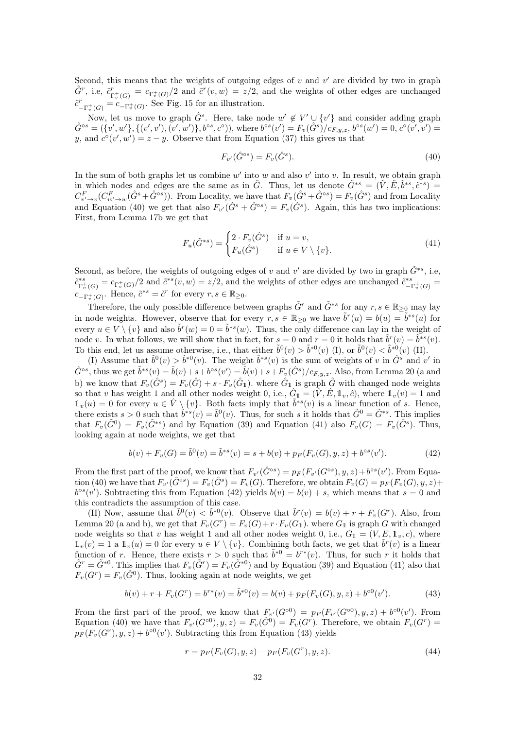Second, this means that the weights of outgoing edges of  $v$  and  $v'$  are divided by two in graph  $\tilde{G}^r$ , i.e,  $\tilde{c}^r_{\scriptscriptstyle \rm T}$  $T^+_{\Gamma^+_v(G)} = c_{\Gamma^+_v(G)}/2$  and  $\tilde{c}^r(v, w) = z/2$ , and the weights of other edges are unchanged  $\tilde{c}^r \rightleftharpoons C_{\Gamma_v^+}(G)$ <br> $\tilde{c}^r \rightleftharpoons C_{\Gamma_v^+}(G)$  $_{-\Gamma_v^+(G)}^r = c_{-\Gamma_v^+(G)}$ . See Fig. [15](#page-30-1) for an illustration.

Now, let us move to graph  $\hat{G}^s$ . Here, take node  $w' \notin V' \cup \{v'\}$  and consider adding graph  $\hat{G}^{\circ s} = (\{v', w'\}, \{(v', v'), (v', w')\}, b^{\circ s}, c^{\circ}),$  where  $b^{\circ s}(v') = F_v(\hat{G}^s)/c_{F,y,z}, b^{\circ s}(w') = 0, c^{\circ}(v', v') = 0$ y, and  $c^{\circ}(v', w') = z - y$ . Observe that from Equation [\(37\)](#page-30-0) this gives us that

<span id="page-31-0"></span>
$$
F_{v'}(\hat{G}^{\circ s}) = F_v(\hat{G}^s).
$$
\n(40)

In the sum of both graphs let us combine  $w'$  into  $w$  and also  $v'$  into  $v$ . In result, we obtain graph in which nodes and edges are the same as in  $\tilde{G}$ . Thus, let us denote  $\tilde{G}^{*s} = (\tilde{V}, \tilde{E}, \tilde{b}^{*s}, \tilde{c}^{*s})$  $C_{v'\to v}^F(C_{w'\to w}^F(\hat{G}^s + \hat{G}^{\circ s}))$ . From Locality, we have that  $F_v(\hat{G}^s + \hat{G}^{\circ s}) = F_v(\hat{G}^s)$  and from Locality and Equation [\(40\)](#page-31-0) we get that also  $F_{v'}(\hat{G}^s + \hat{G}^{\circ s}) = F_v(\hat{G}^s)$ . Again, this has two implications: First, from Lemma [17b](#page-23-1) we get that

<span id="page-31-1"></span>
$$
F_u(\tilde{G}^{*s}) = \begin{cases} 2 \cdot F_v(\hat{G}^s) & \text{if } u = v, \\ F_u(\hat{G}^s) & \text{if } u \in V \setminus \{v\}. \end{cases}
$$
(41)

Second, as before, the weights of outgoing edges of v and v' are divided by two in graph  $\tilde{G}^{*s}$ , i.e,  $\tilde{c}_{\Gamma}^{*s}$  $\Gamma_v^*(G) = c_{\Gamma_v^+(G)}/2$  and  $\tilde{c}^{*s}(v, w) = z/2$ , and the weights of other edges are unchanged  $\tilde{c}_{-1}^{*s}$  $\frac{e^{*s}}{-\Gamma^+_v(G)}=$  $c_{-\Gamma_v^+(G)}$ . Hence,  $\tilde{c}^{*s} = \tilde{c}^r$  for every  $r, s \in \mathbb{R}_{\geq 0}$ .

Therefore, the only possible difference between graphs  $\tilde{G}^r$  and  $\tilde{G}^{*s}$  for any  $r, s \in \mathbb{R}_{\geq 0}$  may lay in node weights. However, observe that for every  $r, s \in \mathbb{R}_{\geq 0}$  we have  $\tilde{b}^r(u) = b(u) = \tilde{b}^{*s}(u)$  for every  $u \in V \setminus \{v\}$  and also  $\tilde{b}^r(w) = 0 = \tilde{b}^{*s}(w)$ . Thus, the only difference can lay in the weight of node v. In what follows, we will show that in fact, for  $s = 0$  and  $r = 0$  it holds that  $\tilde{b}^r(v) = \tilde{b}^{*s}(v)$ . To this end, let us assume otherwise, i.e., that either  $\tilde{b}^0(v) > \tilde{b}^{*0}(v)$  (I), or  $\tilde{b}^0(v) < \tilde{b}^{*0}(v)$  (II).

(I) Assume that  $\tilde{b}^0(v) > \tilde{b}^{*0}(v)$ . The weight  $\tilde{b}^{*s}(v)$  is the sum of weights of v in  $\hat{G}^s$  and v' in  $\hat{G}^{\circ s}$ , thus we get  $\tilde{b}^{*s}(v) = \hat{b}(v) + s + b^{\circ s}(v') = \hat{b}(v) + s + F_v(\hat{G}^s)/c_{F,y,z}$ . Also, from Lemma [20](#page-24-2) (a and b) we know that  $F_v(\hat{G}^s) = F_v(\hat{G}) + s \cdot F_v(\hat{G}_1)$ , where  $\hat{G}_1$  is graph  $\hat{G}$  with changed node weights so that v has weight 1 and all other nodes weight 0, i.e.,  $\hat{G}_1 = (\hat{V}, \hat{E}, \mathbb{1}_v, \hat{c})$ , where  $\mathbb{1}_v(v) = 1$  and  $\mathbb{1}_v(u) = 0$  for every  $u \in \hat{V} \setminus \{v\}$ . Both facts imply that  $\tilde{b}^{*s}(v)$  is a linear function of s. Hence, there exists  $s > 0$  such that  $\tilde{b}^{*s}(v) = \tilde{b}^{0}(v)$ . Thus, for such s it holds that  $\tilde{G}^{0} = \tilde{G}^{*s}$ . This implies that  $F_v(\tilde{G}^0) = F_v(\tilde{G}^{*s})$  and by Equation [\(39\)](#page-30-2) and Equation [\(41\)](#page-31-1) also  $F_v(G) = F_v(\tilde{G}^s)$ . Thus, looking again at node weights, we get that

<span id="page-31-2"></span>
$$
b(v) + F_v(G) = \tilde{b}^0(v) = \tilde{b}^{*s}(v) = s + b(v) + p_F(F_v(G), y, z) + b^{os}(v').
$$
\n(42)

From the first part of the proof, we know that  $F_{v'}(\hat{G}^{\circ s}) = p_F(F_{v'}(G^{\circ s}), y, z) + b^{\circ s}(v')$ . From Equa-tion [\(40\)](#page-31-0) we have that  $F_{v'}(\hat{G}^{\circ s}) = F_v(\hat{G}^s) = F_v(G)$ . Therefore, we obtain  $F_v(G) = p_F(F_v(G), y, z) + p_F(F_v(G), y, z)$  $b^{\circ s}(v')$ . Subtracting this from Equation [\(42\)](#page-31-2) yields  $b(v) = b(v) + s$ , which means that  $s = 0$  and this contradicts the assumption of this case.

(II) Now, assume that  $\tilde{b}^0(v) < \tilde{b}^{*0}(v)$ . Observe that  $\tilde{b}^r(v) = b(v) + r + F_v(G^r)$ . Also, from Lemma [20](#page-24-2) (a and b), we get that  $F_v(G^r) = F_v(G) + r \cdot F_v(G_1)$ . where  $G_1$  is graph G with changed node weights so that v has weight 1 and all other nodes weight 0, i.e.,  $G_1 = (V, E, 1_v, c)$ , where  $\mathbb{1}_v(v) = \tilde{1}$  a  $\mathbb{1}_v(u) = 0$  for every  $u \in V \setminus \{v\}$ . Combining both facts, we get that  $\tilde{b}^r(v)$  is a linear function of r. Hence, there exists  $r > 0$  such that  $\tilde{b}^{*0} = b^{r*}(v)$ . Thus, for such r it holds that  $\tilde{G}^r = \tilde{G}^{*0}$ . This implies that  $F_v(\tilde{G}^r) = F_v(\tilde{G}^{*0})$  and by Equation [\(39\)](#page-30-2) and Equation [\(41\)](#page-31-1) also that  $F_v(G^r) = F_v(\hat{G}^0)$ . Thus, looking again at node weights, we get

$$
b(v) + r + F_v(G^r) = b^{r*}(v) = \tilde{b}^{*0}(v) = b(v) + p_F(F_v(G), y, z) + b^{00}(v').
$$
\n(43)

From the first part of the proof, we know that  $F_{v'}(G^{\circ 0}) = p_F(F_{v'}(G^{\circ 0}), y, z) + b^{\circ 0}(v')$ . From Equation [\(40\)](#page-31-0) we have that  $F_{v'}(G^{\circ 0}), y, z) = F_v(\hat{G}^0) = F_v(G^r)$ . Therefore, we obtain  $F_v(G^r) =$  $p_F(F_v(G^r), y, z) + b^{\circ 0}(v')$ . Subtracting this from Equation [\(43\)](#page-31-3) yields

<span id="page-31-4"></span><span id="page-31-3"></span>
$$
r = p_F(F_v(G), y, z) - p_F(F_v(G^r), y, z). \tag{44}
$$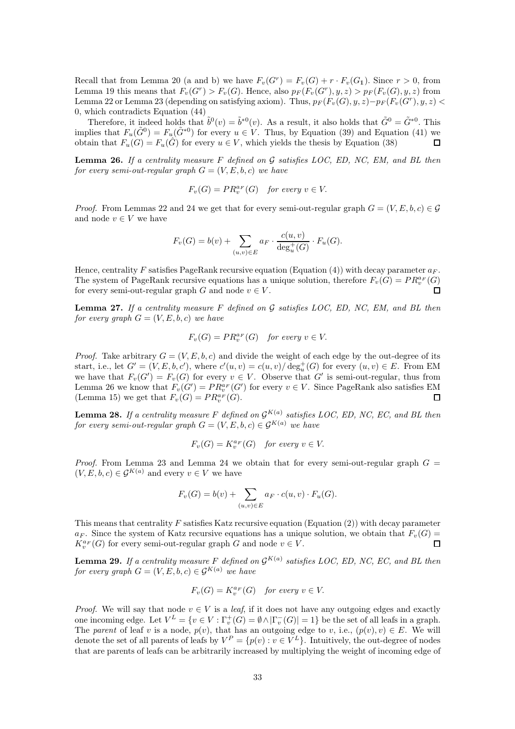Recall that from Lemma [20](#page-24-2) (a and b) we have  $F_v(G^r) = F_v(G) + r \cdot F_v(G_1)$ . Since  $r > 0$ , from Lemma [19](#page-24-1) this means that  $F_v(G^r) > F_v(G)$ . Hence, also  $p_F(F_v(G^r), y, z) > p_F(F_v(G), y, z)$  from Lemma [22](#page-25-1) or Lemma [23](#page-26-0) (depending on satisfying axiom). Thus,  $p_F(F_v(G), y, z) - p_F(F_v(G^r), y, z)$ 0, which contradicts Equation [\(44\)](#page-31-4)

Therefore, it indeed holds that  $\tilde{b}^0(v) = \tilde{b}^{*0}(v)$ . As a result, it also holds that  $\tilde{G}^0 = \tilde{G}^{*0}$ . This implies that  $F_u(\tilde{G}^0) = F_u(\tilde{G}^{*0})$  for every  $u \in V$ . Thus, by Equation [\(39\)](#page-30-2) and Equation [\(41\)](#page-31-1) we obtain that  $F_u(G) = F_u(\hat{G})$  for every  $u \in V$ , which yields the thesis by Equation [\(38\)](#page-30-3)  $\Box$ 

<span id="page-32-0"></span>**Lemma 26.** If a centrality measure F defined on  $G$  satisfies LOC, ED, NC, EM, and BL then for every semi-out-regular graph  $G = (V, E, b, c)$  we have

$$
F_v(G) = PR_v^{a_F}(G) \quad \text{for every } v \in V.
$$

*Proof.* From Lemmas [22](#page-25-1) and [24](#page-26-1) we get that for every semi-out-regular graph  $G = (V, E, b, c) \in \mathcal{G}$ and node  $v \in V$  we have

$$
F_v(G) = b(v) + \sum_{(u,v) \in E} a_F \cdot \frac{c(u,v)}{\deg_u^+(G)} \cdot F_u(G).
$$

Hence, centrality F satisfies PageRank recursive equation (Equation [\(4\)](#page-2-2)) with decay parameter  $a_F$ . The system of PageRank recursive equations has a unique solution, therefore  $F_v(G) = PR_v^{a_F}(G)$ for every semi-out-regular graph G and node  $v \in V$ .  $\Box$ 

<span id="page-32-1"></span>**Lemma 27.** If a centrality measure F defined on  $\mathcal G$  satisfies LOC, ED, NC, EM, and BL then for every graph  $G = (V, E, b, c)$  we have

$$
F_v(G) = PR_v^{a_F}(G) \quad \text{for every } v \in V.
$$

*Proof.* Take arbitrary  $G = (V, E, b, c)$  and divide the weight of each edge by the out-degree of its start, i.e., let  $G' = (V, E, b, c')$ , where  $c'(u, v) = c(u, v) / \deg_u^+(G)$  for every  $(u, v) \in E$ . From EM we have that  $F_v(G') = F_v(G)$  for every  $v \in V$ . Observe that G' is semi-out-regular, thus from Lemma [26](#page-32-0) we know that  $F_v(G') = PR_v^{a_F}(G')$  for every  $v \in V$ . Since PageRank also satisfies EM (Lemma [15\)](#page-21-0) we get that  $F_v(G) = PR_v^{a_F}(G)$ . П

<span id="page-32-2"></span>**Lemma 28.** If a centrality measure F defined on  $\mathcal{G}^{K(a)}$  satisfies LOC, ED, NC, EC, and BL then for every semi-out-regular graph  $G = (V, E, b, c) \in \mathcal{G}^{K(a)}$  we have

$$
F_v(G) = K_v^{a_F}(G) \quad \text{for every } v \in V.
$$

*Proof.* From Lemma [23](#page-26-0) and Lemma [24](#page-26-1) we obtain that for every semi-out-regular graph  $G =$  $(V, E, b, c) \in \mathcal{G}^{K(a)}$  and every  $v \in V$  we have

$$
F_v(G) = b(v) + \sum_{(u,v)\in E} a_F \cdot c(u,v) \cdot F_u(G).
$$

This means that centrality  $F$  satisfies Katz recursive equation (Equation [\(2\)](#page-2-4)) with decay parameter  $a_F$ . Since the system of Katz recursive equations has a unique solution, we obtain that  $F_v(G)$  =  $K_v^{a_F}(G)$  for every semi-out-regular graph G and node  $v \in V$ .  $\Box$ 

<span id="page-32-3"></span>**Lemma 29.** If a centrality measure F defined on  $\mathcal{G}^{K(a)}$  satisfies LOC, ED, NC, EC, and BL then for every graph  $G = (V, E, b, c) \in \mathcal{G}^{K(a)}$  we have

$$
F_v(G)=K_v^{a_F}(G) \quad \textit{for every } v \in V.
$$

*Proof.* We will say that node  $v \in V$  is a *leaf*, if it does not have any outgoing edges and exactly one incoming edge. Let  $V^L = \{v \in V : \Gamma_v^+(G) = \emptyset \wedge |\Gamma_v^-(G)| = 1\}$  be the set of all leafs in a graph. The parent of leaf v is a node,  $p(v)$ , that has an outgoing edge to v, i.e.,  $(p(v), v) \in E$ . We will denote the set of all parents of leafs by  $V^P = \{p(v) : v \in V^L\}$ . Intuitively, the out-degree of nodes that are parents of leafs can be arbitrarily increased by multiplying the weight of incoming edge of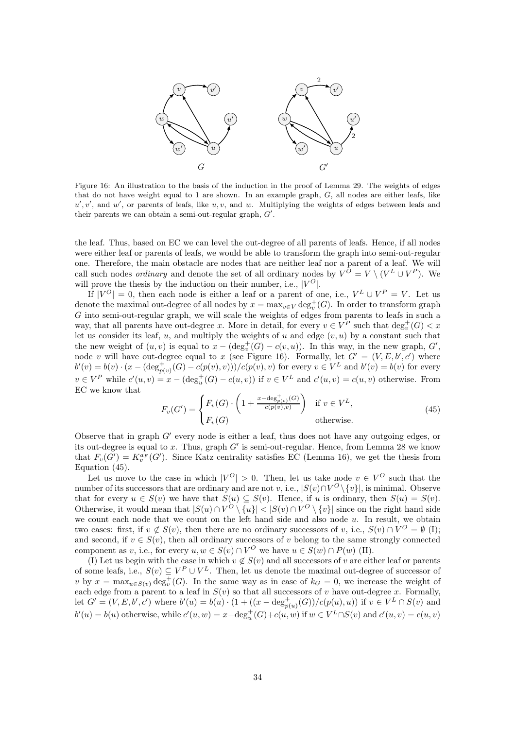<span id="page-33-0"></span>

Figure 16: An illustration to the basis of the induction in the proof of Lemma [29.](#page-32-3) The weights of edges that do not have weight equal to 1 are shown. In an example graph, G, all nodes are either leafs, like  $u', v'$ , and w', or parents of leafs, like  $u, v$ , and w. Multiplying the weights of edges between leafs and their parents we can obtain a semi-out-regular graph,  $G'$ .

the leaf. Thus, based on EC we can level the out-degree of all parents of leafs. Hence, if all nodes were either leaf or parents of leafs, we would be able to transform the graph into semi-out-regular one. Therefore, the main obstacle are nodes that are neither leaf nor a parent of a leaf. We will call such nodes *ordinary* and denote the set of all ordinary nodes by  $V^O = V \setminus (V^L \cup V^P)$ . We will prove the thesis by the induction on their number, i.e.,  $|V^O|$ .

If  $|V^O|=0$ , then each node is either a leaf or a parent of one, i.e.,  $V^L\cup V^P=V$ . Let us denote the maximal out-degree of all nodes by  $x = \max_{v \in V} \deg_v^+(G)$ . In order to transform graph G into semi-out-regular graph, we will scale the weights of edges from parents to leafs in such a way, that all parents have out-degree x. More in detail, for every  $v \in V^P$  such that  $\deg_v^+(G) < x$ let us consider its leaf,  $u$ , and multiply the weights of  $u$  and edge  $(v, u)$  by a constant such that the new weight of  $(u, v)$  is equal to  $x - (\deg_v^+(G) - c(v, u))$ . In this way, in the new graph, G', node v will have out-degree equal to x (see Figure [16\)](#page-33-0). Formally, let  $G' = (V, E, b', c')$  where  $b'(v) = b(v) \cdot (x - (\deg_{p(v)}^+(G) - c(p(v), v))) / c(p(v), v)$  for every  $v \in V^L$  and  $b'(v) = b(v)$  for every  $v \in V^P$  while  $c'(u, v) = x - (\deg_u^+(G) - c(u, v))$  if  $v \in V^L$  and  $c'(u, v) = c(u, v)$  otherwise. From EC we know that

<span id="page-33-1"></span>
$$
F_v(G') = \begin{cases} F_v(G) \cdot \left(1 + \frac{x - \deg_{p(v)}^+(G)}{c(p(v), v)}\right) & \text{if } v \in V^L, \\ F_v(G) & \text{otherwise.} \end{cases}
$$
(45)

Observe that in graph  $G'$  every node is either a leaf, thus does not have any outgoing edges, or its out-degree is equal to  $x$ . Thus, graph  $G'$  is semi-out-regular. Hence, from Lemma [28](#page-32-2) we know that  $F_v(G') = K_v^{a_F}(G')$ . Since Katz centrality satisfies EC (Lemma [16\)](#page-23-0), we get the thesis from Equation [\(45\)](#page-33-1).

Let us move to the case in which  $|V^O| > 0$ . Then, let us take node  $v \in V^O$  such that the number of its successors that are ordinary and are not v, i.e.,  $|S(v) \cap V^O \setminus \{v\}|$ , is minimal. Observe that for every  $u \in S(v)$  we have that  $S(u) \subseteq S(v)$ . Hence, if u is ordinary, then  $S(u) = S(v)$ . Otherwise, it would mean that  $|S(u) \cap V^O \setminus \{u\}| < |S(v) \cap V^O \setminus \{v\}|$  since on the right hand side we count each node that we count on the left hand side and also node u. In result, we obtain two cases: first, if  $v \notin S(v)$ , then there are no ordinary successors of v, i.e.,  $S(v) \cap V^O = \emptyset$  (I); and second, if  $v \in S(v)$ , then all ordinary successors of v belong to the same strongly connected component as v, i.e., for every  $u, w \in S(v) \cap V^O$  we have  $u \in S(w) \cap P(w)$  (II).

(I) Let us begin with the case in which  $v \notin S(v)$  and all successors of v are either leaf or parents of some leafs, i.e.,  $S(v) \subseteq V^P \cup V^L$ . Then, let us denote the maximal out-degree of successor of v by  $x = \max_{u \in S(v)} \deg_v^+(G)$ . In the same way as in case of  $k_G = 0$ , we increase the weight of each edge from a parent to a leaf in  $S(v)$  so that all successors of v have out-degree x. Formally, let  $G' = (V, E, b', c')$  where  $b'(u) = b(u) \cdot (1 + ((x - \deg_{p(u)}^+(G))/c(p(u), u))$  if  $v \in V^L \cap S(v)$  and  $b'(u) = b(u)$  otherwise, while  $c'(u, w) = x - \deg_u^+(G) + c(u, w)$  if  $w \in V^L \cap S(v)$  and  $c'(u, v) = c(u, v)$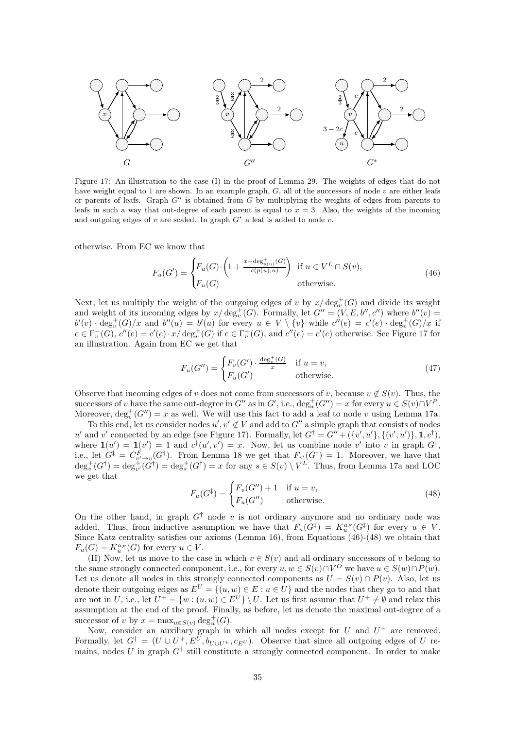<span id="page-34-0"></span>

Figure 17: An illustration to the case (I) in the proof of Lemma [29.](#page-32-3) The weights of edges that do not have weight equal to 1 are shown. In an example graph,  $G$ , all of the successors of node  $v$  are either leafs or parents of leafs. Graph  $G''$  is obtained from G by multiplying the weights of edges from parents to leafs in such a way that out-degree of each parent is equal to  $x = 3$ . Also, the weights of the incoming and outgoing edges of  $v$  are scaled. In graph  $G^*$  a leaf is added to node  $v$ .

otherwise. From EC we know that

<span id="page-34-1"></span>
$$
F_u(G') = \begin{cases} F_u(G) \cdot \left(1 + \frac{x - \deg_{p(u)}^+(G)}{c(p(u), u)}\right) & \text{if } u \in V^L \cap S(v), \\ F_u(G) & \text{otherwise.} \end{cases}
$$
(46)

Next, let us multiply the weight of the outgoing edges of v by  $x/\deg_v^+(G)$  and divide its weight and weight of its incoming edges by  $x/\deg_v^+(G)$ . Formally, let  $G'' = (V, E, b'', c'')$  where  $b''(v) =$ and weight of its incoming edges by  $x/\deg_v(G)$ . Formally, let  $G = (v, E, \delta, \epsilon)$  where  $\delta'(v) = b'(v) \cdot \deg_v^+(G)/x$  and  $b''(u) = b'(u)$  for every  $u \in V \setminus \{v\}$  while  $c''(e) = c'(e) \cdot \deg_v^+(G)/x$  if  $e \in \Gamma_v^-(G)$ ,  $c''(e) = c'(e) \cdot x/\deg_v^+(G)$  if  $e \in \Gamma_v^+(G)$ , and  $c''(e) = c'(e)$  otherwise. See Figure [17](#page-34-0) for an illustration. Again from EC we get that

$$
F_u(G'') = \begin{cases} F_v(G') \cdot \frac{\deg_v^+(G)}{x} & \text{if } u = v, \\ F_u(G') & \text{otherwise.} \end{cases}
$$
(47)

Observe that incoming edges of v does not come from successors of v, because  $v \notin S(v)$ . Thus, the successors of v have the same out-degree in  $G''$  as in  $G'$ , i.e.,  $\deg_u^+(G'') = x$  for every  $u \in S(v) \cap V^P$ . Moreover,  $\deg_v^+(G'') = x$  as well. We will use this fact to add a leaf to node v using Lemma [17a](#page-23-1).

To this end, let us consider nodes  $u', v' \notin V$  and add to  $G''$  a simple graph that consists of nodes u' and v' connected by an edge (see Figure [17\)](#page-34-0). Formally, let  $G^{\dagger} = G'' + (\{v', u'\}, \{(v', u')\}, \mathbf{1}, c^{\dagger}),$ where  $\mathbf{1}(u') = \mathbf{1}(v') = 1$  and  $c^{\dagger}(u', v') = x$ . Now, let us combine node v' into v in graph  $G^{\dagger}$ , i.e., let  $G^{\ddagger} = C_{\nu' \to \nu}^F(G^{\dagger})$ . From Lemma [18](#page-24-0) we get that  $F_{\nu'}(G^{\dagger}) = 1$ . Moreover, we have that  $\deg_v^+(G^{\dagger}) = \deg_{v'}^+(G^{\dagger}) = \deg_s^+(G^{\dagger}) = x$  for any  $s \in S(v) \setminus V^L$ . Thus, from Lemma [17a](#page-23-1) and LOC we get that

$$
F_u(G^{\ddagger}) = \begin{cases} F_v(G'') + 1 & \text{if } u = v, \\ F_u(G'') & \text{otherwise.} \end{cases}
$$
\n(48)

<span id="page-34-2"></span>On the other hand, in graph  $G^{\dagger}$  node v is not ordinary anymore and no ordinary node was added. Thus, from inductive assumption we have that  $F_u(G^{\dagger}) = K_u^{a}F(G^{\dagger})$  for every  $u \in V$ . Since Katz centrality satisfies our axioms (Lemma [16\)](#page-23-0), from Equations [\(46\)](#page-34-1)-[\(48\)](#page-34-2) we obtain that  $F_u(G) = K_u^{a_F}(G)$  for every  $u \in V$ .

(II) Now, let us move to the case in which  $v \in S(v)$  and all ordinary successors of v belong to the same strongly connected component, i.e., for every  $u, w \in S(v) \cap V^O$  we have  $u \in S(w) \cap P(w)$ . Let us denote all nodes in this strongly connected components as  $U = S(v) \cap P(v)$ . Also, let us denote their outgoing edges as  $E^U = \{(u, w) \in E : u \in U\}$  and the nodes that they go to and that are not in U, i.e., let  $U^+ = \{w : (u, w) \in E^U\} \setminus U$ . Let us first assume that  $U^+ \neq \emptyset$  and relax this assumption at the end of the proof. Finally, as before, let us denote the maximal out-degree of a successor of v by  $x = \max_{u \in S(v)} \deg_u^+(G)$ .

Now, consider an auxiliary graph in which all nodes except for U and  $U^+$  are removed. Formally, let  $G^{\dagger} = (U \cup U^+, E^U, b_{U \cup U^+}, c_{E^U})$ . Observe that since all outgoing edges of U remains, nodes U in graph  $G^{\dagger}$  still constitute a strongly connected component. In order to make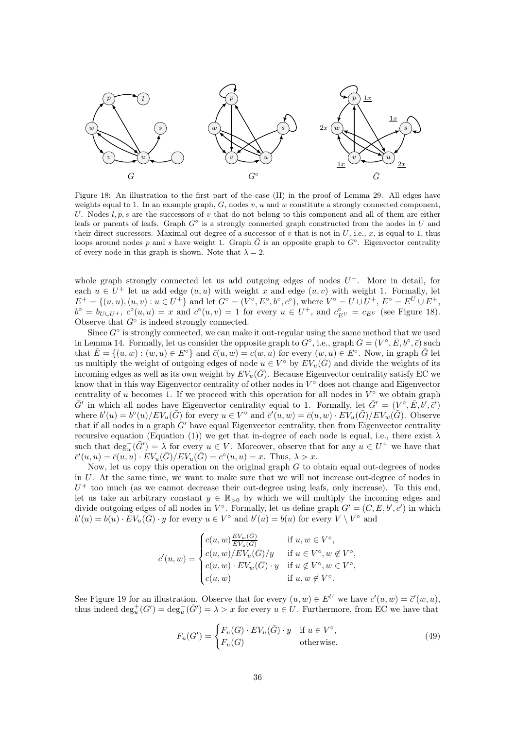<span id="page-35-0"></span>

Figure 18: An illustration to the first part of the case (II) in the proof of Lemma [29.](#page-32-3) All edges have weights equal to 1. In an example graph,  $G$ , nodes  $v$ ,  $u$  and  $w$  constitute a strongly connected component, U. Nodes  $l, p, s$  are the successors of v that do not belong to this component and all of them are either leafs or parents of leafs. Graph  $G^{\circ}$  is a strongly connected graph constructed from the nodes in U and their direct successors. Maximal out-degree of a successor of v that is not in U, i.e., x, is equal to 1, thus loops around nodes p and s have weight 1. Graph  $\bar{G}$  is an opposite graph to  $G^{\circ}$ . Eigenvector centrality of every node in this graph is shown. Note that  $\lambda = 2$ .

whole graph strongly connected let us add outgoing edges of nodes  $U^+$ . More in detail, for each  $u \in U^+$  let us add edge  $(u, u)$  with weight x and edge  $(u, v)$  with weight 1. Formally, let  $E^+ = \{(u, u), (u, v) : u \in U^+\}$  and let  $G^{\circ} = (V^{\circ}, E^{\circ}, b^{\circ}, c^{\circ})$ , where  $V^{\circ} = U \cup U^+, E^{\circ} = E^U \cup E^+,$  $b^{\circ} = b_{U \cup U^{+}}$ ,  $c^{\circ}(u, u) = x$  and  $c^{\circ}(u, v) = 1$  for every  $u \in U^{+}$ , and  $c_{E^{U}}^{\circ} = c_{E^{U}}$  (see Figure [18\)](#page-35-0). Observe that  $G^{\circ}$  is indeed strongly connected.

Since  $G^{\circ}$  is strongly connected, we can make it out-regular using the same method that we used in Lemma [14.](#page-20-1) Formally, let us consider the opposite graph to  $G^{\circ}$ , i.e., graph  $\bar{G} = (V^{\circ}, \bar{E}, b^{\circ}, \bar{c})$  such that  $\overline{E} = \{(u, w) : (w, u) \in E^{\circ}\}\$ and  $\overline{c}(u, w) = c(w, u)$  for every  $(w, u) \in E^{\circ}$ . Now, in graph  $\overline{G}$  let us multiply the weight of outgoing edges of node  $u \in V^{\circ}$  by  $EV_u(\bar{G})$  and divide the weights of its incoming edges as well as its own weight by  $EV_u(\bar{G})$ . Because Eigenvector centrality satisfy EC we know that in this way Eigenvector centrality of other nodes in  $V^{\circ}$  does not change and Eigenvector centrality of u becomes 1. If we proceed with this operation for all nodes in  $V^{\circ}$  we obtain graph  $\bar{G}'$  in which all nodes have Eigenvector centrality equal to 1. Formally, let  $\bar{G}' = (V^{\circ}, \bar{E}, b', \bar{c}')$ where  $b'(u) = b^{\circ}(u) / EV_u(\bar{G})$  for every  $u \in V^{\circ}$  and  $\bar{c}'(u, w) = \bar{c}(u, w) \cdot EV_u(\bar{G}) / EV_w(\bar{G})$ . Observe that if all nodes in a graph  $\bar{G}'$  have equal Eigenvector centrality, then from Eigenvector centrality recursive equation (Equation [\(1\)](#page-2-1)) we get that in-degree of each node is equal, i.e., there exist  $\lambda$ such that  $\deg_u^-(\bar{G}') = \lambda$  for every  $u \in V$ . Moreover, observe that for any  $u \in U^+$  we have that  $\overline{c}'(u, u) = \overline{c}(u, u) \cdot \overline{E}V_u(\overline{G}) / \overline{E}V_u(\overline{G}) = c^{\circ}(u, u) = x.$  Thus,  $\lambda > x.$ 

Now, let us copy this operation on the original graph  $G$  to obtain equal out-degrees of nodes in U. At the same time, we want to make sure that we will not increase out-degree of nodes in  $U^+$  too much (as we cannot decrease their out-degree using leafs, only increase). To this end, let us take an arbitrary constant  $y \in \mathbb{R}_{>0}$  by which we will multiply the incoming edges and divide outgoing edges of all nodes in  $V^{\circ}$ . Formally, let us define graph  $G' = (C, E, b', c')$  in which  $b'(u) = b(u) \cdot EV_u(\overline{G}) \cdot y$  for every  $u \in V^{\circ}$  and  $b'(u) = b(u)$  for every  $V \setminus V^{\circ}$  and

$$
c'(u,w)=\begin{cases} c(u,w)\frac{EV_w(\bar{G})}{EV_u(\bar{G})}&\text{if }u,w\in V^\circ,\\ c(u,w)/EV_u(\bar{G})/y&\text{if }u\in V^\circ,w\not\in V^\circ,\\ c(u,w)\cdot EV_w(\bar{G})\cdot y&\text{if }u\not\in V^\circ,w\in V^\circ,\\ c(u,w)&\text{if }u,w\not\in V^\circ.\end{cases}
$$

See Figure [19](#page-36-0) for an illustration. Observe that for every  $(u, w) \in E^U$  we have  $c'(u, w) = \overline{c}'(w, u)$ , thus indeed  $\deg_u^+(G') = \deg_u^-(\bar{G}') = \lambda > x$  for every  $u \in U$ . Furthermore, from EC we have that

<span id="page-35-1"></span>
$$
F_u(G') = \begin{cases} F_u(G) \cdot EV_u(\bar{G}) \cdot y & \text{if } u \in V^\circ, \\ F_u(G) & \text{otherwise.} \end{cases}
$$
(49)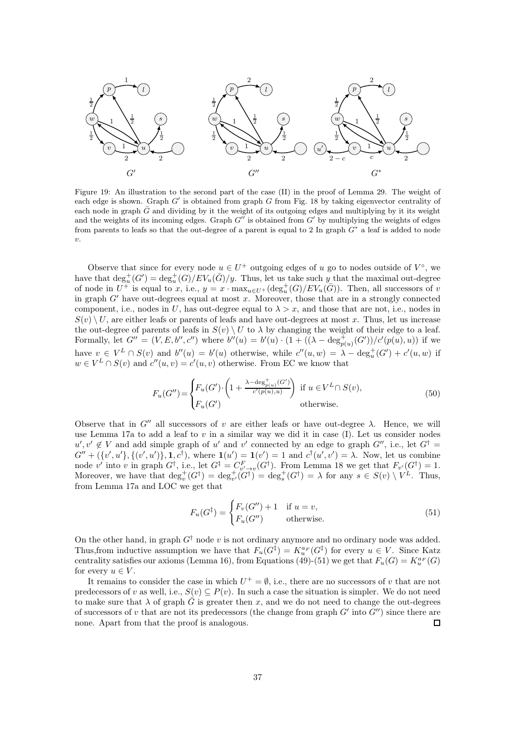<span id="page-36-0"></span>

Figure 19: An illustration to the second part of the case (II) in the proof of Lemma [29.](#page-32-3) The weight of each edge is shown. Graph  $G'$  is obtained from graph  $G$  from Fig. [18](#page-35-0) by taking eigenvector centrality of each node in graph  $\bar{G}$  and dividing by it the weight of its outgoing edges and multiplying by it its weight and the weights of its incoming edges. Graph  $G''$  is obtained from  $G'$  by multiplying the weights of edges from parents to leafs so that the out-degree of a parent is equal to 2 In graph  $G^*$  a leaf is added to node  $\upsilon$ .

Observe that since for every node  $u \in U^+$  outgoing edges of u go to nodes outside of  $V^{\circ}$ , we have that  $\deg_u^+(G') = \deg_u^+(G)/EV_u(\bar{G})/y$ . Thus, let us take such y that the maximal out-degree of node in  $U^+$  is equal to x, i.e.,  $y = x \cdot \max_{u \in U^+} (\deg_u^+(G)/EV_u(\bar{G}))$ . Then, all successors of v in graph  $G'$  have out-degrees equal at most x. Moreover, those that are in a strongly connected component, i.e., nodes in U, has out-degree equal to  $\lambda > x$ , and those that are not, i.e., nodes in  $S(v) \setminus U$ , are either leafs or parents of leafs and have out-degrees at most x. Thus, let us increase the out-degree of parents of leafs in  $S(v) \setminus U$  to  $\lambda$  by changing the weight of their edge to a leaf. Formally, let  $G'' = (V, E, b'', c'')$  where  $b''(u) = b'(u) \cdot (1 + ((\lambda - \deg_{p(u)}^+(G'))/c'(p(u), u))$  if we have  $v \in V^L \cap S(v)$  and  $b''(u) = b'(u)$  otherwise, while  $c''(u, w) = \lambda - \deg_u^+(G') + c'(u, w)$  if  $w \in V^L \cap S(v)$  and  $c''(u, v) = c'(u, v)$  otherwise. From EC we know that

$$
F_u(G'') = \begin{cases} F_u(G') \cdot \left(1 + \frac{\lambda - \deg_{p(u)}^+(G')}{c'(p(u), u)}\right) & \text{if } u \in V^L \cap S(v), \\ F_u(G') & \text{otherwise.} \end{cases}
$$
(50)

Observe that in G'' all successors of v are either leafs or have out-degree λ. Hence, we will use Lemma [17a](#page-23-1) to add a leaf to  $v$  in a similar way we did it in case (I). Let us consider nodes  $u', v' \notin V$  and add simple graph of u' and v' connected by an edge to graph  $G''$ , i.e., let  $G^{\dagger}$  =  $G'' + (\{v',u'\}, \{(v',u')\}, \mathbf{1}, c^{\dagger}), \text{ where } \mathbf{1}(u') = \mathbf{1}(v') = 1 \text{ and } c^{\dagger}(u',v') = \lambda.$  Now, let us combine node v' into v in graph  $G^{\dagger}$ , i.e., let  $G^{\ddagger} = C_{v' \to v}^F(G^{\dagger})$ . From Lemma [18](#page-24-0) we get that  $F_{v'}(G^{\dagger}) = 1$ . Moreover, we have that  $\deg_v^+(G^{\dagger}) = \deg_{v'}^+(G^{\dagger}) = \deg_s^+(G^{\dagger}) = \lambda$  for any  $s \in S(v) \setminus V^L$ . Thus, from Lemma [17a](#page-23-1) and LOC we get that

<span id="page-36-1"></span>
$$
F_u(G^{\ddagger}) = \begin{cases} F_v(G'') + 1 & \text{if } u = v, \\ F_u(G'') & \text{otherwise.} \end{cases}
$$
\n(51)

On the other hand, in graph  $G^{\dagger}$  node v is not ordinary anymore and no ordinary node was added. Thus, from inductive assumption we have that  $F_u(G^{\dagger}) = K_u^{a_F}(G^{\dagger})$  for every  $u \in V$ . Since Katz centrality satisfies our axioms (Lemma [16\)](#page-23-0), from Equations [\(49\)](#page-35-1)-[\(51\)](#page-36-1) we get that  $F_u(G) = K_u^{a_F}(G)$ for every  $u \in V$ .

It remains to consider the case in which  $U^+ = \emptyset$ , i.e., there are no successors of v that are not predecessors of v as well, i.e.,  $S(v) \subseteq P(v)$ . In such a case the situation is simpler. We do not need to make sure that  $\lambda$  of graph  $\overline{G}$  is greater then x, and we do not need to change the out-degrees of successors of v that are not its predecessors (the change from graph  $G'$  into  $G''$ ) since there are none. Apart from that the proof is analogous.  $\Box$